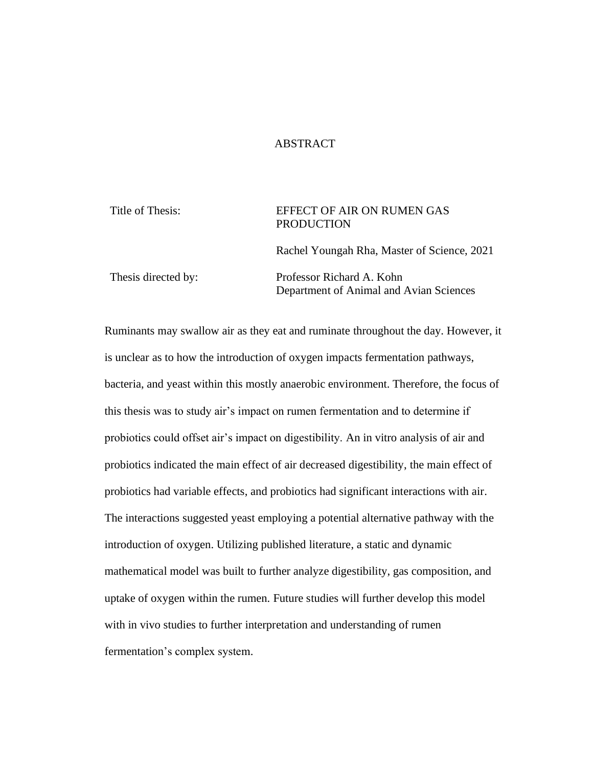### ABSTRACT

Title of Thesis: EFFECT OF AIR ON RUMEN GAS PRODUCTION

Rachel Youngah Rha, Master of Science, 2021

Thesis directed by: Professor Richard A. Kohn Department of Animal and Avian Sciences

Ruminants may swallow air as they eat and ruminate throughout the day. However, it is unclear as to how the introduction of oxygen impacts fermentation pathways, bacteria, and yeast within this mostly anaerobic environment. Therefore, the focus of this thesis was to study air's impact on rumen fermentation and to determine if probiotics could offset air's impact on digestibility. An in vitro analysis of air and probiotics indicated the main effect of air decreased digestibility, the main effect of probiotics had variable effects, and probiotics had significant interactions with air. The interactions suggested yeast employing a potential alternative pathway with the introduction of oxygen. Utilizing published literature, a static and dynamic mathematical model was built to further analyze digestibility, gas composition, and uptake of oxygen within the rumen. Future studies will further develop this model with in vivo studies to further interpretation and understanding of rumen fermentation's complex system.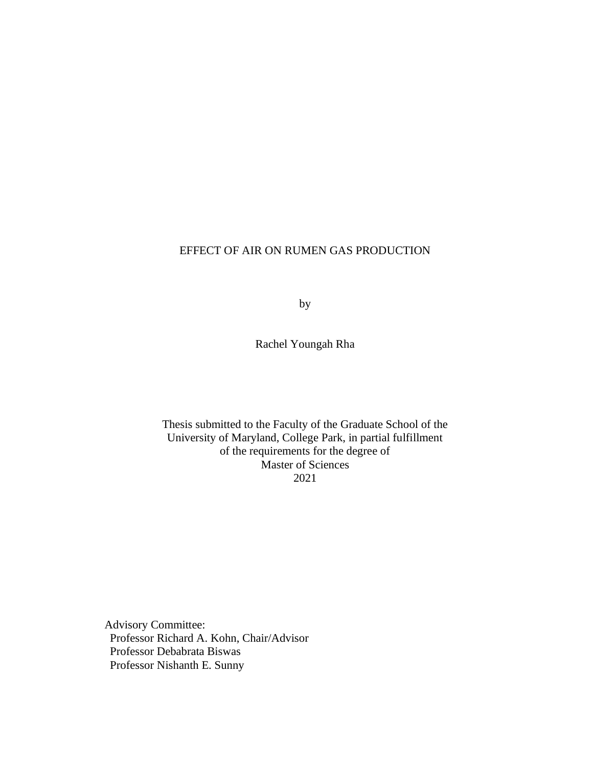### EFFECT OF AIR ON RUMEN GAS PRODUCTION

by

Rachel Youngah Rha

Thesis submitted to the Faculty of the Graduate School of the University of Maryland, College Park, in partial fulfillment of the requirements for the degree of Master of Sciences 2021

Advisory Committee: Professor Richard A. Kohn, Chair/Advisor Professor Debabrata Biswas Professor Nishanth E. Sunny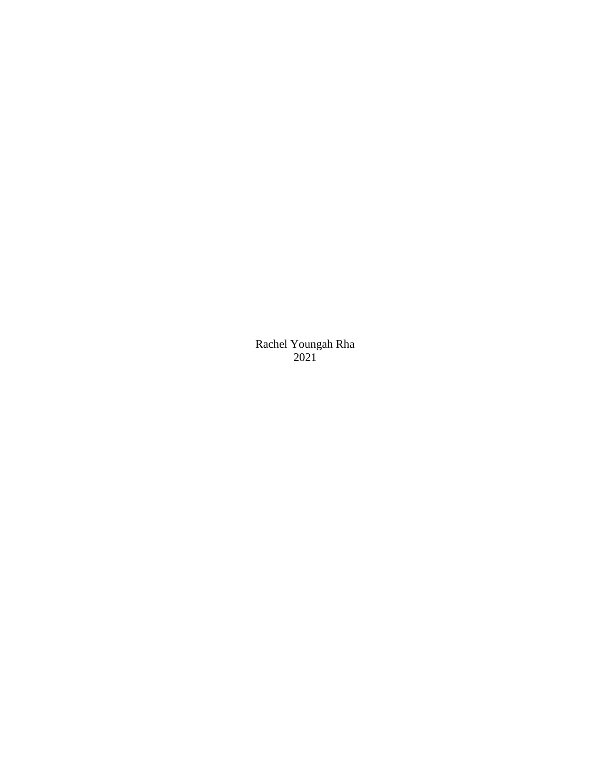Rachel Youngah Rha 2021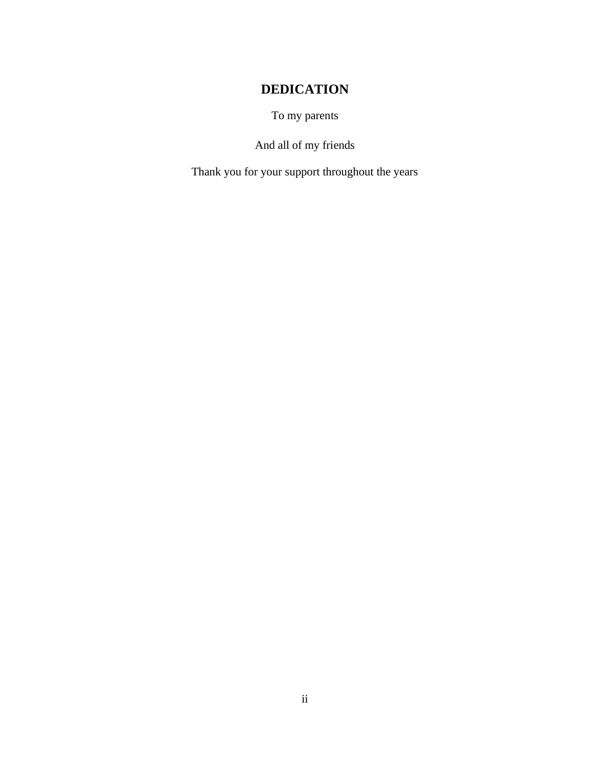## **DEDICATION**

To my parents

And all of my friends

<span id="page-3-0"></span>Thank you for your support throughout the years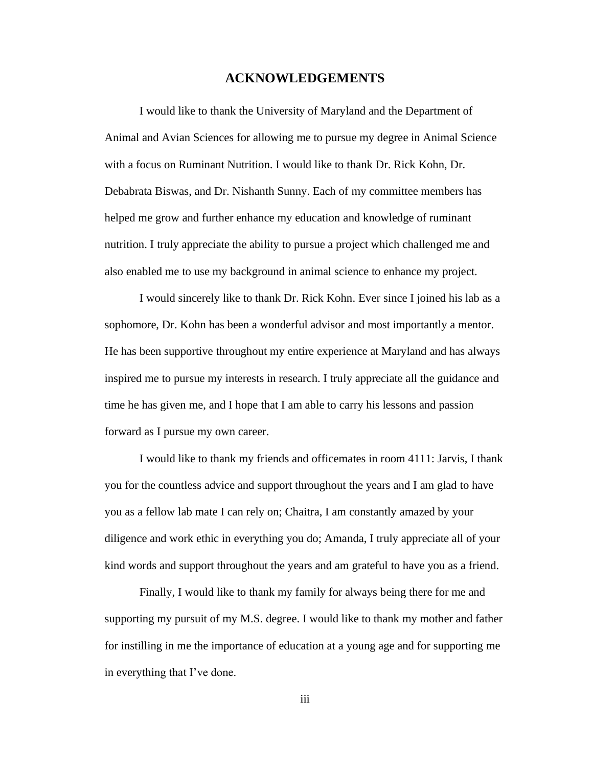### **ACKNOWLEDGEMENTS**

<span id="page-4-0"></span>I would like to thank the University of Maryland and the Department of Animal and Avian Sciences for allowing me to pursue my degree in Animal Science with a focus on Ruminant Nutrition. I would like to thank Dr. Rick Kohn, Dr. Debabrata Biswas, and Dr. Nishanth Sunny. Each of my committee members has helped me grow and further enhance my education and knowledge of ruminant nutrition. I truly appreciate the ability to pursue a project which challenged me and also enabled me to use my background in animal science to enhance my project.

I would sincerely like to thank Dr. Rick Kohn. Ever since I joined his lab as a sophomore, Dr. Kohn has been a wonderful advisor and most importantly a mentor. He has been supportive throughout my entire experience at Maryland and has always inspired me to pursue my interests in research. I truly appreciate all the guidance and time he has given me, and I hope that I am able to carry his lessons and passion forward as I pursue my own career.

I would like to thank my friends and officemates in room 4111: Jarvis, I thank you for the countless advice and support throughout the years and I am glad to have you as a fellow lab mate I can rely on; Chaitra, I am constantly amazed by your diligence and work ethic in everything you do; Amanda, I truly appreciate all of your kind words and support throughout the years and am grateful to have you as a friend.

Finally, I would like to thank my family for always being there for me and supporting my pursuit of my M.S. degree. I would like to thank my mother and father for instilling in me the importance of education at a young age and for supporting me in everything that I've done.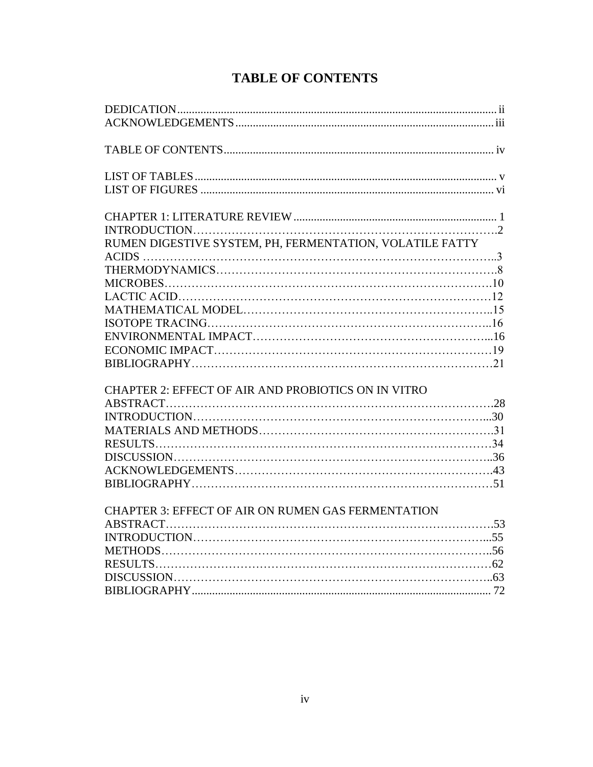<span id="page-5-0"></span>

| RUMEN DIGESTIVE SYSTEM, PH, FERMENTATION, VOLATILE FATTY |  |
|----------------------------------------------------------|--|
|                                                          |  |
|                                                          |  |
|                                                          |  |
|                                                          |  |
|                                                          |  |
|                                                          |  |
|                                                          |  |
|                                                          |  |
|                                                          |  |
| CHAPTER 2: EFFECT OF AIR AND PROBIOTICS ON IN VITRO      |  |
|                                                          |  |
| $\overline{O}$                                           |  |

## **TABLE OF CONTENTS**

| CHAI TERZ, ETTECT OF ARRAIVE FRODIOTICS ON HY VITRO |  |
|-----------------------------------------------------|--|
|                                                     |  |
|                                                     |  |
|                                                     |  |
|                                                     |  |
|                                                     |  |
|                                                     |  |
|                                                     |  |
|                                                     |  |

## [CHAPTER 3: EFFECT OF AIR ON RUMEN GAS FERMENTATION](#page-57-0) ABSTRACT………………………………………………………………………….53 INTRODUCTION…………………………………………………………………...55 METHODS…………………………………………………………………………..56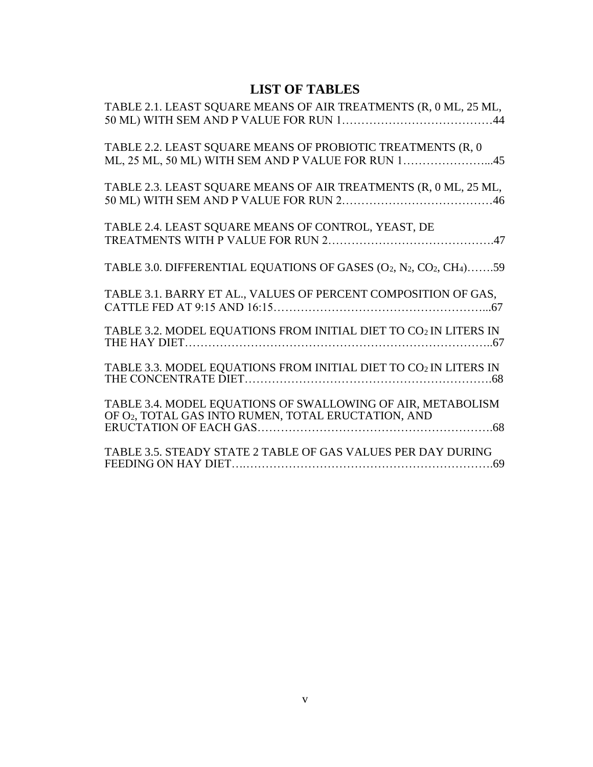## **LIST OF TABLES**

<span id="page-6-0"></span>

| TABLE 2.1. LEAST SQUARE MEANS OF AIR TREATMENTS (R, 0 ML, 25 ML,                                                  |
|-------------------------------------------------------------------------------------------------------------------|
| TABLE 2.2. LEAST SQUARE MEANS OF PROBIOTIC TREATMENTS (R, 0<br>ML, 25 ML, 50 ML) WITH SEM AND P VALUE FOR RUN 145 |
| TABLE 2.3. LEAST SQUARE MEANS OF AIR TREATMENTS (R, 0 ML, 25 ML,                                                  |
| TABLE 2.4. LEAST SQUARE MEANS OF CONTROL, YEAST, DE                                                               |
| TABLE 3.0. DIFFERENTIAL EQUATIONS OF GASES (O2, N2, CO2, CH4)59                                                   |
| TABLE 3.1. BARRY ET AL., VALUES OF PERCENT COMPOSITION OF GAS,                                                    |
| TABLE 3.2. MODEL EQUATIONS FROM INITIAL DIET TO CO2 IN LITERS IN                                                  |
| TABLE 3.3. MODEL EQUATIONS FROM INITIAL DIET TO CO2 IN LITERS IN                                                  |
| TABLE 3.4. MODEL EQUATIONS OF SWALLOWING OF AIR, METABOLISM<br>OF O2, TOTAL GAS INTO RUMEN, TOTAL ERUCTATION, AND |
| TABLE 3.5. STEADY STATE 2 TABLE OF GAS VALUES PER DAY DURING                                                      |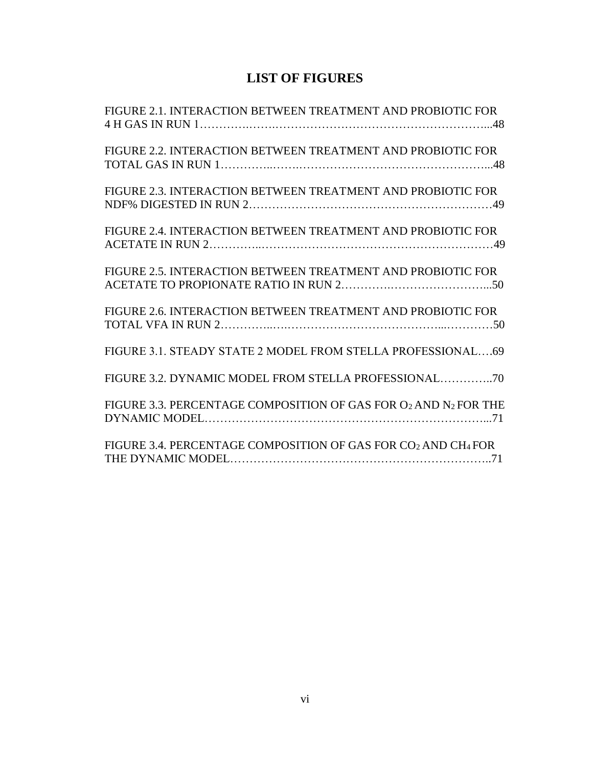## **LIST OF FIGURES**

<span id="page-7-0"></span>

| FIGURE 2.1. INTERACTION BETWEEN TREATMENT AND PROBIOTIC FOR                           |
|---------------------------------------------------------------------------------------|
| FIGURE 2.2. INTERACTION BETWEEN TREATMENT AND PROBIOTIC FOR                           |
| FIGURE 2.3. INTERACTION BETWEEN TREATMENT AND PROBIOTIC FOR                           |
| FIGURE 2.4. INTERACTION BETWEEN TREATMENT AND PROBIOTIC FOR                           |
| FIGURE 2.5. INTERACTION BETWEEN TREATMENT AND PROBIOTIC FOR                           |
| FIGURE 2.6. INTERACTION BETWEEN TREATMENT AND PROBIOTIC FOR                           |
| FIGURE 3.1. STEADY STATE 2 MODEL FROM STELLA PROFESSIONAL69                           |
|                                                                                       |
| FIGURE 3.3. PERCENTAGE COMPOSITION OF GAS FOR O2 AND N2 FOR THE                       |
| FIGURE 3.4. PERCENTAGE COMPOSITION OF GAS FOR CO <sub>2</sub> AND CH <sub>4</sub> FOR |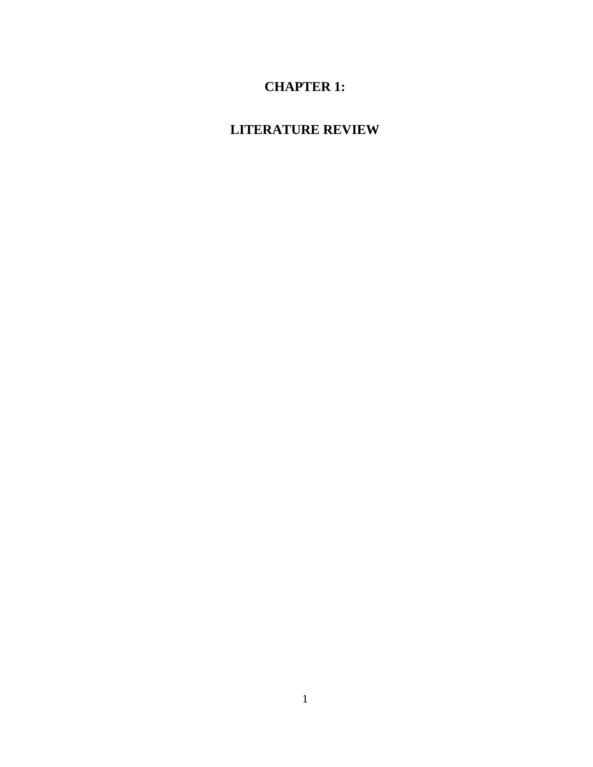## **CHAPTER 1:**

# <span id="page-8-0"></span>**LITERATURE REVIEW**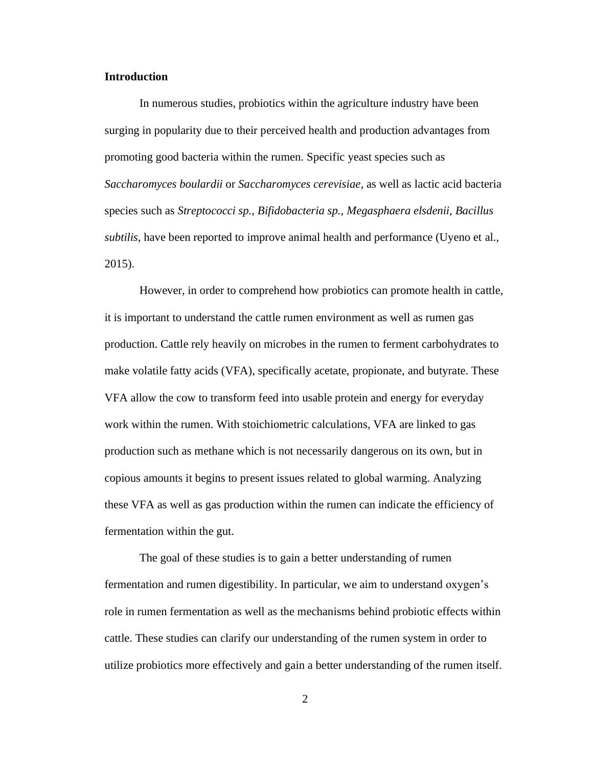#### **Introduction**

In numerous studies, probiotics within the agriculture industry have been surging in popularity due to their perceived health and production advantages from promoting good bacteria within the rumen. Specific yeast species such as *Saccharomyces boulardii* or *Saccharomyces cerevisiae*, as well as lactic acid bacteria species such as *Streptococci sp., Bifidobacteria sp., Megasphaera elsdenii, Bacillus subtilis*, have been reported to improve animal health and performance (Uyeno et al., 2015).

However, in order to comprehend how probiotics can promote health in cattle, it is important to understand the cattle rumen environment as well as rumen gas production. Cattle rely heavily on microbes in the rumen to ferment carbohydrates to make volatile fatty acids (VFA), specifically acetate, propionate, and butyrate. These VFA allow the cow to transform feed into usable protein and energy for everyday work within the rumen. With stoichiometric calculations, VFA are linked to gas production such as methane which is not necessarily dangerous on its own, but in copious amounts it begins to present issues related to global warming. Analyzing these VFA as well as gas production within the rumen can indicate the efficiency of fermentation within the gut.

The goal of these studies is to gain a better understanding of rumen fermentation and rumen digestibility. In particular, we aim to understand oxygen's role in rumen fermentation as well as the mechanisms behind probiotic effects within cattle. These studies can clarify our understanding of the rumen system in order to utilize probiotics more effectively and gain a better understanding of the rumen itself.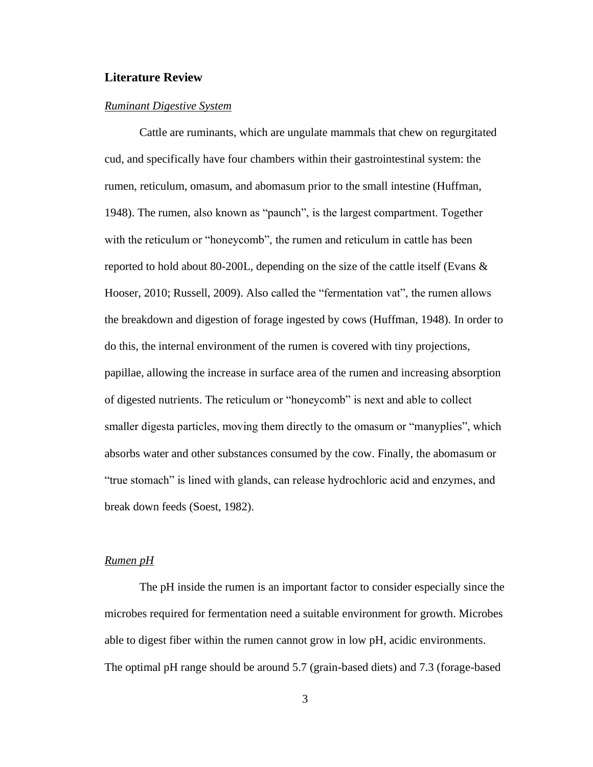### **Literature Review**

#### *Ruminant Digestive System*

Cattle are ruminants, which are ungulate mammals that chew on regurgitated cud, and specifically have four chambers within their gastrointestinal system: the rumen, reticulum, omasum, and abomasum prior to the small intestine (Huffman, 1948). The rumen, also known as "paunch", is the largest compartment. Together with the reticulum or "honeycomb", the rumen and reticulum in cattle has been reported to hold about 80-200L, depending on the size of the cattle itself (Evans & Hooser, 2010; Russell, 2009). Also called the "fermentation vat", the rumen allows the breakdown and digestion of forage ingested by cows (Huffman, 1948). In order to do this, the internal environment of the rumen is covered with tiny projections, papillae, allowing the increase in surface area of the rumen and increasing absorption of digested nutrients. The reticulum or "honeycomb" is next and able to collect smaller digesta particles, moving them directly to the omasum or "manyplies", which absorbs water and other substances consumed by the cow. Finally, the abomasum or "true stomach" is lined with glands, can release hydrochloric acid and enzymes, and break down feeds (Soest, 1982).

### *Rumen pH*

The pH inside the rumen is an important factor to consider especially since the microbes required for fermentation need a suitable environment for growth. Microbes able to digest fiber within the rumen cannot grow in low pH, acidic environments. The optimal pH range should be around 5.7 (grain-based diets) and 7.3 (forage-based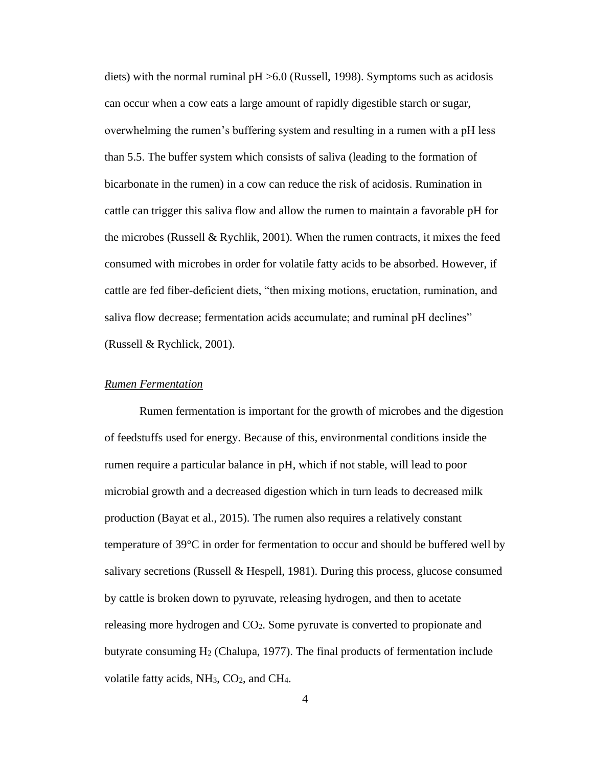diets) with the normal ruminal  $pH > 6.0$  (Russell, 1998). Symptoms such as acidosis can occur when a cow eats a large amount of rapidly digestible starch or sugar, overwhelming the rumen's buffering system and resulting in a rumen with a pH less than 5.5. The buffer system which consists of saliva (leading to the formation of bicarbonate in the rumen) in a cow can reduce the risk of acidosis. Rumination in cattle can trigger this saliva flow and allow the rumen to maintain a favorable pH for the microbes (Russell  $\&$  Rychlik, 2001). When the rumen contracts, it mixes the feed consumed with microbes in order for volatile fatty acids to be absorbed. However, if cattle are fed fiber-deficient diets, "then mixing motions, eructation, rumination, and saliva flow decrease; fermentation acids accumulate; and ruminal pH declines" (Russell & Rychlick, 2001).

### *Rumen Fermentation*

Rumen fermentation is important for the growth of microbes and the digestion of feedstuffs used for energy. Because of this, environmental conditions inside the rumen require a particular balance in pH, which if not stable, will lead to poor microbial growth and a decreased digestion which in turn leads to decreased milk production (Bayat et al., 2015). The rumen also requires a relatively constant temperature of 39°C in order for fermentation to occur and should be buffered well by salivary secretions (Russell & Hespell, 1981). During this process, glucose consumed by cattle is broken down to pyruvate, releasing hydrogen, and then to acetate releasing more hydrogen and CO2. Some pyruvate is converted to propionate and butyrate consuming  $H_2$  (Chalupa, 1977). The final products of fermentation include volatile fatty acids, NH<sub>3</sub>, CO<sub>2</sub>, and CH<sub>4</sub>.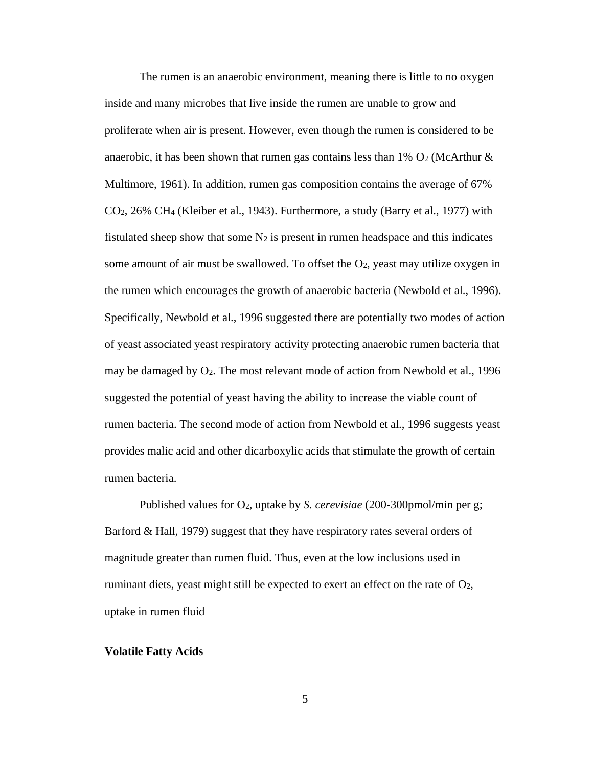The rumen is an anaerobic environment, meaning there is little to no oxygen inside and many microbes that live inside the rumen are unable to grow and proliferate when air is present. However, even though the rumen is considered to be anaerobic, it has been shown that rumen gas contains less than  $1\%$  O<sub>2</sub> (McArthur  $\&$ Multimore, 1961). In addition, rumen gas composition contains the average of 67%  $CO<sub>2</sub>$ , 26% CH<sub>4</sub> (Kleiber et al., 1943). Furthermore, a study (Barry et al., 1977) with fistulated sheep show that some  $N_2$  is present in rumen headspace and this indicates some amount of air must be swallowed. To offset the  $O<sub>2</sub>$ , yeast may utilize oxygen in the rumen which encourages the growth of anaerobic bacteria (Newbold et al., 1996). Specifically, Newbold et al., 1996 suggested there are potentially two modes of action of yeast associated yeast respiratory activity protecting anaerobic rumen bacteria that may be damaged by O2. The most relevant mode of action from Newbold et al., 1996 suggested the potential of yeast having the ability to increase the viable count of rumen bacteria. The second mode of action from Newbold et al., 1996 suggests yeast provides malic acid and other dicarboxylic acids that stimulate the growth of certain rumen bacteria.

Published values for O2, uptake by *S. cerevisiae* (200-300pmol/min per g; Barford & Hall, 1979) suggest that they have respiratory rates several orders of magnitude greater than rumen fluid. Thus, even at the low inclusions used in ruminant diets, yeast might still be expected to exert an effect on the rate of  $O<sub>2</sub>$ , uptake in rumen fluid

#### **Volatile Fatty Acids**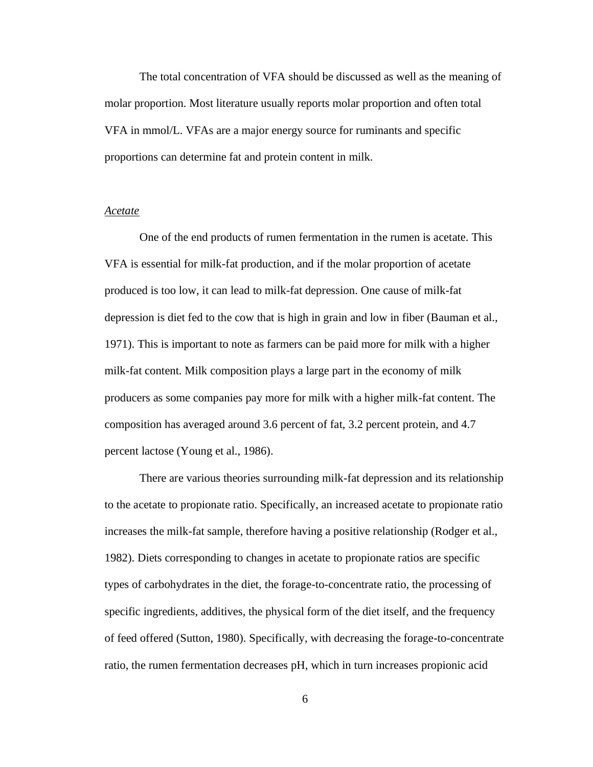The total concentration of VFA should be discussed as well as the meaning of molar proportion. Most literature usually reports molar proportion and often total VFA in mmol/L. VFAs are a major energy source for ruminants and specific proportions can determine fat and protein content in milk.

#### *Acetate*

One of the end products of rumen fermentation in the rumen is acetate. This VFA is essential for milk-fat production, and if the molar proportion of acetate produced is too low, it can lead to milk-fat depression. One cause of milk-fat depression is diet fed to the cow that is high in grain and low in fiber (Bauman et al., 1971). This is important to note as farmers can be paid more for milk with a higher milk-fat content. Milk composition plays a large part in the economy of milk producers as some companies pay more for milk with a higher milk-fat content. The composition has averaged around 3.6 percent of fat, 3.2 percent protein, and 4.7 percent lactose (Young et al., 1986).

There are various theories surrounding milk-fat depression and its relationship to the acetate to propionate ratio. Specifically, an increased acetate to propionate ratio increases the milk-fat sample, therefore having a positive relationship (Rodger et al., 1982). Diets corresponding to changes in acetate to propionate ratios are specific types of carbohydrates in the diet, the forage-to-concentrate ratio, the processing of specific ingredients, additives, the physical form of the diet itself, and the frequency of feed offered (Sutton, 1980). Specifically, with decreasing the forage-to-concentrate ratio, the rumen fermentation decreases pH, which in turn increases propionic acid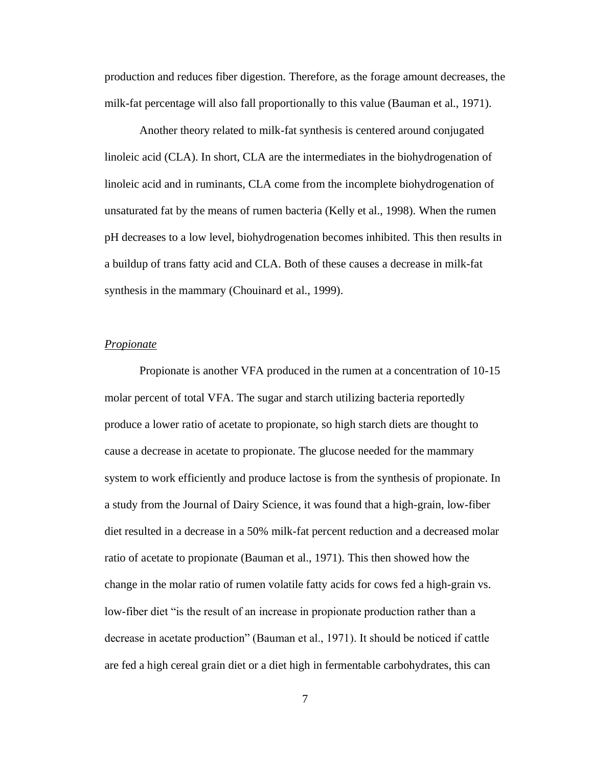production and reduces fiber digestion. Therefore, as the forage amount decreases, the milk-fat percentage will also fall proportionally to this value (Bauman et al., 1971).

 Another theory related to milk-fat synthesis is centered around conjugated linoleic acid (CLA). In short, CLA are the intermediates in the biohydrogenation of linoleic acid and in ruminants, CLA come from the incomplete biohydrogenation of unsaturated fat by the means of rumen bacteria (Kelly et al., 1998). When the rumen pH decreases to a low level, biohydrogenation becomes inhibited. This then results in a buildup of trans fatty acid and CLA. Both of these causes a decrease in milk-fat synthesis in the mammary (Chouinard et al., 1999).

#### *Propionate*

 Propionate is another VFA produced in the rumen at a concentration of 10-15 molar percent of total VFA. The sugar and starch utilizing bacteria reportedly produce a lower ratio of acetate to propionate, so high starch diets are thought to cause a decrease in acetate to propionate. The glucose needed for the mammary system to work efficiently and produce lactose is from the synthesis of propionate. In a study from the Journal of Dairy Science, it was found that a high-grain, low-fiber diet resulted in a decrease in a 50% milk-fat percent reduction and a decreased molar ratio of acetate to propionate (Bauman et al., 1971). This then showed how the change in the molar ratio of rumen volatile fatty acids for cows fed a high-grain vs. low-fiber diet "is the result of an increase in propionate production rather than a decrease in acetate production" (Bauman et al., 1971). It should be noticed if cattle are fed a high cereal grain diet or a diet high in fermentable carbohydrates, this can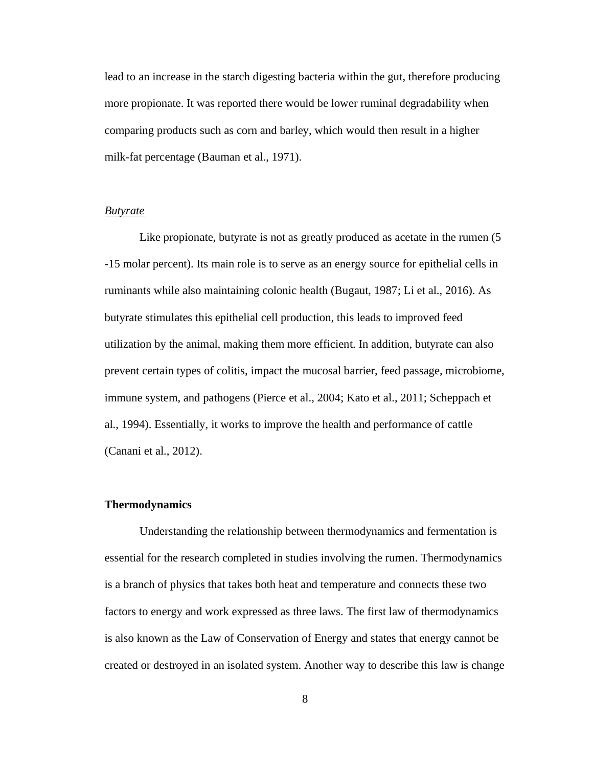lead to an increase in the starch digesting bacteria within the gut, therefore producing more propionate. It was reported there would be lower ruminal degradability when comparing products such as corn and barley, which would then result in a higher milk-fat percentage (Bauman et al., 1971).

### *Butyrate*

Like propionate, butyrate is not as greatly produced as acetate in the rumen  $(5)$ -15 molar percent). Its main role is to serve as an energy source for epithelial cells in ruminants while also maintaining colonic health (Bugaut, 1987; Li et al., 2016). As butyrate stimulates this epithelial cell production, this leads to improved feed utilization by the animal, making them more efficient. In addition, butyrate can also prevent certain types of colitis, impact the mucosal barrier, feed passage, microbiome, immune system, and pathogens (Pierce et al., 2004; Kato et al., 2011; Scheppach et al., 1994). Essentially, it works to improve the health and performance of cattle (Canani et al., 2012).

#### **Thermodynamics**

Understanding the relationship between thermodynamics and fermentation is essential for the research completed in studies involving the rumen. Thermodynamics is a branch of physics that takes both heat and temperature and connects these two factors to energy and work expressed as three laws. The first law of thermodynamics is also known as the Law of Conservation of Energy and states that energy cannot be created or destroyed in an isolated system. Another way to describe this law is change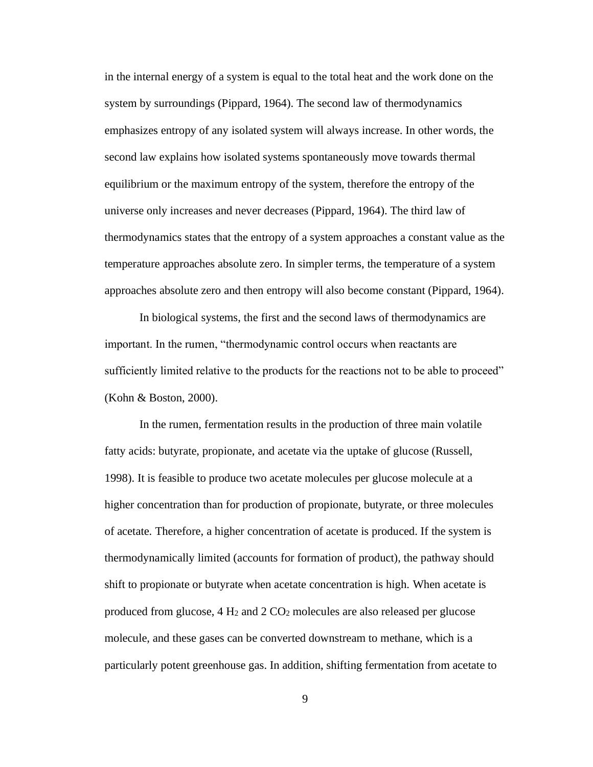in the internal energy of a system is equal to the total heat and the work done on the system by surroundings (Pippard, 1964). The second law of thermodynamics emphasizes entropy of any isolated system will always increase. In other words, the second law explains how isolated systems spontaneously move towards thermal equilibrium or the maximum entropy of the system, therefore the entropy of the universe only increases and never decreases (Pippard, 1964). The third law of thermodynamics states that the entropy of a system approaches a constant value as the temperature approaches absolute zero. In simpler terms, the temperature of a system approaches absolute zero and then entropy will also become constant (Pippard, 1964).

In biological systems, the first and the second laws of thermodynamics are important. In the rumen, "thermodynamic control occurs when reactants are sufficiently limited relative to the products for the reactions not to be able to proceed" (Kohn & Boston, 2000).

In the rumen, fermentation results in the production of three main volatile fatty acids: butyrate, propionate, and acetate via the uptake of glucose (Russell, 1998). It is feasible to produce two acetate molecules per glucose molecule at a higher concentration than for production of propionate, butyrate, or three molecules of acetate. Therefore, a higher concentration of acetate is produced. If the system is thermodynamically limited (accounts for formation of product), the pathway should shift to propionate or butyrate when acetate concentration is high. When acetate is produced from glucose, 4 H<sup>2</sup> and 2 CO<sup>2</sup> molecules are also released per glucose molecule, and these gases can be converted downstream to methane, which is a particularly potent greenhouse gas. In addition, shifting fermentation from acetate to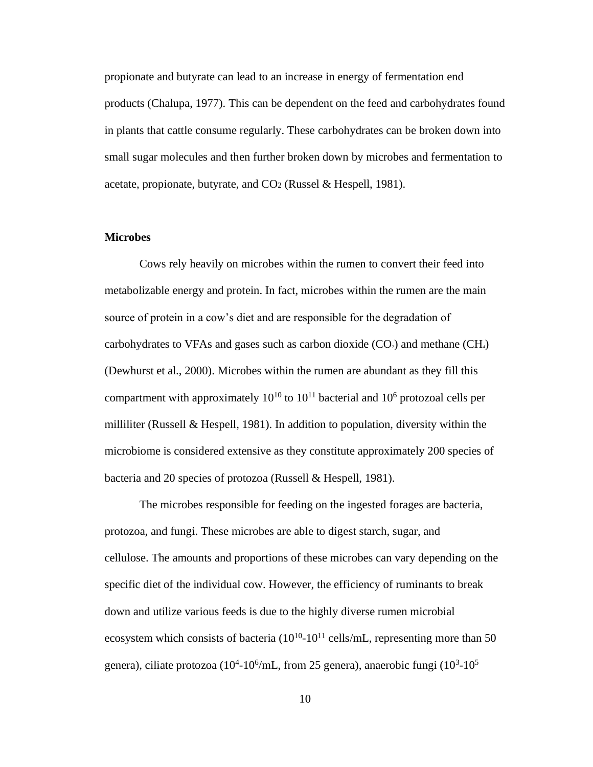propionate and butyrate can lead to an increase in energy of fermentation end products (Chalupa, 1977). This can be dependent on the feed and carbohydrates found in plants that cattle consume regularly. These carbohydrates can be broken down into small sugar molecules and then further broken down by microbes and fermentation to acetate, propionate, butyrate, and  $CO<sub>2</sub>$  (Russel & Hespell, 1981).

#### **Microbes**

 Cows rely heavily on microbes within the rumen to convert their feed into metabolizable energy and protein. In fact, microbes within the rumen are the main source of protein in a cow's diet and are responsible for the degradation of carbohydrates to VFAs and gases such as carbon dioxide  $(CO<sub>2</sub>)$  and methane  $(CH<sub>4</sub>)$ (Dewhurst et al., 2000). Microbes within the rumen are abundant as they fill this compartment with approximately  $10^{10}$  to  $10^{11}$  bacterial and  $10^6$  protozoal cells per milliliter (Russell & Hespell, 1981). In addition to population, diversity within the microbiome is considered extensive as they constitute approximately 200 species of bacteria and 20 species of protozoa (Russell & Hespell, 1981).

 The microbes responsible for feeding on the ingested forages are bacteria, protozoa, and fungi. These microbes are able to digest starch, sugar, and cellulose. The amounts and proportions of these microbes can vary depending on the specific diet of the individual cow. However, the efficiency of ruminants to break down and utilize various feeds is due to the highly diverse rumen microbial ecosystem which consists of bacteria  $(10^{10} - 10^{11})$  cells/mL, representing more than 50 genera), ciliate protozoa (10<sup>4</sup>-10<sup>6</sup>/mL, from 25 genera), anaerobic fungi (10<sup>3</sup>-10<sup>5</sup>)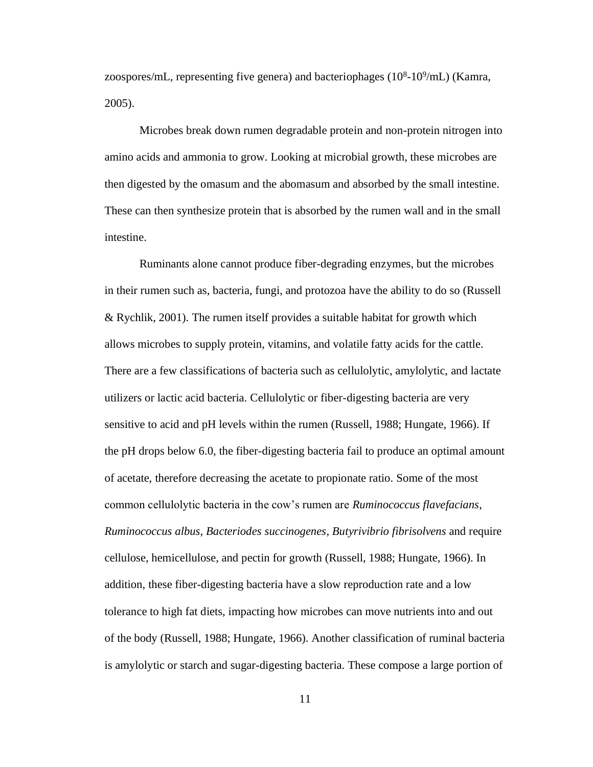zoospores/mL, representing five genera) and bacteriophages  $(10^8 \text{-} 10^9/\text{mL})$  (Kamra, 2005).

 Microbes break down rumen degradable protein and non-protein nitrogen into amino acids and ammonia to grow. Looking at microbial growth, these microbes are then digested by the omasum and the abomasum and absorbed by the small intestine. These can then synthesize protein that is absorbed by the rumen wall and in the small intestine.

Ruminants alone cannot produce fiber-degrading enzymes, but the microbes in their rumen such as, bacteria, fungi, and protozoa have the ability to do so (Russell & Rychlik, 2001). The rumen itself provides a suitable habitat for growth which allows microbes to supply protein, vitamins, and volatile fatty acids for the cattle. There are a few classifications of bacteria such as cellulolytic, amylolytic, and lactate utilizers or lactic acid bacteria. Cellulolytic or fiber-digesting bacteria are very sensitive to acid and pH levels within the rumen (Russell, 1988; Hungate, 1966). If the pH drops below 6.0, the fiber-digesting bacteria fail to produce an optimal amount of acetate, therefore decreasing the acetate to propionate ratio. Some of the most common cellulolytic bacteria in the cow's rumen are *Ruminococcus flavefacians*, *Ruminococcus albus*, *Bacteriodes succinogenes*, *Butyrivibrio fibrisolvens* and require cellulose, hemicellulose, and pectin for growth (Russell, 1988; Hungate, 1966). In addition, these fiber-digesting bacteria have a slow reproduction rate and a low tolerance to high fat diets, impacting how microbes can move nutrients into and out of the body (Russell, 1988; Hungate, 1966). Another classification of ruminal bacteria is amylolytic or starch and sugar-digesting bacteria. These compose a large portion of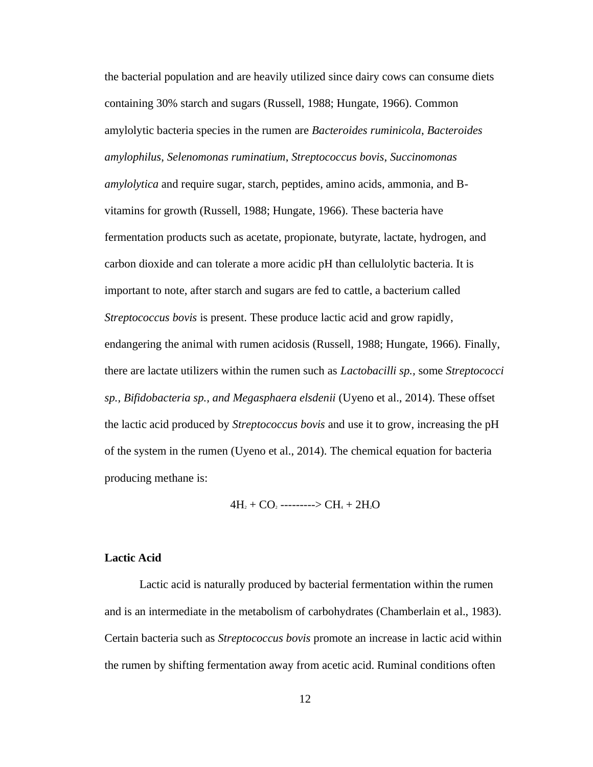the bacterial population and are heavily utilized since dairy cows can consume diets containing 30% starch and sugars (Russell, 1988; Hungate, 1966). Common amylolytic bacteria species in the rumen are *Bacteroides ruminicola*, *Bacteroides amylophilus*, *Selenomonas ruminatium*, *Streptococcus bovis*, *Succinomonas amylolytica* and require sugar, starch, peptides, amino acids, ammonia, and Bvitamins for growth (Russell, 1988; Hungate, 1966). These bacteria have fermentation products such as acetate, propionate, butyrate, lactate, hydrogen, and carbon dioxide and can tolerate a more acidic pH than cellulolytic bacteria. It is important to note, after starch and sugars are fed to cattle, a bacterium called *Streptococcus bovis* is present. These produce lactic acid and grow rapidly, endangering the animal with rumen acidosis (Russell, 1988; Hungate, 1966). Finally, there are lactate utilizers within the rumen such as *Lactobacilli sp.,* some *Streptococci sp., Bifidobacteria sp., and Megasphaera elsdenii* (Uyeno et al., 2014). These offset the lactic acid produced by *Streptococcus bovis* and use it to grow, increasing the pH of the system in the rumen (Uyeno et al., 2014). The chemical equation for bacteria producing methane is:

 $4H_2 + CO_2$  --------->  $CH_4 + 2H_2O$ 

#### **Lactic Acid**

Lactic acid is naturally produced by bacterial fermentation within the rumen and is an intermediate in the metabolism of carbohydrates (Chamberlain et al., 1983). Certain bacteria such as *Streptococcus bovis* promote an increase in lactic acid within the rumen by shifting fermentation away from acetic acid. Ruminal conditions often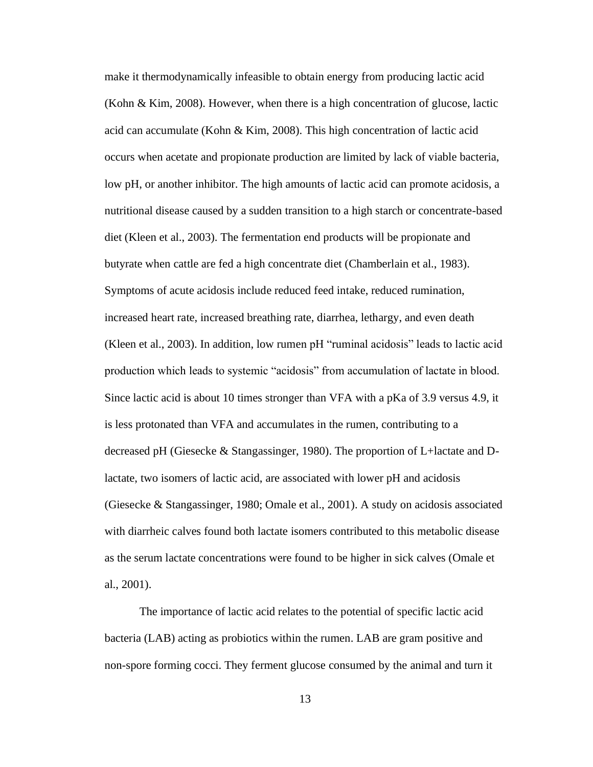make it thermodynamically infeasible to obtain energy from producing lactic acid (Kohn & Kim, 2008). However, when there is a high concentration of glucose, lactic acid can accumulate (Kohn & Kim, 2008). This high concentration of lactic acid occurs when acetate and propionate production are limited by lack of viable bacteria, low pH, or another inhibitor. The high amounts of lactic acid can promote acidosis, a nutritional disease caused by a sudden transition to a high starch or concentrate-based diet (Kleen et al., 2003). The fermentation end products will be propionate and butyrate when cattle are fed a high concentrate diet (Chamberlain et al., 1983). Symptoms of acute acidosis include reduced feed intake, reduced rumination, increased heart rate, increased breathing rate, diarrhea, lethargy, and even death (Kleen et al., 2003). In addition, low rumen pH "ruminal acidosis" leads to lactic acid production which leads to systemic "acidosis" from accumulation of lactate in blood. Since lactic acid is about 10 times stronger than VFA with a pKa of 3.9 versus 4.9, it is less protonated than VFA and accumulates in the rumen, contributing to a decreased pH (Giesecke & Stangassinger, 1980). The proportion of L+lactate and Dlactate, two isomers of lactic acid, are associated with lower pH and acidosis (Giesecke & Stangassinger, 1980; Omale et al., 2001). A study on acidosis associated with diarrheic calves found both lactate isomers contributed to this metabolic disease as the serum lactate concentrations were found to be higher in sick calves (Omale et al., 2001).

The importance of lactic acid relates to the potential of specific lactic acid bacteria (LAB) acting as probiotics within the rumen. LAB are gram positive and non-spore forming cocci. They ferment glucose consumed by the animal and turn it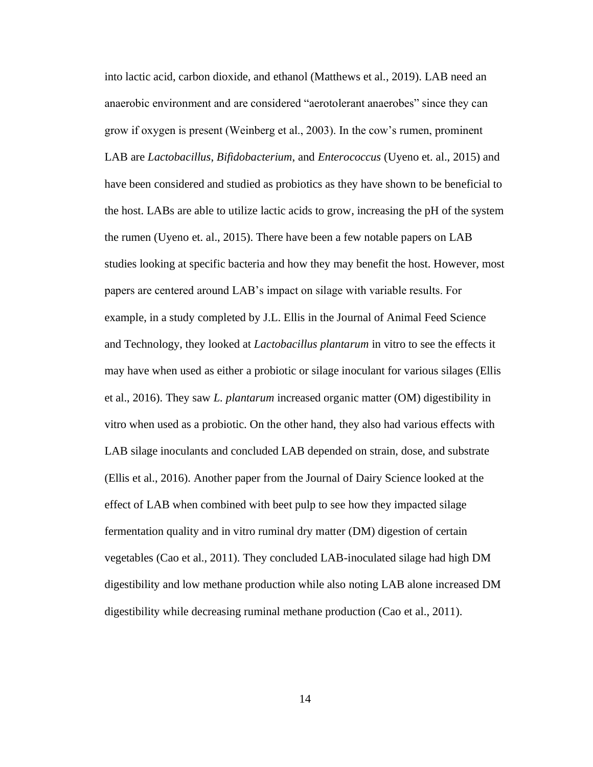into lactic acid, carbon dioxide, and ethanol (Matthews et al., 2019). LAB need an anaerobic environment and are considered "aerotolerant anaerobes" since they can grow if oxygen is present (Weinberg et al., 2003). In the cow's rumen, prominent LAB are *Lactobacillus*, *Bifidobacterium*, and *Enterococcus* (Uyeno et. al., 2015) and have been considered and studied as probiotics as they have shown to be beneficial to the host. LABs are able to utilize lactic acids to grow, increasing the pH of the system the rumen (Uyeno et. al., 2015). There have been a few notable papers on LAB studies looking at specific bacteria and how they may benefit the host. However, most papers are centered around LAB's impact on silage with variable results. For example, in a study completed by J.L. Ellis in the Journal of Animal Feed Science and Technology, they looked at *Lactobacillus plantarum* in vitro to see the effects it may have when used as either a probiotic or silage inoculant for various silages (Ellis et al., 2016). They saw *L. plantarum* increased organic matter (OM) digestibility in vitro when used as a probiotic. On the other hand, they also had various effects with LAB silage inoculants and concluded LAB depended on strain, dose, and substrate (Ellis et al., 2016). Another paper from the Journal of Dairy Science looked at the effect of LAB when combined with beet pulp to see how they impacted silage fermentation quality and in vitro ruminal dry matter (DM) digestion of certain vegetables (Cao et al., 2011). They concluded LAB-inoculated silage had high DM digestibility and low methane production while also noting LAB alone increased DM digestibility while decreasing ruminal methane production (Cao et al., 2011).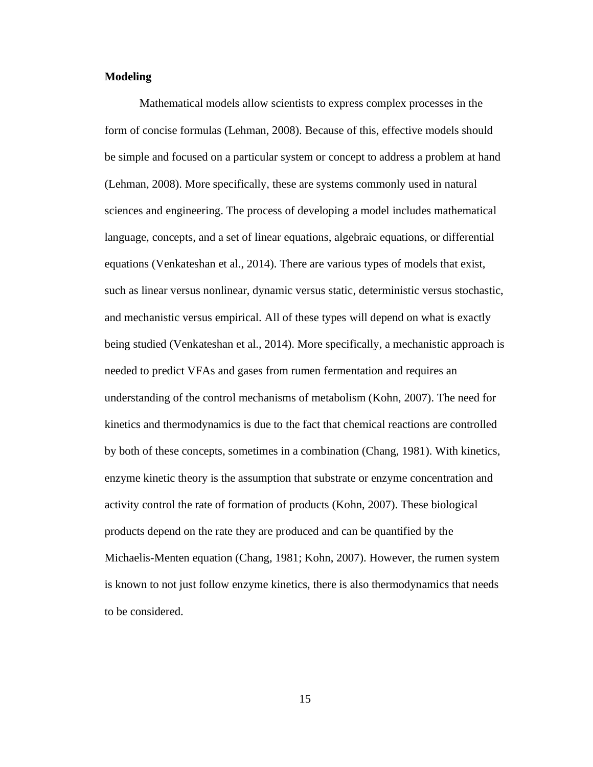#### **Modeling**

Mathematical models allow scientists to express complex processes in the form of concise formulas (Lehman, 2008). Because of this, effective models should be simple and focused on a particular system or concept to address a problem at hand (Lehman, 2008). More specifically, these are systems commonly used in natural sciences and engineering. The process of developing a model includes mathematical language, concepts, and a set of linear equations, algebraic equations, or differential equations (Venkateshan et al., 2014). There are various types of models that exist, such as linear versus nonlinear, dynamic versus static, deterministic versus stochastic, and mechanistic versus empirical. All of these types will depend on what is exactly being studied (Venkateshan et al., 2014). More specifically, a mechanistic approach is needed to predict VFAs and gases from rumen fermentation and requires an understanding of the control mechanisms of metabolism (Kohn, 2007). The need for kinetics and thermodynamics is due to the fact that chemical reactions are controlled by both of these concepts, sometimes in a combination (Chang, 1981). With kinetics, enzyme kinetic theory is the assumption that substrate or enzyme concentration and activity control the rate of formation of products (Kohn, 2007). These biological products depend on the rate they are produced and can be quantified by the Michaelis-Menten equation (Chang, 1981; Kohn, 2007). However, the rumen system is known to not just follow enzyme kinetics, there is also thermodynamics that needs to be considered.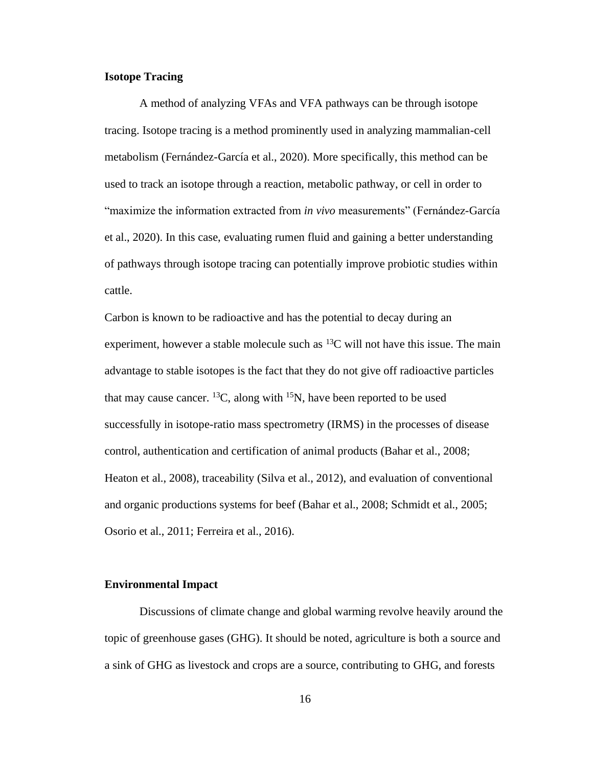### **Isotope Tracing**

A method of analyzing VFAs and VFA pathways can be through isotope tracing. Isotope tracing is a method prominently used in analyzing mammalian-cell metabolism (Fernández-García et al., 2020). More specifically, this method can be used to track an isotope through a reaction, metabolic pathway, or cell in order to "maximize the information extracted from *in vivo* measurements" (Fernández-García et al., 2020). In this case, evaluating rumen fluid and gaining a better understanding of pathways through isotope tracing can potentially improve probiotic studies within cattle.

Carbon is known to be radioactive and has the potential to decay during an experiment, however a stable molecule such as  ${}^{13}C$  will not have this issue. The main advantage to stable isotopes is the fact that they do not give off radioactive particles that may cause cancer. <sup>13</sup>C, along with <sup>15</sup>N, have been reported to be used successfully in isotope-ratio mass spectrometry (IRMS) in the processes of disease control, authentication and certification of animal products (Bahar et al., 2008; Heaton et al., 2008), traceability (Silva et al., 2012), and evaluation of conventional and organic productions systems for beef (Bahar et al., 2008; Schmidt et al., 2005; Osorio et al., 2011; Ferreira et al., 2016).

#### **Environmental Impact**

Discussions of climate change and global warming revolve heavily around the topic of greenhouse gases (GHG). It should be noted, agriculture is both a source and a sink of GHG as livestock and crops are a source, contributing to GHG, and forests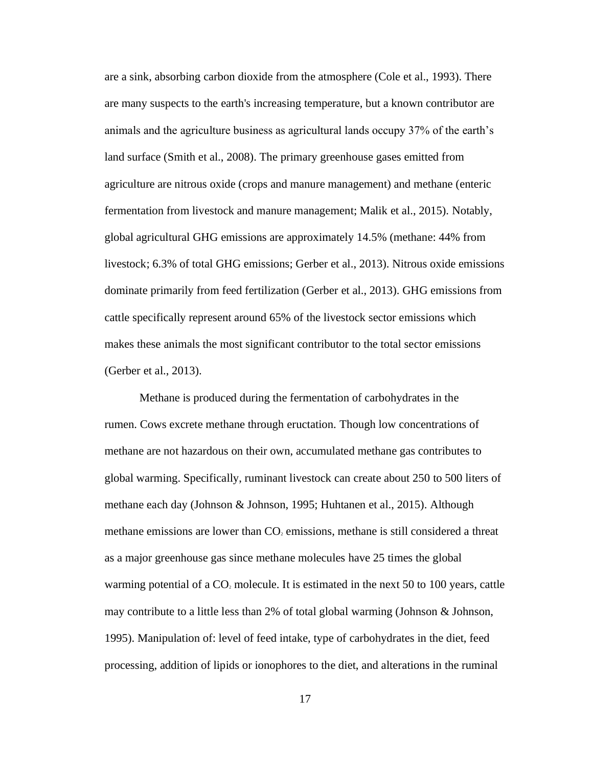are a sink, absorbing carbon dioxide from the atmosphere (Cole et al., 1993). There are many suspects to the earth's increasing temperature, but a known contributor are animals and the agriculture business as agricultural lands occupy 37% of the earth's land surface (Smith et al., 2008). The primary greenhouse gases emitted from agriculture are nitrous oxide (crops and manure management) and methane (enteric fermentation from livestock and manure management; Malik et al., 2015). Notably, global agricultural GHG emissions are approximately 14.5% (methane: 44% from livestock; 6.3% of total GHG emissions; Gerber et al., 2013). Nitrous oxide emissions dominate primarily from feed fertilization (Gerber et al., 2013). GHG emissions from cattle specifically represent around 65% of the livestock sector emissions which makes these animals the most significant contributor to the total sector emissions (Gerber et al., 2013).

Methane is produced during the fermentation of carbohydrates in the rumen. Cows excrete methane through eructation. Though low concentrations of methane are not hazardous on their own, accumulated methane gas contributes to global warming. Specifically, ruminant livestock can create about 250 to 500 liters of methane each day (Johnson & Johnson, 1995; Huhtanen et al., 2015). Although methane emissions are lower than  $CO<sub>2</sub>$  emissions, methane is still considered a threat as a major greenhouse gas since methane molecules have 25 times the global warming potential of a  $CO<sub>2</sub>$  molecule. It is estimated in the next 50 to 100 years, cattle may contribute to a little less than 2% of total global warming (Johnson & Johnson, 1995). Manipulation of: level of feed intake, type of carbohydrates in the diet, feed processing, addition of lipids or ionophores to the diet, and alterations in the ruminal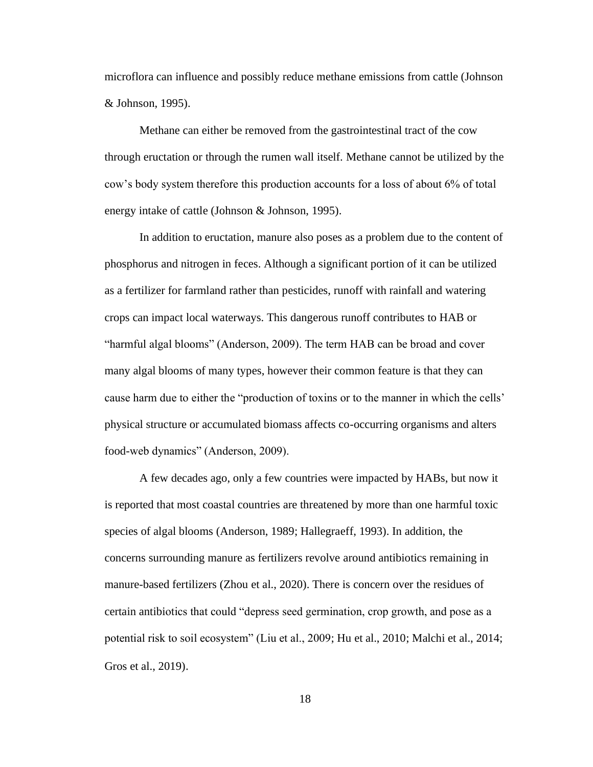microflora can influence and possibly reduce methane emissions from cattle (Johnson & Johnson, 1995).

Methane can either be removed from the gastrointestinal tract of the cow through eructation or through the rumen wall itself. Methane cannot be utilized by the cow's body system therefore this production accounts for a loss of about 6% of total energy intake of cattle (Johnson & Johnson, 1995).

In addition to eructation, manure also poses as a problem due to the content of phosphorus and nitrogen in feces. Although a significant portion of it can be utilized as a fertilizer for farmland rather than pesticides, runoff with rainfall and watering crops can impact local waterways. This dangerous runoff contributes to HAB or "harmful algal blooms" (Anderson, 2009). The term HAB can be broad and cover many algal blooms of many types, however their common feature is that they can cause harm due to either the "production of toxins or to the manner in which the cells' physical structure or accumulated biomass affects co-occurring organisms and alters food-web dynamics" (Anderson, 2009).

A few decades ago, only a few countries were impacted by HABs, but now it is reported that most coastal countries are threatened by more than one harmful toxic species of algal blooms (Anderson, 1989; Hallegraeff, 1993). In addition, the concerns surrounding manure as fertilizers revolve around antibiotics remaining in manure-based fertilizers (Zhou et al., 2020). There is concern over the residues of certain antibiotics that could "depress seed germination, crop growth, and pose as a potential risk to soil ecosystem" (Liu et al., 2009; Hu et al., 2010; Malchi et al., 2014; Gros et al., 2019).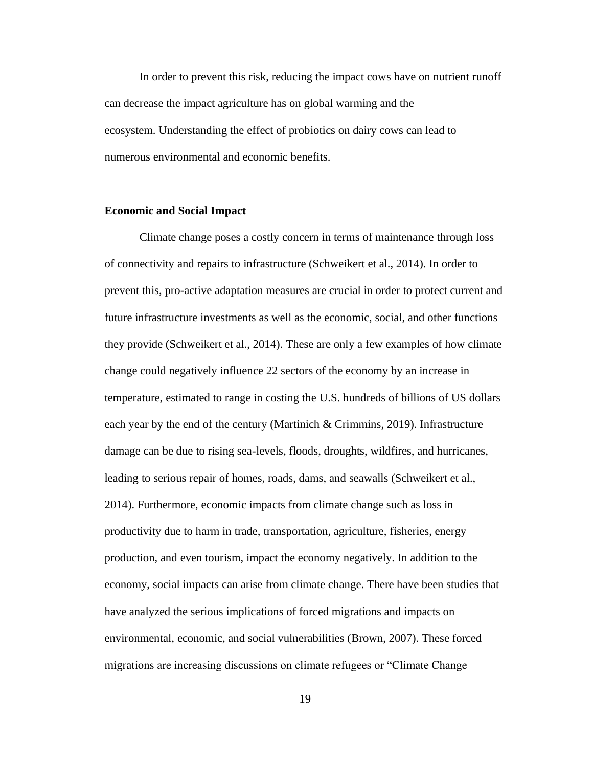In order to prevent this risk, reducing the impact cows have on nutrient runoff can decrease the impact agriculture has on global warming and the ecosystem. Understanding the effect of probiotics on dairy cows can lead to numerous environmental and economic benefits.

#### **Economic and Social Impact**

Climate change poses a costly concern in terms of maintenance through loss of connectivity and repairs to infrastructure (Schweikert et al., 2014). In order to prevent this, pro-active adaptation measures are crucial in order to protect current and future infrastructure investments as well as the economic, social, and other functions they provide (Schweikert et al., 2014). These are only a few examples of how climate change could negatively influence 22 sectors of the economy by an increase in temperature, estimated to range in costing the U.S. hundreds of billions of US dollars each year by the end of the century (Martinich & Crimmins, 2019). Infrastructure damage can be due to rising sea-levels, floods, droughts, wildfires, and hurricanes, leading to serious repair of homes, roads, dams, and seawalls (Schweikert et al., 2014). Furthermore, economic impacts from climate change such as loss in productivity due to harm in trade, transportation, agriculture, fisheries, energy production, and even tourism, impact the economy negatively. In addition to the economy, social impacts can arise from climate change. There have been studies that have analyzed the serious implications of forced migrations and impacts on environmental, economic, and social vulnerabilities (Brown, 2007). These forced migrations are increasing discussions on climate refugees or "Climate Change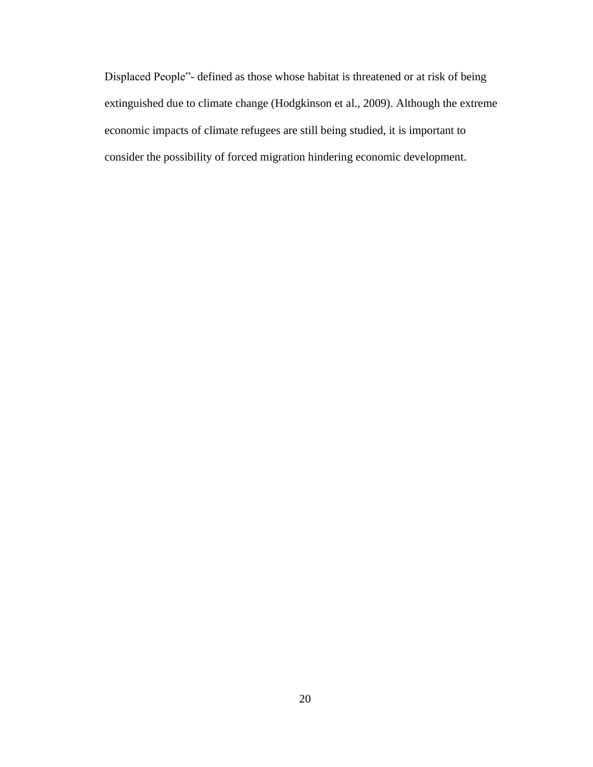Displaced People"- defined as those whose habitat is threatened or at risk of being extinguished due to climate change (Hodgkinson et al., 2009). Although the extreme economic impacts of climate refugees are still being studied, it is important to consider the possibility of forced migration hindering economic development.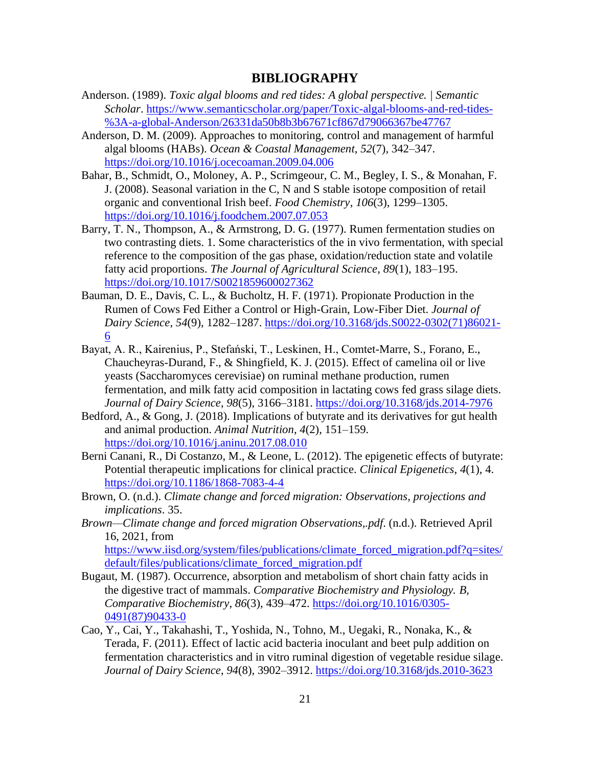### **BIBLIOGRAPHY**

- <span id="page-28-0"></span>Anderson. (1989). *Toxic algal blooms and red tides: A global perspective. | Semantic Scholar*. [https://www.semanticscholar.org/paper/Toxic-algal-blooms-and-red-tides-](https://www.semanticscholar.org/paper/Toxic-algal-blooms-and-red-tides-%3A-a-global-Anderson/26331da50b8b3b67671cf867d79066367be47767) [%3A-a-global-Anderson/26331da50b8b3b67671cf867d79066367be47767](https://www.semanticscholar.org/paper/Toxic-algal-blooms-and-red-tides-%3A-a-global-Anderson/26331da50b8b3b67671cf867d79066367be47767)
- Anderson, D. M. (2009). Approaches to monitoring, control and management of harmful algal blooms (HABs). *Ocean & Coastal Management*, *52*(7), 342–347. <https://doi.org/10.1016/j.ocecoaman.2009.04.006>
- Bahar, B., Schmidt, O., Moloney, A. P., Scrimgeour, C. M., Begley, I. S., & Monahan, F. J. (2008). Seasonal variation in the C, N and S stable isotope composition of retail organic and conventional Irish beef. *Food Chemistry*, *106*(3), 1299–1305. <https://doi.org/10.1016/j.foodchem.2007.07.053>
- Barry, T. N., Thompson, A., & Armstrong, D. G. (1977). Rumen fermentation studies on two contrasting diets. 1. Some characteristics of the in vivo fermentation, with special reference to the composition of the gas phase, oxidation/reduction state and volatile fatty acid proportions. *The Journal of Agricultural Science*, *89*(1), 183–195. <https://doi.org/10.1017/S0021859600027362>
- Bauman, D. E., Davis, C. L., & Bucholtz, H. F. (1971). Propionate Production in the Rumen of Cows Fed Either a Control or High-Grain, Low-Fiber Diet. *Journal of Dairy Science*, *54*(9), 1282–1287. [https://doi.org/10.3168/jds.S0022-0302\(71\)86021-](https://doi.org/10.3168/jds.S0022-0302(71)86021-6) [6](https://doi.org/10.3168/jds.S0022-0302(71)86021-6)
- Bayat, A. R., Kairenius, P., Stefański, T., Leskinen, H., Comtet-Marre, S., Forano, E., Chaucheyras-Durand, F., & Shingfield, K. J. (2015). Effect of camelina oil or live yeasts (Saccharomyces cerevisiae) on ruminal methane production, rumen fermentation, and milk fatty acid composition in lactating cows fed grass silage diets. *Journal of Dairy Science*, *98*(5), 3166–3181.<https://doi.org/10.3168/jds.2014-7976>
- Bedford, A., & Gong, J. (2018). Implications of butyrate and its derivatives for gut health and animal production. *Animal Nutrition*, *4*(2), 151–159. <https://doi.org/10.1016/j.aninu.2017.08.010>
- Berni Canani, R., Di Costanzo, M., & Leone, L. (2012). The epigenetic effects of butyrate: Potential therapeutic implications for clinical practice. *Clinical Epigenetics*, *4*(1), 4. <https://doi.org/10.1186/1868-7083-4-4>
- Brown, O. (n.d.). *Climate change and forced migration: Observations, projections and implications*. 35.
- *Brown—Climate change and forced migration Observations,.pdf*. (n.d.). Retrieved April 16, 2021, from [https://www.iisd.org/system/files/publications/climate\\_forced\\_migration.pdf?q=sites/](https://www.iisd.org/system/files/publications/climate_forced_migration.pdf?q=sites/default/files/publications/climate_forced_migration.pdf) [default/files/publications/climate\\_forced\\_migration.pdf](https://www.iisd.org/system/files/publications/climate_forced_migration.pdf?q=sites/default/files/publications/climate_forced_migration.pdf)
- Bugaut, M. (1987). Occurrence, absorption and metabolism of short chain fatty acids in the digestive tract of mammals. *Comparative Biochemistry and Physiology. B, Comparative Biochemistry*, *86*(3), 439–472. [https://doi.org/10.1016/0305-](https://doi.org/10.1016/0305-0491(87)90433-0) [0491\(87\)90433-0](https://doi.org/10.1016/0305-0491(87)90433-0)
- Cao, Y., Cai, Y., Takahashi, T., Yoshida, N., Tohno, M., Uegaki, R., Nonaka, K., & Terada, F. (2011). Effect of lactic acid bacteria inoculant and beet pulp addition on fermentation characteristics and in vitro ruminal digestion of vegetable residue silage. *Journal of Dairy Science*, *94*(8), 3902–3912.<https://doi.org/10.3168/jds.2010-3623>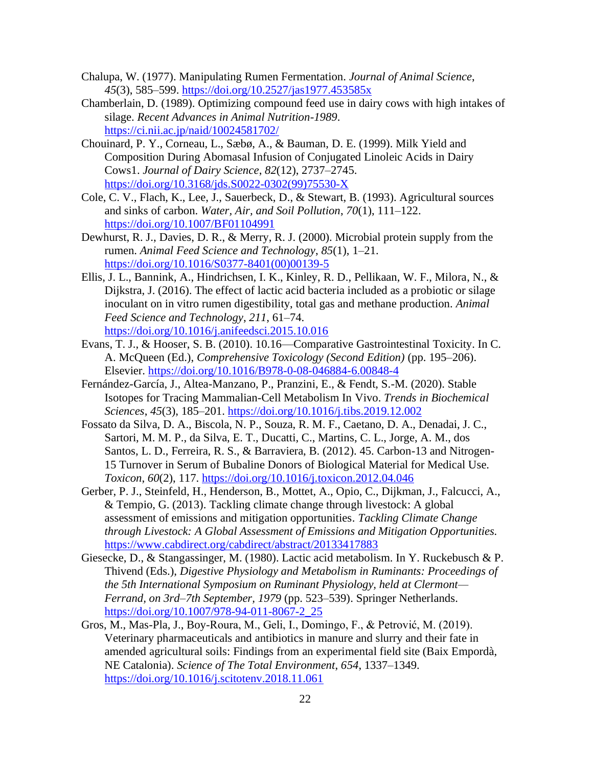- Chalupa, W. (1977). Manipulating Rumen Fermentation. *Journal of Animal Science*, *45*(3), 585–599.<https://doi.org/10.2527/jas1977.453585x>
- Chamberlain, D. (1989). Optimizing compound feed use in dairy cows with high intakes of silage. *Recent Advances in Animal Nutrition-1989*. <https://ci.nii.ac.jp/naid/10024581702/>
- Chouinard, P. Y., Corneau, L., Sæbø, A., & Bauman, D. E. (1999). Milk Yield and Composition During Abomasal Infusion of Conjugated Linoleic Acids in Dairy Cows1. *Journal of Dairy Science*, *82*(12), 2737–2745. [https://doi.org/10.3168/jds.S0022-0302\(99\)75530-X](https://doi.org/10.3168/jds.S0022-0302(99)75530-X)
- Cole, C. V., Flach, K., Lee, J., Sauerbeck, D., & Stewart, B. (1993). Agricultural sources and sinks of carbon. *Water, Air, and Soil Pollution*, *70*(1), 111–122. <https://doi.org/10.1007/BF01104991>
- Dewhurst, R. J., Davies, D. R., & Merry, R. J. (2000). Microbial protein supply from the rumen. *Animal Feed Science and Technology*, *85*(1), 1–21. [https://doi.org/10.1016/S0377-8401\(00\)00139-5](https://doi.org/10.1016/S0377-8401(00)00139-5)
- Ellis, J. L., Bannink, A., Hindrichsen, I. K., Kinley, R. D., Pellikaan, W. F., Milora, N., & Dijkstra, J. (2016). The effect of lactic acid bacteria included as a probiotic or silage inoculant on in vitro rumen digestibility, total gas and methane production. *Animal Feed Science and Technology*, *211*, 61–74. <https://doi.org/10.1016/j.anifeedsci.2015.10.016>
- Evans, T. J., & Hooser, S. B. (2010). 10.16—Comparative Gastrointestinal Toxicity. In C. A. McQueen (Ed.), *Comprehensive Toxicology (Second Edition)* (pp. 195–206). Elsevier.<https://doi.org/10.1016/B978-0-08-046884-6.00848-4>
- Fernández-García, J., Altea-Manzano, P., Pranzini, E., & Fendt, S.-M. (2020). Stable Isotopes for Tracing Mammalian-Cell Metabolism In Vivo. *Trends in Biochemical Sciences*, *45*(3), 185–201.<https://doi.org/10.1016/j.tibs.2019.12.002>
- Fossato da Silva, D. A., Biscola, N. P., Souza, R. M. F., Caetano, D. A., Denadai, J. C., Sartori, M. M. P., da Silva, E. T., Ducatti, C., Martins, C. L., Jorge, A. M., dos Santos, L. D., Ferreira, R. S., & Barraviera, B. (2012). 45. Carbon-13 and Nitrogen-15 Turnover in Serum of Bubaline Donors of Biological Material for Medical Use. *Toxicon*, *60*(2), 117.<https://doi.org/10.1016/j.toxicon.2012.04.046>
- Gerber, P. J., Steinfeld, H., Henderson, B., Mottet, A., Opio, C., Dijkman, J., Falcucci, A., & Tempio, G. (2013). Tackling climate change through livestock: A global assessment of emissions and mitigation opportunities. *Tackling Climate Change through Livestock: A Global Assessment of Emissions and Mitigation Opportunities.* <https://www.cabdirect.org/cabdirect/abstract/20133417883>
- Giesecke, D., & Stangassinger, M. (1980). Lactic acid metabolism. In Y. Ruckebusch & P. Thivend (Eds.), *Digestive Physiology and Metabolism in Ruminants: Proceedings of the 5th International Symposium on Ruminant Physiology, held at Clermont— Ferrand, on 3rd–7th September, 1979* (pp. 523–539). Springer Netherlands. [https://doi.org/10.1007/978-94-011-8067-2\\_25](https://doi.org/10.1007/978-94-011-8067-2_25)
- Gros, M., Mas-Pla, J., Boy-Roura, M., Geli, I., Domingo, F., & Petrović, M. (2019). Veterinary pharmaceuticals and antibiotics in manure and slurry and their fate in amended agricultural soils: Findings from an experimental field site (Baix Empordà, NE Catalonia). *Science of The Total Environment*, *654*, 1337–1349. <https://doi.org/10.1016/j.scitotenv.2018.11.061>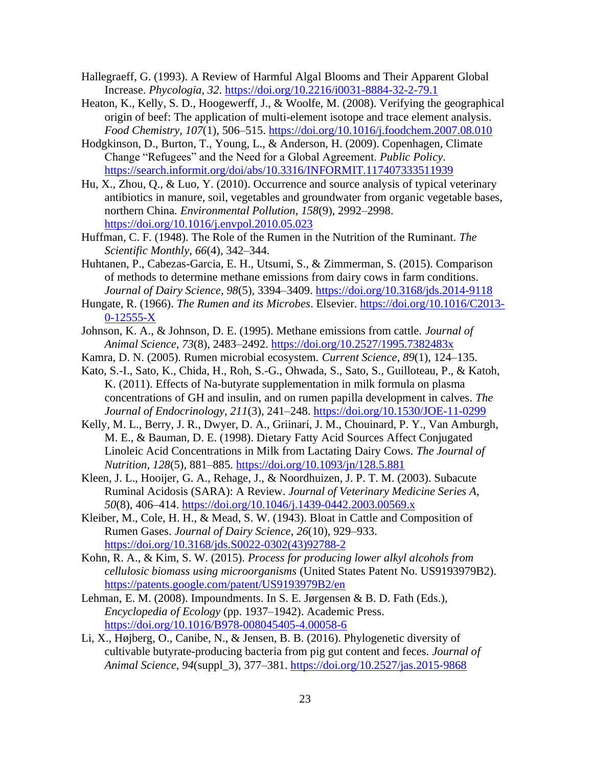- Hallegraeff, G. (1993). A Review of Harmful Algal Blooms and Their Apparent Global Increase. *Phycologia*, *32*.<https://doi.org/10.2216/i0031-8884-32-2-79.1>
- Heaton, K., Kelly, S. D., Hoogewerff, J., & Woolfe, M. (2008). Verifying the geographical origin of beef: The application of multi-element isotope and trace element analysis. *Food Chemistry*, *107*(1), 506–515.<https://doi.org/10.1016/j.foodchem.2007.08.010>
- Hodgkinson, D., Burton, T., Young, L., & Anderson, H. (2009). Copenhagen, Climate Change "Refugees" and the Need for a Global Agreement. *Public Policy*. <https://search.informit.org/doi/abs/10.3316/INFORMIT.117407333511939>
- Hu, X., Zhou, Q., & Luo, Y. (2010). Occurrence and source analysis of typical veterinary antibiotics in manure, soil, vegetables and groundwater from organic vegetable bases, northern China. *Environmental Pollution*, *158*(9), 2992–2998. <https://doi.org/10.1016/j.envpol.2010.05.023>
- Huffman, C. F. (1948). The Role of the Rumen in the Nutrition of the Ruminant. *The Scientific Monthly*, *66*(4), 342–344.
- Huhtanen, P., Cabezas-Garcia, E. H., Utsumi, S., & Zimmerman, S. (2015). Comparison of methods to determine methane emissions from dairy cows in farm conditions. *Journal of Dairy Science*, *98*(5), 3394–3409.<https://doi.org/10.3168/jds.2014-9118>
- Hungate, R. (1966). *The Rumen and its Microbes*. Elsevier. [https://doi.org/10.1016/C2013-](https://doi.org/10.1016/C2013-0-12555-X) [0-12555-X](https://doi.org/10.1016/C2013-0-12555-X)
- Johnson, K. A., & Johnson, D. E. (1995). Methane emissions from cattle. *Journal of Animal Science*, *73*(8), 2483–2492.<https://doi.org/10.2527/1995.7382483x>
- Kamra, D. N. (2005). Rumen microbial ecosystem. *Current Science*, *89*(1), 124–135.
- Kato, S.-I., Sato, K., Chida, H., Roh, S.-G., Ohwada, S., Sato, S., Guilloteau, P., & Katoh, K. (2011). Effects of Na-butyrate supplementation in milk formula on plasma concentrations of GH and insulin, and on rumen papilla development in calves. *The Journal of Endocrinology*, *211*(3), 241–248.<https://doi.org/10.1530/JOE-11-0299>
- Kelly, M. L., Berry, J. R., Dwyer, D. A., Griinari, J. M., Chouinard, P. Y., Van Amburgh, M. E., & Bauman, D. E. (1998). Dietary Fatty Acid Sources Affect Conjugated Linoleic Acid Concentrations in Milk from Lactating Dairy Cows. *The Journal of Nutrition*, *128*(5), 881–885.<https://doi.org/10.1093/jn/128.5.881>
- Kleen, J. L., Hooijer, G. A., Rehage, J., & Noordhuizen, J. P. T. M. (2003). Subacute Ruminal Acidosis (SARA): A Review. *Journal of Veterinary Medicine Series A*, *50*(8), 406–414.<https://doi.org/10.1046/j.1439-0442.2003.00569.x>
- Kleiber, M., Cole, H. H., & Mead, S. W. (1943). Bloat in Cattle and Composition of Rumen Gases. *Journal of Dairy Science*, *26*(10), 929–933. [https://doi.org/10.3168/jds.S0022-0302\(43\)92788-2](https://doi.org/10.3168/jds.S0022-0302(43)92788-2)
- Kohn, R. A., & Kim, S. W. (2015). *Process for producing lower alkyl alcohols from cellulosic biomass using microorganisms* (United States Patent No. US9193979B2). <https://patents.google.com/patent/US9193979B2/en>
- Lehman, E. M. (2008). Impoundments. In S. E. Jørgensen & B. D. Fath (Eds.), *Encyclopedia of Ecology* (pp. 1937–1942). Academic Press. <https://doi.org/10.1016/B978-008045405-4.00058-6>
- Li, X., Højberg, O., Canibe, N., & Jensen, B. B. (2016). Phylogenetic diversity of cultivable butyrate-producing bacteria from pig gut content and feces. *Journal of Animal Science*, *94*(suppl\_3), 377–381.<https://doi.org/10.2527/jas.2015-9868>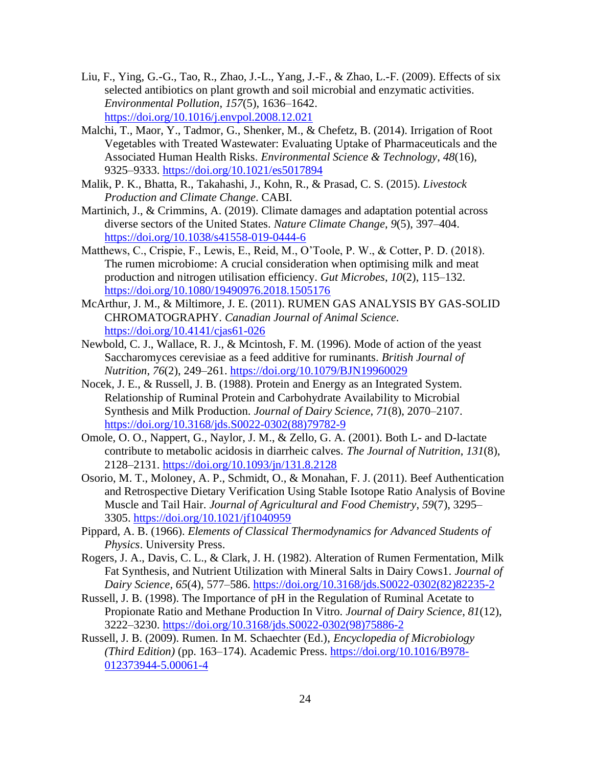- Liu, F., Ying, G.-G., Tao, R., Zhao, J.-L., Yang, J.-F., & Zhao, L.-F. (2009). Effects of six selected antibiotics on plant growth and soil microbial and enzymatic activities. *Environmental Pollution*, *157*(5), 1636–1642. <https://doi.org/10.1016/j.envpol.2008.12.021>
- Malchi, T., Maor, Y., Tadmor, G., Shenker, M., & Chefetz, B. (2014). Irrigation of Root Vegetables with Treated Wastewater: Evaluating Uptake of Pharmaceuticals and the Associated Human Health Risks. *Environmental Science & Technology*, *48*(16), 9325–9333.<https://doi.org/10.1021/es5017894>
- Malik, P. K., Bhatta, R., Takahashi, J., Kohn, R., & Prasad, C. S. (2015). *Livestock Production and Climate Change*. CABI.
- Martinich, J., & Crimmins, A. (2019). Climate damages and adaptation potential across diverse sectors of the United States. *Nature Climate Change*, *9*(5), 397–404. <https://doi.org/10.1038/s41558-019-0444-6>
- Matthews, C., Crispie, F., Lewis, E., Reid, M., O'Toole, P. W., & Cotter, P. D. (2018). The rumen microbiome: A crucial consideration when optimising milk and meat production and nitrogen utilisation efficiency. *Gut Microbes*, *10*(2), 115–132. <https://doi.org/10.1080/19490976.2018.1505176>
- McArthur, J. M., & Miltimore, J. E. (2011). RUMEN GAS ANALYSIS BY GAS-SOLID CHROMATOGRAPHY. *Canadian Journal of Animal Science*. <https://doi.org/10.4141/cjas61-026>
- Newbold, C. J., Wallace, R. J., & Mcintosh, F. M. (1996). Mode of action of the yeast Saccharomyces cerevisiae as a feed additive for ruminants. *British Journal of Nutrition*, *76*(2), 249–261.<https://doi.org/10.1079/BJN19960029>
- Nocek, J. E., & Russell, J. B. (1988). Protein and Energy as an Integrated System. Relationship of Ruminal Protein and Carbohydrate Availability to Microbial Synthesis and Milk Production. *Journal of Dairy Science*, *71*(8), 2070–2107. [https://doi.org/10.3168/jds.S0022-0302\(88\)79782-9](https://doi.org/10.3168/jds.S0022-0302(88)79782-9)
- Omole, O. O., Nappert, G., Naylor, J. M., & Zello, G. A. (2001). Both L- and D-lactate contribute to metabolic acidosis in diarrheic calves. *The Journal of Nutrition*, *131*(8), 2128–2131.<https://doi.org/10.1093/jn/131.8.2128>
- Osorio, M. T., Moloney, A. P., Schmidt, O., & Monahan, F. J. (2011). Beef Authentication and Retrospective Dietary Verification Using Stable Isotope Ratio Analysis of Bovine Muscle and Tail Hair. *Journal of Agricultural and Food Chemistry*, *59*(7), 3295– 3305.<https://doi.org/10.1021/jf1040959>
- Pippard, A. B. (1966). *Elements of Classical Thermodynamics for Advanced Students of Physics*. University Press.
- Rogers, J. A., Davis, C. L., & Clark, J. H. (1982). Alteration of Rumen Fermentation, Milk Fat Synthesis, and Nutrient Utilization with Mineral Salts in Dairy Cows1. *Journal of Dairy Science*, *65*(4), 577–586. [https://doi.org/10.3168/jds.S0022-0302\(82\)82235-2](https://doi.org/10.3168/jds.S0022-0302(82)82235-2)
- Russell, J. B. (1998). The Importance of pH in the Regulation of Ruminal Acetate to Propionate Ratio and Methane Production In Vitro. *Journal of Dairy Science*, *81*(12), 3222–3230. [https://doi.org/10.3168/jds.S0022-0302\(98\)75886-2](https://doi.org/10.3168/jds.S0022-0302(98)75886-2)
- Russell, J. B. (2009). Rumen. In M. Schaechter (Ed.), *Encyclopedia of Microbiology (Third Edition)* (pp. 163–174). Academic Press. [https://doi.org/10.1016/B978-](https://doi.org/10.1016/B978-012373944-5.00061-4) [012373944-5.00061-4](https://doi.org/10.1016/B978-012373944-5.00061-4)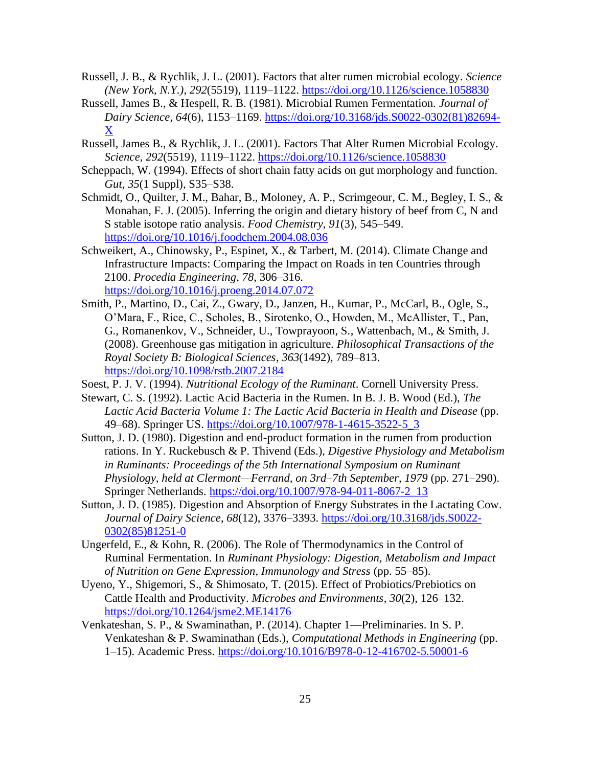- Russell, J. B., & Rychlik, J. L. (2001). Factors that alter rumen microbial ecology. *Science (New York, N.Y.)*, *292*(5519), 1119–1122.<https://doi.org/10.1126/science.1058830>
- Russell, James B., & Hespell, R. B. (1981). Microbial Rumen Fermentation. *Journal of Dairy Science*, *64*(6), 1153–1169. [https://doi.org/10.3168/jds.S0022-0302\(81\)82694-](https://doi.org/10.3168/jds.S0022-0302(81)82694-X) [X](https://doi.org/10.3168/jds.S0022-0302(81)82694-X)
- Russell, James B., & Rychlik, J. L. (2001). Factors That Alter Rumen Microbial Ecology. *Science*, *292*(5519), 1119–1122.<https://doi.org/10.1126/science.1058830>
- Scheppach, W. (1994). Effects of short chain fatty acids on gut morphology and function. *Gut*, *35*(1 Suppl), S35–S38.
- Schmidt, O., Quilter, J. M., Bahar, B., Moloney, A. P., Scrimgeour, C. M., Begley, I. S., & Monahan, F. J. (2005). Inferring the origin and dietary history of beef from C, N and S stable isotope ratio analysis. *Food Chemistry*, *91*(3), 545–549. <https://doi.org/10.1016/j.foodchem.2004.08.036>
- Schweikert, A., Chinowsky, P., Espinet, X., & Tarbert, M. (2014). Climate Change and Infrastructure Impacts: Comparing the Impact on Roads in ten Countries through 2100. *Procedia Engineering*, *78*, 306–316. <https://doi.org/10.1016/j.proeng.2014.07.072>
- Smith, P., Martino, D., Cai, Z., Gwary, D., Janzen, H., Kumar, P., McCarl, B., Ogle, S., O'Mara, F., Rice, C., Scholes, B., Sirotenko, O., Howden, M., McAllister, T., Pan, G., Romanenkov, V., Schneider, U., Towprayoon, S., Wattenbach, M., & Smith, J. (2008). Greenhouse gas mitigation in agriculture. *Philosophical Transactions of the Royal Society B: Biological Sciences*, *363*(1492), 789–813. <https://doi.org/10.1098/rstb.2007.2184>
- Soest, P. J. V. (1994). *Nutritional Ecology of the Ruminant*. Cornell University Press.
- Stewart, C. S. (1992). Lactic Acid Bacteria in the Rumen. In B. J. B. Wood (Ed.), *The Lactic Acid Bacteria Volume 1: The Lactic Acid Bacteria in Health and Disease* (pp. 49–68). Springer US. [https://doi.org/10.1007/978-1-4615-3522-5\\_3](https://doi.org/10.1007/978-1-4615-3522-5_3)
- Sutton, J. D. (1980). Digestion and end-product formation in the rumen from production rations. In Y. Ruckebusch & P. Thivend (Eds.), *Digestive Physiology and Metabolism in Ruminants: Proceedings of the 5th International Symposium on Ruminant Physiology, held at Clermont—Ferrand, on 3rd–7th September, 1979* (pp. 271–290). Springer Netherlands. [https://doi.org/10.1007/978-94-011-8067-2\\_13](https://doi.org/10.1007/978-94-011-8067-2_13)
- Sutton, J. D. (1985). Digestion and Absorption of Energy Substrates in the Lactating Cow. *Journal of Dairy Science*, *68*(12), 3376–3393. [https://doi.org/10.3168/jds.S0022-](https://doi.org/10.3168/jds.S0022-0302(85)81251-0) [0302\(85\)81251-0](https://doi.org/10.3168/jds.S0022-0302(85)81251-0)
- Ungerfeld, E., & Kohn, R. (2006). The Role of Thermodynamics in the Control of Ruminal Fermentation. In *Ruminant Physiology: Digestion, Metabolism and Impact of Nutrition on Gene Expression, Immunology and Stress* (pp. 55–85).
- Uyeno, Y., Shigemori, S., & Shimosato, T. (2015). Effect of Probiotics/Prebiotics on Cattle Health and Productivity. *Microbes and Environments*, *30*(2), 126–132. <https://doi.org/10.1264/jsme2.ME14176>
- Venkateshan, S. P., & Swaminathan, P. (2014). Chapter 1—Preliminaries. In S. P. Venkateshan & P. Swaminathan (Eds.), *Computational Methods in Engineering* (pp. 1–15). Academic Press.<https://doi.org/10.1016/B978-0-12-416702-5.50001-6>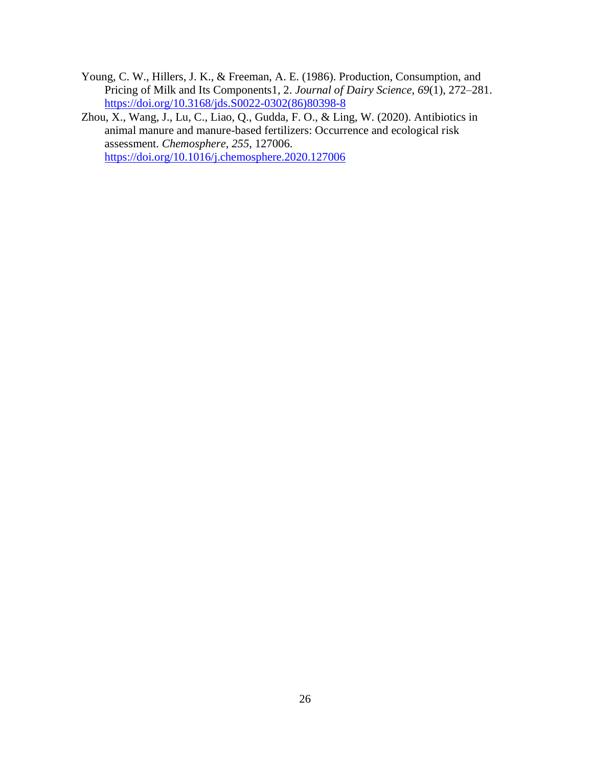- Young, C. W., Hillers, J. K., & Freeman, A. E. (1986). Production, Consumption, and Pricing of Milk and Its Components1, 2. *Journal of Dairy Science*, *69*(1), 272–281. [https://doi.org/10.3168/jds.S0022-0302\(86\)80398-8](https://doi.org/10.3168/jds.S0022-0302(86)80398-8)
- Zhou, X., Wang, J., Lu, C., Liao, Q., Gudda, F. O., & Ling, W. (2020). Antibiotics in animal manure and manure-based fertilizers: Occurrence and ecological risk assessment. *Chemosphere*, *255*, 127006. <https://doi.org/10.1016/j.chemosphere.2020.127006>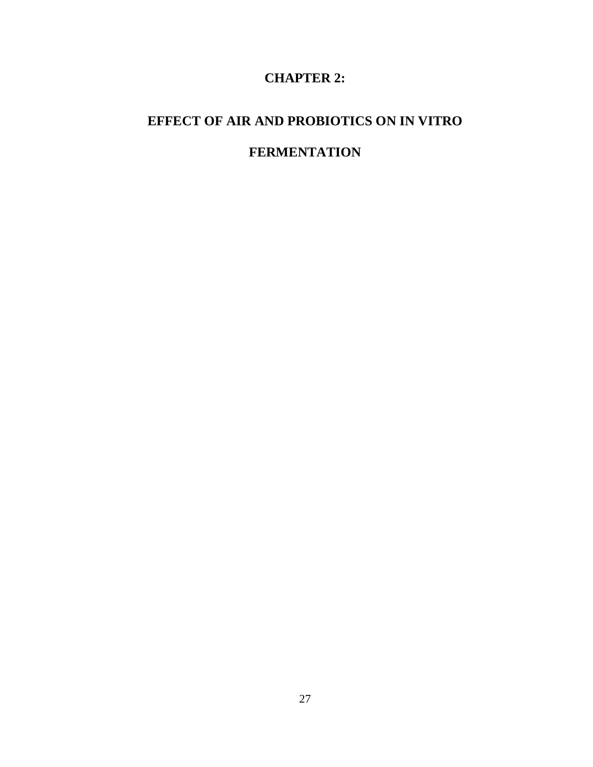## **CHAPTER 2:**

## **EFFECT OF AIR AND PROBIOTICS ON IN VITRO**

## **FERMENTATION**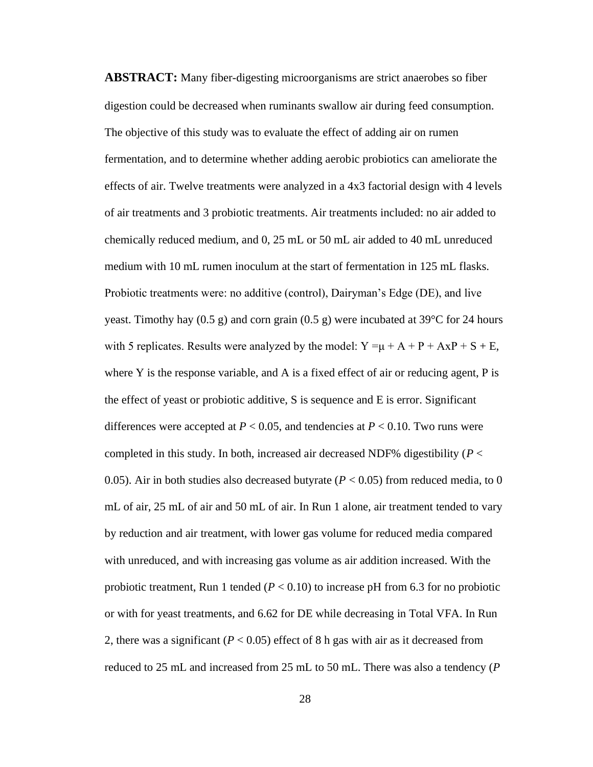**ABSTRACT:** Many fiber-digesting microorganisms are strict anaerobes so fiber digestion could be decreased when ruminants swallow air during feed consumption. The objective of this study was to evaluate the effect of adding air on rumen fermentation, and to determine whether adding aerobic probiotics can ameliorate the effects of air. Twelve treatments were analyzed in a 4x3 factorial design with 4 levels of air treatments and 3 probiotic treatments. Air treatments included: no air added to chemically reduced medium, and 0, 25 mL or 50 mL air added to 40 mL unreduced medium with 10 mL rumen inoculum at the start of fermentation in 125 mL flasks. Probiotic treatments were: no additive (control), Dairyman's Edge (DE), and live yeast. Timothy hay  $(0.5 \text{ g})$  and corn grain  $(0.5 \text{ g})$  were incubated at 39<sup>o</sup>C for 24 hours with 5 replicates. Results were analyzed by the model:  $Y = \mu + A + P + AxP + S + E$ , where Y is the response variable, and A is a fixed effect of air or reducing agent,  $P$  is the effect of yeast or probiotic additive, S is sequence and E is error. Significant differences were accepted at  $P < 0.05$ , and tendencies at  $P < 0.10$ . Two runs were completed in this study. In both, increased air decreased NDF% digestibility ( $P <$ 0.05). Air in both studies also decreased butyrate ( $P < 0.05$ ) from reduced media, to 0 mL of air, 25 mL of air and 50 mL of air. In Run 1 alone, air treatment tended to vary by reduction and air treatment, with lower gas volume for reduced media compared with unreduced, and with increasing gas volume as air addition increased. With the probiotic treatment, Run 1 tended  $(P < 0.10)$  to increase pH from 6.3 for no probiotic or with for yeast treatments, and 6.62 for DE while decreasing in Total VFA. In Run 2, there was a significant  $(P < 0.05)$  effect of 8 h gas with air as it decreased from reduced to 25 mL and increased from 25 mL to 50 mL. There was also a tendency (*P*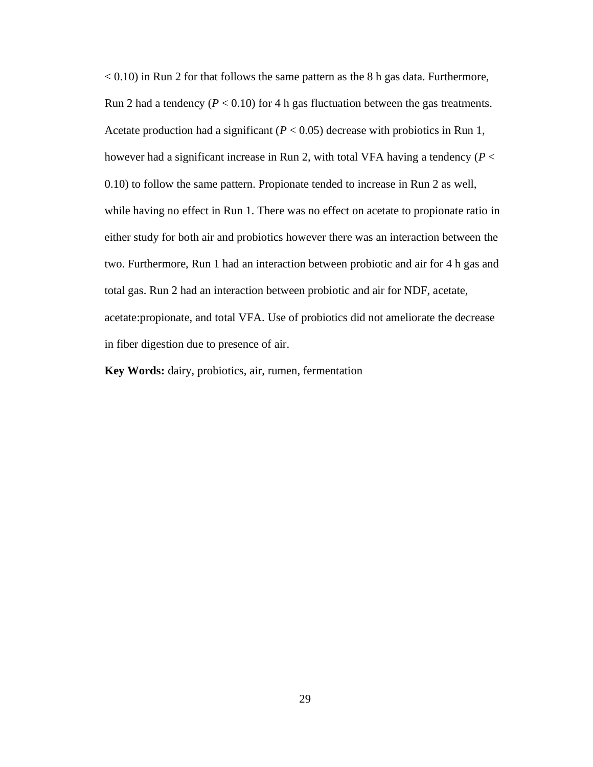$< 0.10$ ) in Run 2 for that follows the same pattern as the 8 h gas data. Furthermore, Run 2 had a tendency  $(P < 0.10)$  for 4 h gas fluctuation between the gas treatments. Acetate production had a significant  $(P < 0.05)$  decrease with probiotics in Run 1, however had a significant increase in Run 2, with total VFA having a tendency (*P* < 0.10) to follow the same pattern. Propionate tended to increase in Run 2 as well, while having no effect in Run 1. There was no effect on acetate to propionate ratio in either study for both air and probiotics however there was an interaction between the two. Furthermore, Run 1 had an interaction between probiotic and air for 4 h gas and total gas. Run 2 had an interaction between probiotic and air for NDF, acetate, acetate:propionate, and total VFA. Use of probiotics did not ameliorate the decrease in fiber digestion due to presence of air.

**Key Words:** dairy, probiotics, air, rumen, fermentation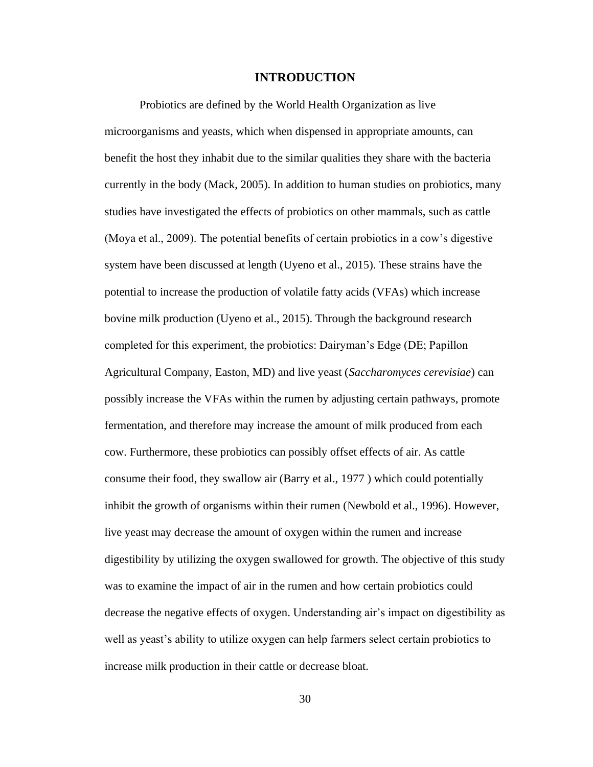## **INTRODUCTION**

Probiotics are defined by the World Health Organization as live microorganisms and yeasts, which when dispensed in appropriate amounts, can benefit the host they inhabit due to the similar qualities they share with the bacteria currently in the body (Mack, 2005). In addition to human studies on probiotics, many studies have investigated the effects of probiotics on other mammals, such as cattle (Moya et al., 2009). The potential benefits of certain probiotics in a cow's digestive system have been discussed at length (Uyeno et al., 2015). These strains have the potential to increase the production of volatile fatty acids (VFAs) which increase bovine milk production (Uyeno et al., 2015). Through the background research completed for this experiment, the probiotics: Dairyman's Edge (DE; Papillon Agricultural Company, Easton, MD) and live yeast (*Saccharomyces cerevisiae*) can possibly increase the VFAs within the rumen by adjusting certain pathways, promote fermentation, and therefore may increase the amount of milk produced from each cow. Furthermore, these probiotics can possibly offset effects of air. As cattle consume their food, they swallow air (Barry et al., 1977 ) which could potentially inhibit the growth of organisms within their rumen (Newbold et al., 1996). However, live yeast may decrease the amount of oxygen within the rumen and increase digestibility by utilizing the oxygen swallowed for growth. The objective of this study was to examine the impact of air in the rumen and how certain probiotics could decrease the negative effects of oxygen. Understanding air's impact on digestibility as well as yeast's ability to utilize oxygen can help farmers select certain probiotics to increase milk production in their cattle or decrease bloat.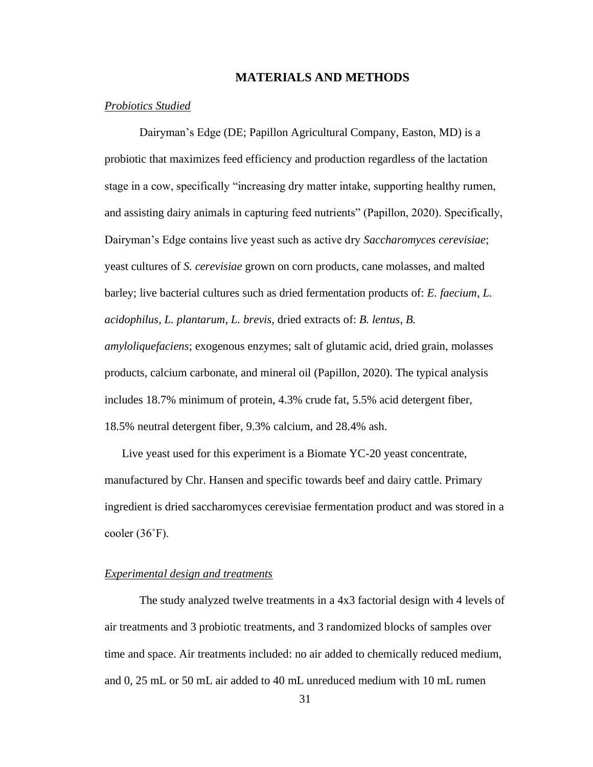# **MATERIALS AND METHODS**

## *Probiotics Studied*

Dairyman's Edge (DE; Papillon Agricultural Company, Easton, MD) is a probiotic that maximizes feed efficiency and production regardless of the lactation stage in a cow, specifically "increasing dry matter intake, supporting healthy rumen, and assisting dairy animals in capturing feed nutrients" (Papillon, 2020). Specifically, Dairyman's Edge contains live yeast such as active dry *Saccharomyces cerevisiae*; yeast cultures of *S. cerevisiae* grown on corn products, cane molasses, and malted barley; live bacterial cultures such as dried fermentation products of: *E. faecium*, *L. acidophilus*, *L. plantarum*, *L. brevis*, dried extracts of: *B. lentus*, *B. amyloliquefaciens*; exogenous enzymes; salt of glutamic acid, dried grain, molasses products, calcium carbonate, and mineral oil (Papillon, 2020). The typical analysis includes 18.7% minimum of protein, 4.3% crude fat, 5.5% acid detergent fiber, 18.5% neutral detergent fiber, 9.3% calcium, and 28.4% ash.

Live yeast used for this experiment is a Biomate YC-20 yeast concentrate, manufactured by Chr. Hansen and specific towards beef and dairy cattle. Primary ingredient is dried saccharomyces cerevisiae fermentation product and was stored in a cooler (36˚F).

## *Experimental design and treatments*

The study analyzed twelve treatments in a 4x3 factorial design with 4 levels of air treatments and 3 probiotic treatments, and 3 randomized blocks of samples over time and space. Air treatments included: no air added to chemically reduced medium, and 0, 25 mL or 50 mL air added to 40 mL unreduced medium with 10 mL rumen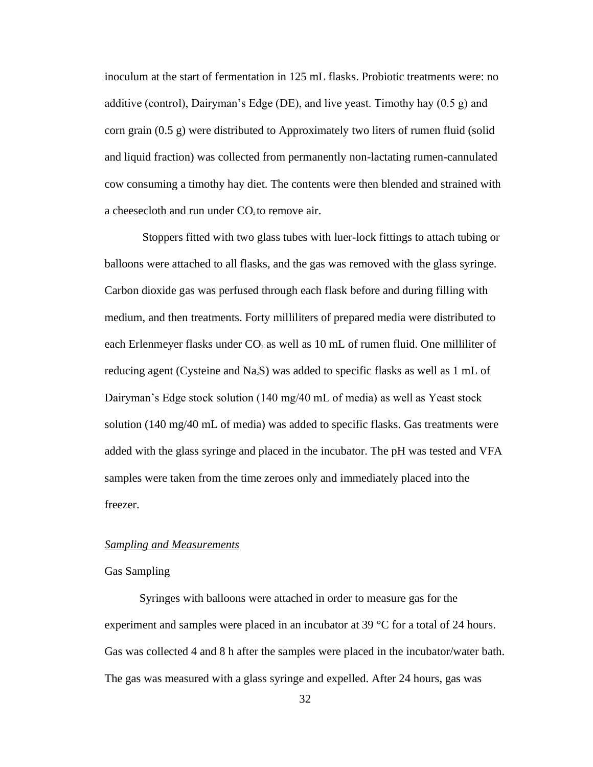inoculum at the start of fermentation in 125 mL flasks. Probiotic treatments were: no additive (control), Dairyman's Edge (DE), and live yeast. Timothy hay  $(0.5 \text{ g})$  and corn grain (0.5 g) were distributed to Approximately two liters of rumen fluid (solid and liquid fraction) was collected from permanently non-lactating rumen-cannulated cow consuming a timothy hay diet. The contents were then blended and strained with a cheesecloth and run under  $CO<sub>2</sub>$  to remove air.

Stoppers fitted with two glass tubes with luer-lock fittings to attach tubing or balloons were attached to all flasks, and the gas was removed with the glass syringe. Carbon dioxide gas was perfused through each flask before and during filling with medium, and then treatments. Forty milliliters of prepared media were distributed to each Erlenmeyer flasks under  $CO<sub>2</sub>$  as well as 10 mL of rumen fluid. One milliliter of reducing agent (Cysteine and Na2S) was added to specific flasks as well as 1 mL of Dairyman's Edge stock solution (140 mg/40 mL of media) as well as Yeast stock solution (140 mg/40 mL of media) was added to specific flasks. Gas treatments were added with the glass syringe and placed in the incubator. The pH was tested and VFA samples were taken from the time zeroes only and immediately placed into the freezer.

#### *Sampling and Measurements*

## Gas Sampling

Syringes with balloons were attached in order to measure gas for the experiment and samples were placed in an incubator at 39 °C for a total of 24 hours. Gas was collected 4 and 8 h after the samples were placed in the incubator/water bath. The gas was measured with a glass syringe and expelled. After 24 hours, gas was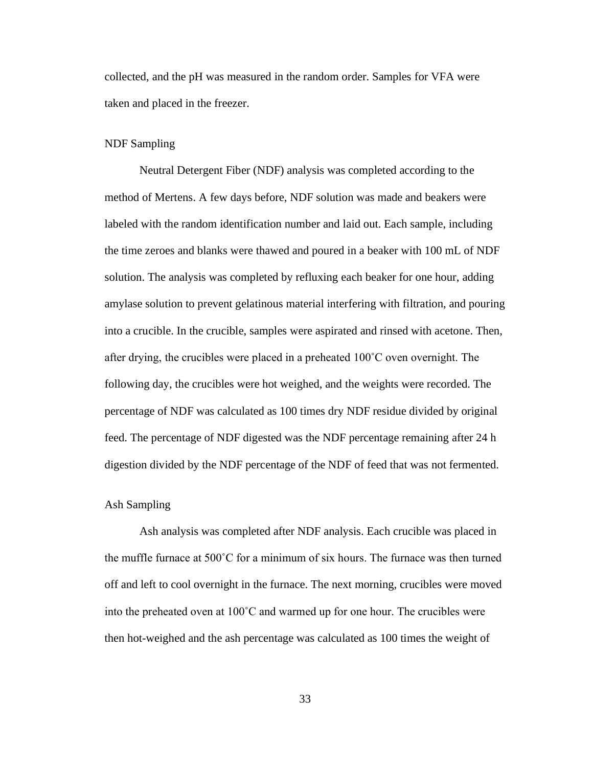collected, and the pH was measured in the random order. Samples for VFA were taken and placed in the freezer.

## NDF Sampling

Neutral Detergent Fiber (NDF) analysis was completed according to the method of Mertens. A few days before, NDF solution was made and beakers were labeled with the random identification number and laid out. Each sample, including the time zeroes and blanks were thawed and poured in a beaker with 100 mL of NDF solution. The analysis was completed by refluxing each beaker for one hour, adding amylase solution to prevent gelatinous material interfering with filtration, and pouring into a crucible. In the crucible, samples were aspirated and rinsed with acetone. Then, after drying, the crucibles were placed in a preheated 100˚C oven overnight. The following day, the crucibles were hot weighed, and the weights were recorded. The percentage of NDF was calculated as 100 times dry NDF residue divided by original feed. The percentage of NDF digested was the NDF percentage remaining after 24 h digestion divided by the NDF percentage of the NDF of feed that was not fermented.

## Ash Sampling

Ash analysis was completed after NDF analysis. Each crucible was placed in the muffle furnace at  $500^{\circ}$ C for a minimum of six hours. The furnace was then turned off and left to cool overnight in the furnace. The next morning, crucibles were moved into the preheated oven at 100˚C and warmed up for one hour. The crucibles were then hot-weighed and the ash percentage was calculated as 100 times the weight of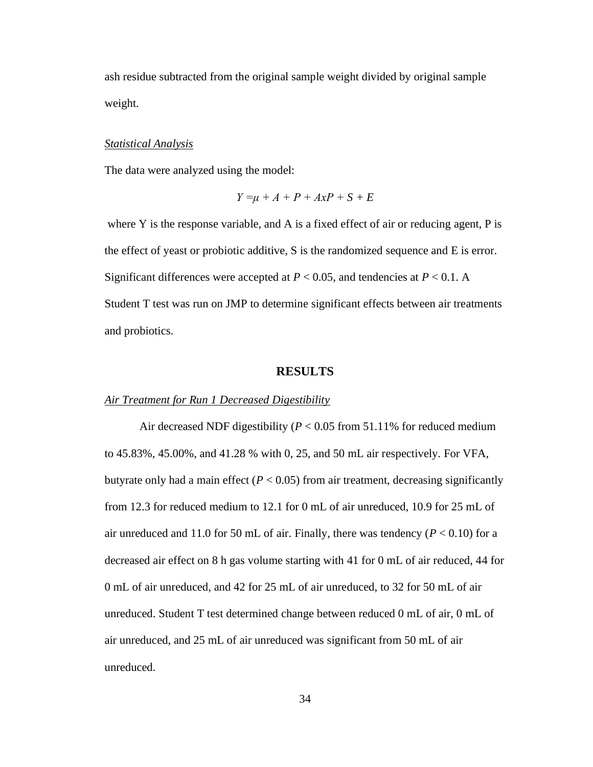ash residue subtracted from the original sample weight divided by original sample weight.

## *Statistical Analysis*

The data were analyzed using the model:

$$
Y = \mu + A + P + AxP + S + E
$$

where Y is the response variable, and A is a fixed effect of air or reducing agent, P is the effect of yeast or probiotic additive, S is the randomized sequence and E is error. Significant differences were accepted at  $P < 0.05$ , and tendencies at  $P < 0.1$ . A Student T test was run on JMP to determine significant effects between air treatments and probiotics.

## **RESULTS**

## *Air Treatment for Run 1 Decreased Digestibility*

Air decreased NDF digestibility (*P* < 0.05 from 51.11% for reduced medium to 45.83%, 45.00%, and 41.28 % with 0, 25, and 50 mL air respectively. For VFA, butyrate only had a main effect  $(P < 0.05)$  from air treatment, decreasing significantly from 12.3 for reduced medium to 12.1 for 0 mL of air unreduced, 10.9 for 25 mL of air unreduced and 11.0 for 50 mL of air. Finally, there was tendency  $(P < 0.10)$  for a decreased air effect on 8 h gas volume starting with 41 for 0 mL of air reduced, 44 for 0 mL of air unreduced, and 42 for 25 mL of air unreduced, to 32 for 50 mL of air unreduced. Student T test determined change between reduced 0 mL of air, 0 mL of air unreduced, and 25 mL of air unreduced was significant from 50 mL of air unreduced.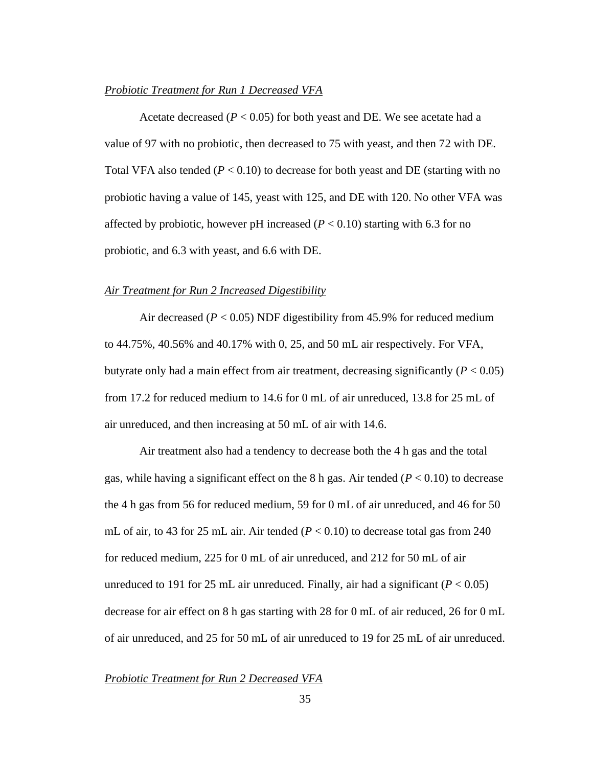## *Probiotic Treatment for Run 1 Decreased VFA*

Acetate decreased ( $P < 0.05$ ) for both yeast and DE. We see acetate had a value of 97 with no probiotic, then decreased to 75 with yeast, and then 72 with DE. Total VFA also tended  $(P < 0.10)$  to decrease for both yeast and DE (starting with no probiotic having a value of 145, yeast with 125, and DE with 120. No other VFA was affected by probiotic, however pH increased  $(P < 0.10)$  starting with 6.3 for no probiotic, and 6.3 with yeast, and 6.6 with DE.

#### *Air Treatment for Run 2 Increased Digestibility*

Air decreased ( $P < 0.05$ ) NDF digestibility from 45.9% for reduced medium to 44.75%, 40.56% and 40.17% with 0, 25, and 50 mL air respectively. For VFA, butyrate only had a main effect from air treatment, decreasing significantly  $(P < 0.05)$ from 17.2 for reduced medium to 14.6 for 0 mL of air unreduced, 13.8 for 25 mL of air unreduced, and then increasing at 50 mL of air with 14.6.

Air treatment also had a tendency to decrease both the 4 h gas and the total gas, while having a significant effect on the 8 h gas. Air tended  $(P < 0.10)$  to decrease the 4 h gas from 56 for reduced medium, 59 for 0 mL of air unreduced, and 46 for 50 mL of air, to 43 for 25 mL air. Air tended  $(P < 0.10)$  to decrease total gas from 240 for reduced medium, 225 for 0 mL of air unreduced, and 212 for 50 mL of air unreduced to 191 for 25 mL air unreduced. Finally, air had a significant ( $P < 0.05$ ) decrease for air effect on 8 h gas starting with 28 for 0 mL of air reduced, 26 for 0 mL of air unreduced, and 25 for 50 mL of air unreduced to 19 for 25 mL of air unreduced.

## *Probiotic Treatment for Run 2 Decreased VFA*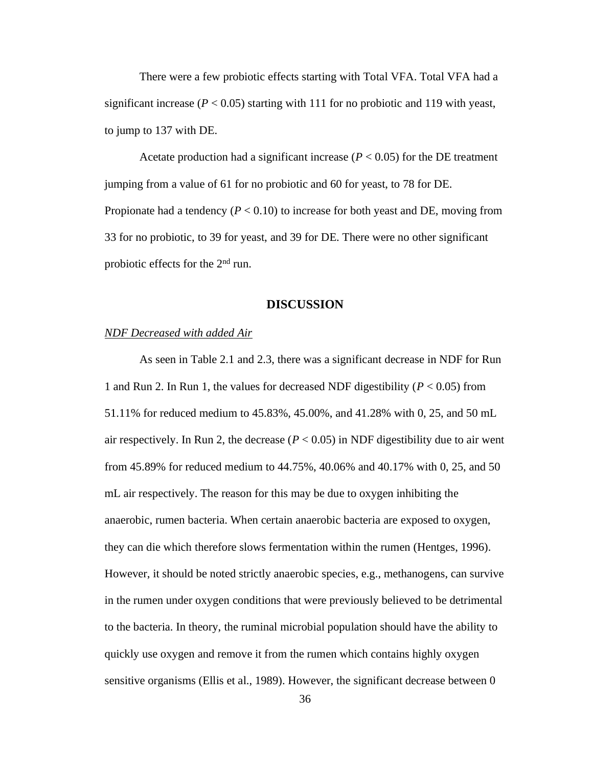There were a few probiotic effects starting with Total VFA. Total VFA had a significant increase  $(P < 0.05)$  starting with 111 for no probiotic and 119 with yeast, to jump to 137 with DE.

Acetate production had a significant increase  $(P < 0.05)$  for the DE treatment jumping from a value of 61 for no probiotic and 60 for yeast, to 78 for DE. Propionate had a tendency  $(P < 0.10)$  to increase for both yeast and DE, moving from 33 for no probiotic, to 39 for yeast, and 39 for DE. There were no other significant probiotic effects for the 2<sup>nd</sup> run.

## **DISCUSSION**

## *NDF Decreased with added Air*

As seen in Table 2.1 and 2.3, there was a significant decrease in NDF for Run 1 and Run 2. In Run 1, the values for decreased NDF digestibility (*P* < 0.05) from 51.11% for reduced medium to 45.83%, 45.00%, and 41.28% with 0, 25, and 50 mL air respectively. In Run 2, the decrease  $(P < 0.05)$  in NDF digestibility due to air went from 45.89% for reduced medium to 44.75%, 40.06% and 40.17% with 0, 25, and 50 mL air respectively. The reason for this may be due to oxygen inhibiting the anaerobic, rumen bacteria. When certain anaerobic bacteria are exposed to oxygen, they can die which therefore slows fermentation within the rumen (Hentges, 1996). However, it should be noted strictly anaerobic species, e.g., methanogens, can survive in the rumen under oxygen conditions that were previously believed to be detrimental to the bacteria. In theory, the ruminal microbial population should have the ability to quickly use oxygen and remove it from the rumen which contains highly oxygen sensitive organisms (Ellis et al., 1989). However, the significant decrease between 0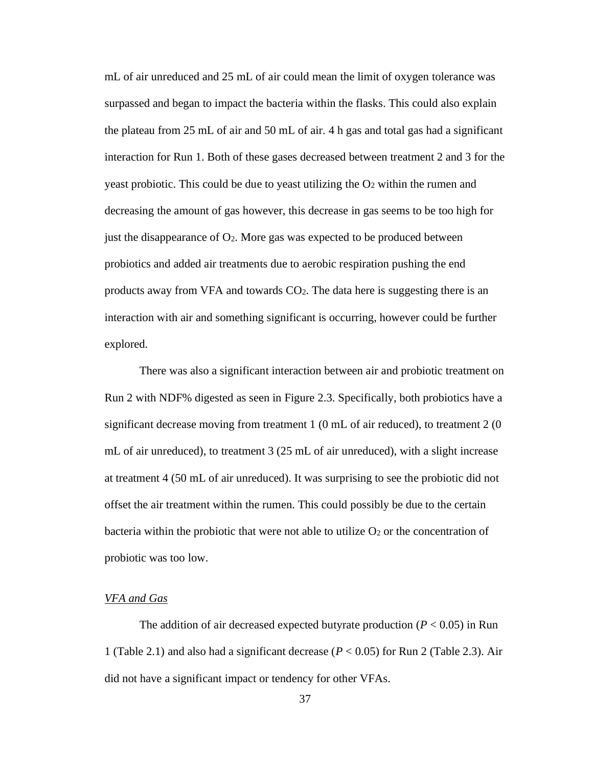mL of air unreduced and 25 mL of air could mean the limit of oxygen tolerance was surpassed and began to impact the bacteria within the flasks. This could also explain the plateau from 25 mL of air and 50 mL of air. 4 h gas and total gas had a significant interaction for Run 1. Both of these gases decreased between treatment 2 and 3 for the yeast probiotic. This could be due to yeast utilizing the  $O<sub>2</sub>$  within the rumen and decreasing the amount of gas however, this decrease in gas seems to be too high for just the disappearance of  $O_2$ . More gas was expected to be produced between probiotics and added air treatments due to aerobic respiration pushing the end products away from VFA and towards CO2. The data here is suggesting there is an interaction with air and something significant is occurring, however could be further explored.

There was also a significant interaction between air and probiotic treatment on Run 2 with NDF% digested as seen in Figure 2.3. Specifically, both probiotics have a significant decrease moving from treatment  $1(0 \text{ mL of air reduced})$ , to treatment  $2(0 \text{ T})$ mL of air unreduced), to treatment 3 (25 mL of air unreduced), with a slight increase at treatment 4 (50 mL of air unreduced). It was surprising to see the probiotic did not offset the air treatment within the rumen. This could possibly be due to the certain bacteria within the probiotic that were not able to utilize  $O<sub>2</sub>$  or the concentration of probiotic was too low.

## *VFA and Gas*

The addition of air decreased expected butyrate production  $(P < 0.05)$  in Run 1 (Table 2.1) and also had a significant decrease (*P* < 0.05) for Run 2 (Table 2.3). Air did not have a significant impact or tendency for other VFAs.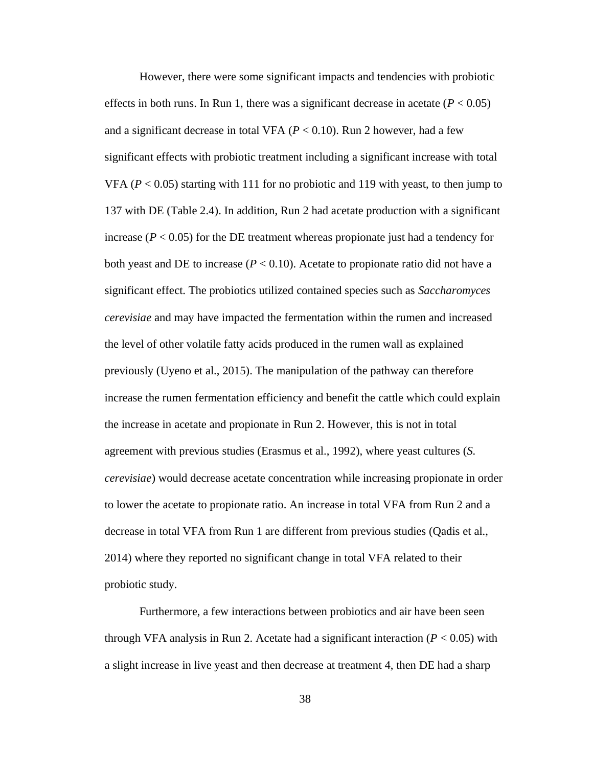However, there were some significant impacts and tendencies with probiotic effects in both runs. In Run 1, there was a significant decrease in acetate  $(P < 0.05)$ and a significant decrease in total VFA  $(P < 0.10)$ . Run 2 however, had a few significant effects with probiotic treatment including a significant increase with total VFA ( $P < 0.05$ ) starting with 111 for no probiotic and 119 with yeast, to then jump to 137 with DE (Table 2.4). In addition, Run 2 had acetate production with a significant increase  $(P < 0.05)$  for the DE treatment whereas propionate just had a tendency for both yeast and DE to increase  $(P < 0.10)$ . Acetate to propionate ratio did not have a significant effect. The probiotics utilized contained species such as *Saccharomyces cerevisiae* and may have impacted the fermentation within the rumen and increased the level of other volatile fatty acids produced in the rumen wall as explained previously (Uyeno et al., 2015). The manipulation of the pathway can therefore increase the rumen fermentation efficiency and benefit the cattle which could explain the increase in acetate and propionate in Run 2. However, this is not in total agreement with previous studies (Erasmus et al., 1992), where yeast cultures (*S. cerevisiae*) would decrease acetate concentration while increasing propionate in order to lower the acetate to propionate ratio. An increase in total VFA from Run 2 and a decrease in total VFA from Run 1 are different from previous studies (Qadis et al., 2014) where they reported no significant change in total VFA related to their probiotic study.

Furthermore, a few interactions between probiotics and air have been seen through VFA analysis in Run 2. Acetate had a significant interaction  $(P < 0.05)$  with a slight increase in live yeast and then decrease at treatment 4, then DE had a sharp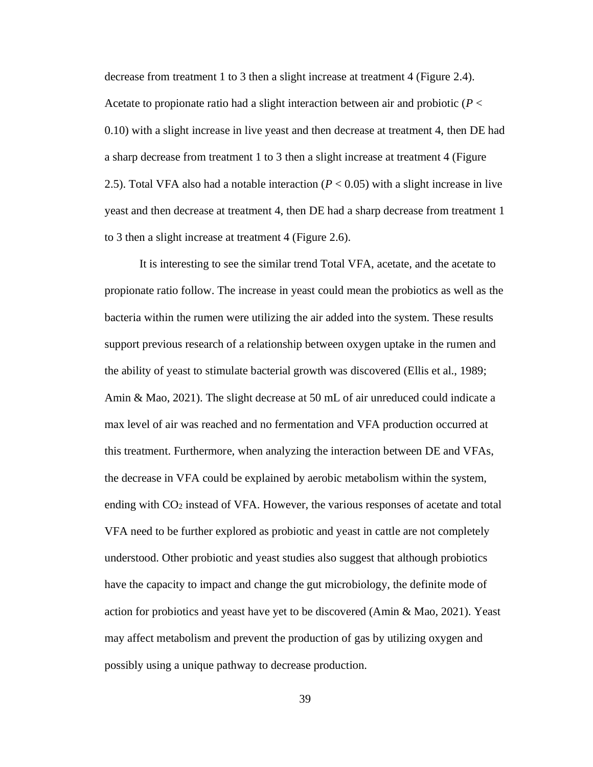decrease from treatment 1 to 3 then a slight increase at treatment 4 (Figure 2.4). Acetate to propionate ratio had a slight interaction between air and probiotic (*P* < 0.10) with a slight increase in live yeast and then decrease at treatment 4, then DE had a sharp decrease from treatment 1 to 3 then a slight increase at treatment 4 (Figure 2.5). Total VFA also had a notable interaction  $(P < 0.05)$  with a slight increase in live yeast and then decrease at treatment 4, then DE had a sharp decrease from treatment 1 to 3 then a slight increase at treatment 4 (Figure 2.6).

It is interesting to see the similar trend Total VFA, acetate, and the acetate to propionate ratio follow. The increase in yeast could mean the probiotics as well as the bacteria within the rumen were utilizing the air added into the system. These results support previous research of a relationship between oxygen uptake in the rumen and the ability of yeast to stimulate bacterial growth was discovered (Ellis et al., 1989; Amin & Mao, 2021). The slight decrease at 50 mL of air unreduced could indicate a max level of air was reached and no fermentation and VFA production occurred at this treatment. Furthermore, when analyzing the interaction between DE and VFAs, the decrease in VFA could be explained by aerobic metabolism within the system, ending with CO<sup>2</sup> instead of VFA. However, the various responses of acetate and total VFA need to be further explored as probiotic and yeast in cattle are not completely understood. Other probiotic and yeast studies also suggest that although probiotics have the capacity to impact and change the gut microbiology, the definite mode of action for probiotics and yeast have yet to be discovered (Amin & Mao, 2021). Yeast may affect metabolism and prevent the production of gas by utilizing oxygen and possibly using a unique pathway to decrease production.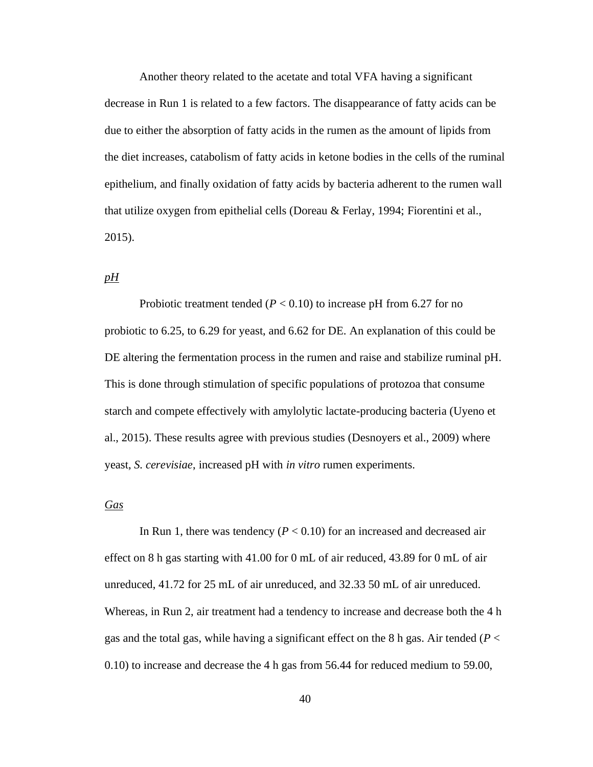Another theory related to the acetate and total VFA having a significant decrease in Run 1 is related to a few factors. The disappearance of fatty acids can be due to either the absorption of fatty acids in the rumen as the amount of lipids from the diet increases, catabolism of fatty acids in ketone bodies in the cells of the ruminal epithelium, and finally oxidation of fatty acids by bacteria adherent to the rumen wall that utilize oxygen from epithelial cells (Doreau & Ferlay, 1994; Fiorentini et al., 2015).

# *pH*

Probiotic treatment tended ( $P < 0.10$ ) to increase pH from 6.27 for no probiotic to 6.25, to 6.29 for yeast, and 6.62 for DE. An explanation of this could be DE altering the fermentation process in the rumen and raise and stabilize ruminal pH. This is done through stimulation of specific populations of protozoa that consume starch and compete effectively with amylolytic lactate-producing bacteria (Uyeno et al., 2015). These results agree with previous studies (Desnoyers et al., 2009) where yeast, *S. cerevisiae*, increased pH with *in vitro* rumen experiments.

## *Gas*

In Run 1, there was tendency  $(P < 0.10)$  for an increased and decreased air effect on 8 h gas starting with 41.00 for 0 mL of air reduced, 43.89 for 0 mL of air unreduced, 41.72 for 25 mL of air unreduced, and 32.33 50 mL of air unreduced. Whereas, in Run 2, air treatment had a tendency to increase and decrease both the 4 h gas and the total gas, while having a significant effect on the 8 h gas. Air tended (*P* < 0.10) to increase and decrease the 4 h gas from 56.44 for reduced medium to 59.00,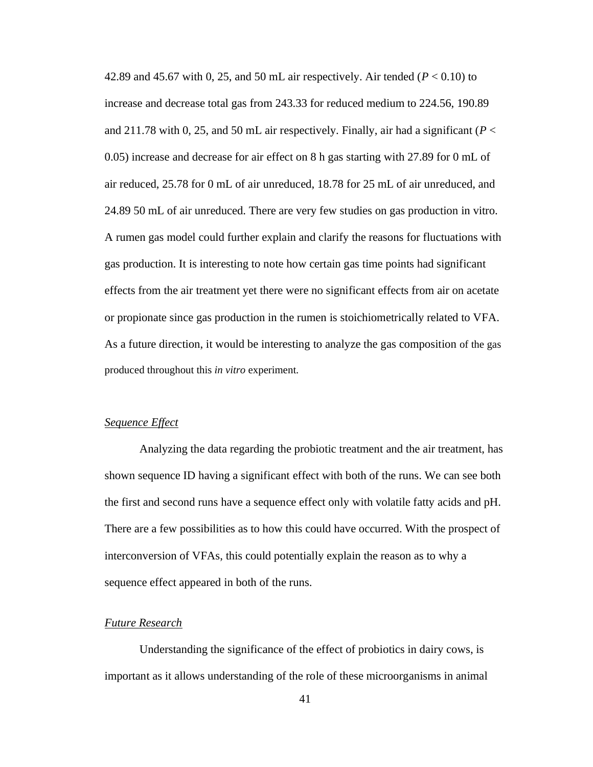42.89 and 45.67 with 0, 25, and 50 mL air respectively. Air tended ( $P < 0.10$ ) to increase and decrease total gas from 243.33 for reduced medium to 224.56, 190.89 and 211.78 with 0, 25, and 50 mL air respectively. Finally, air had a significant (*P* < 0.05) increase and decrease for air effect on 8 h gas starting with 27.89 for 0 mL of air reduced, 25.78 for 0 mL of air unreduced, 18.78 for 25 mL of air unreduced, and 24.89 50 mL of air unreduced. There are very few studies on gas production in vitro. A rumen gas model could further explain and clarify the reasons for fluctuations with gas production. It is interesting to note how certain gas time points had significant effects from the air treatment yet there were no significant effects from air on acetate or propionate since gas production in the rumen is stoichiometrically related to VFA. As a future direction, it would be interesting to analyze the gas composition of the gas produced throughout this *in vitro* experiment.

# *Sequence Effect*

Analyzing the data regarding the probiotic treatment and the air treatment, has shown sequence ID having a significant effect with both of the runs. We can see both the first and second runs have a sequence effect only with volatile fatty acids and pH. There are a few possibilities as to how this could have occurred. With the prospect of interconversion of VFAs, this could potentially explain the reason as to why a sequence effect appeared in both of the runs.

## *Future Research*

Understanding the significance of the effect of probiotics in dairy cows, is important as it allows understanding of the role of these microorganisms in animal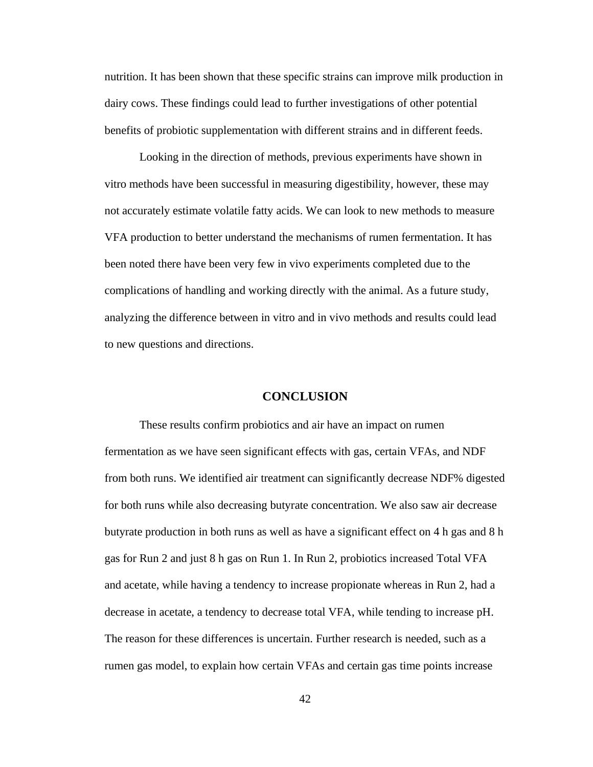nutrition. It has been shown that these specific strains can improve milk production in dairy cows. These findings could lead to further investigations of other potential benefits of probiotic supplementation with different strains and in different feeds.

Looking in the direction of methods, previous experiments have shown in vitro methods have been successful in measuring digestibility, however, these may not accurately estimate volatile fatty acids. We can look to new methods to measure VFA production to better understand the mechanisms of rumen fermentation. It has been noted there have been very few in vivo experiments completed due to the complications of handling and working directly with the animal. As a future study, analyzing the difference between in vitro and in vivo methods and results could lead to new questions and directions.

# **CONCLUSION**

These results confirm probiotics and air have an impact on rumen fermentation as we have seen significant effects with gas, certain VFAs, and NDF from both runs. We identified air treatment can significantly decrease NDF% digested for both runs while also decreasing butyrate concentration. We also saw air decrease butyrate production in both runs as well as have a significant effect on 4 h gas and 8 h gas for Run 2 and just 8 h gas on Run 1. In Run 2, probiotics increased Total VFA and acetate, while having a tendency to increase propionate whereas in Run 2, had a decrease in acetate, a tendency to decrease total VFA, while tending to increase pH. The reason for these differences is uncertain. Further research is needed, such as a rumen gas model, to explain how certain VFAs and certain gas time points increase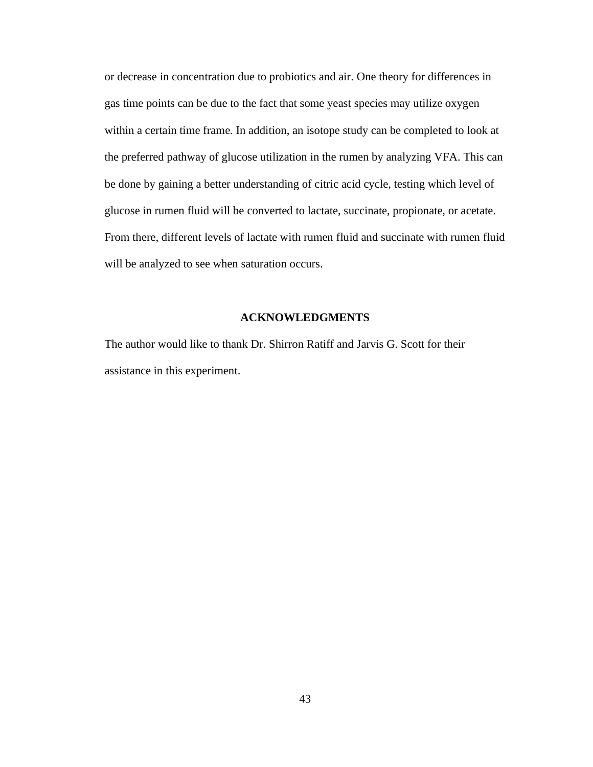or decrease in concentration due to probiotics and air. One theory for differences in gas time points can be due to the fact that some yeast species may utilize oxygen within a certain time frame. In addition, an isotope study can be completed to look at the preferred pathway of glucose utilization in the rumen by analyzing VFA. This can be done by gaining a better understanding of citric acid cycle, testing which level of glucose in rumen fluid will be converted to lactate, succinate, propionate, or acetate. From there, different levels of lactate with rumen fluid and succinate with rumen fluid will be analyzed to see when saturation occurs.

## **ACKNOWLEDGMENTS**

The author would like to thank Dr. Shirron Ratiff and Jarvis G. Scott for their assistance in this experiment.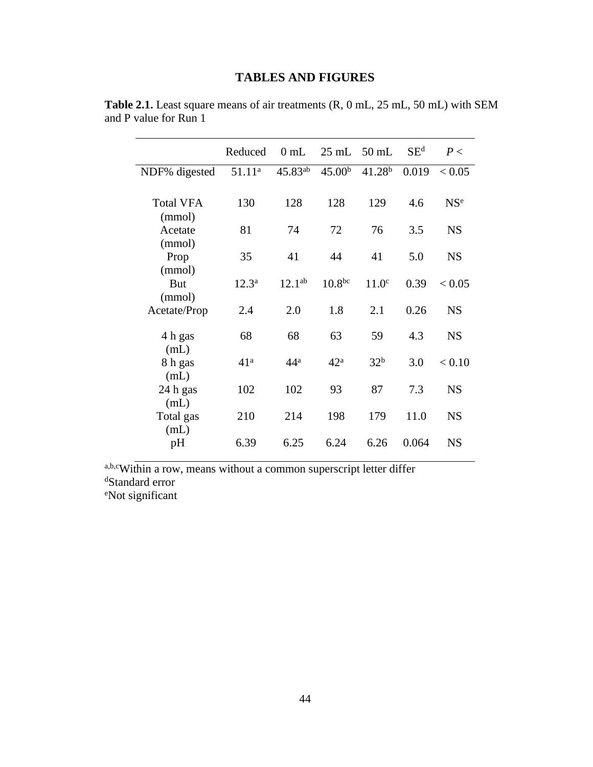# **TABLES AND FIGURES**

|                  | Reduced            | 0mL             |                    | $25 \text{ mL}$ 50 mL | SE <sup>d</sup> | P<              |
|------------------|--------------------|-----------------|--------------------|-----------------------|-----------------|-----------------|
| NDF% digested    | 51.11 <sup>a</sup> | $45.83^{ab}$    | 45.00 <sup>b</sup> | 41.28 <sup>b</sup>    | 0.019           | < 0.05          |
|                  |                    |                 |                    |                       |                 |                 |
| <b>Total VFA</b> | 130                | 128             | 128                | 129                   | 4.6             | NS <sup>e</sup> |
| (mmol)           |                    |                 |                    |                       |                 |                 |
| Acetate          | 81                 | 74              | 72                 | 76                    | 3.5             | <b>NS</b>       |
| (mmol)           |                    |                 |                    |                       |                 |                 |
| Prop             | 35                 | 41              | 44                 | 41                    | 5.0             | <b>NS</b>       |
| (mmol)<br>But    | $12.3^{\rm a}$     | $12.1^{ab}$     | $10.8^{bc}$        | 11.0 <sup>c</sup>     | 0.39            | < 0.05          |
| (mmol)           |                    |                 |                    |                       |                 |                 |
| Acetate/Prop     | 2.4                | 2.0             | 1.8                | 2.1                   | 0.26            | <b>NS</b>       |
|                  |                    |                 |                    |                       |                 |                 |
| 4 h gas          | 68                 | 68              | 63                 | 59                    | 4.3             | <b>NS</b>       |
| (mL)             |                    |                 |                    |                       |                 |                 |
| 8 h gas          | 41 <sup>a</sup>    | 44 <sup>a</sup> | 42 <sup>a</sup>    | 32 <sup>b</sup>       | 3.0             | < 0.10          |
| (mL)             |                    |                 |                    |                       |                 |                 |
| 24 h gas         | 102                | 102             | 93                 | 87                    | 7.3             | <b>NS</b>       |
| (mL)             |                    |                 |                    |                       |                 |                 |
| Total gas        | 210                | 214             | 198                | 179                   | 11.0            | <b>NS</b>       |
| (mL)<br>pH       | 6.39               | 6.25            | 6.24               | 6.26                  | 0.064           | <b>NS</b>       |
|                  |                    |                 |                    |                       |                 |                 |

**Table 2.1.** Least square means of air treatments (R, 0 mL, 25 mL, 50 mL) with SEM and P value for Run 1

a,b,cWithin a row, means without a common superscript letter differ <sup>d</sup>Standard error eNot significant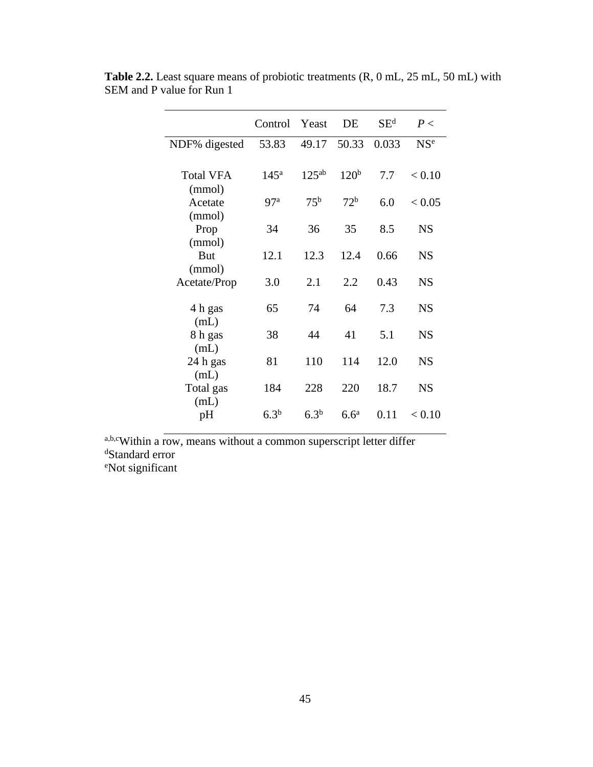|                  | Control Yeast    |                  | DE               | $SE^d$ | P<              |
|------------------|------------------|------------------|------------------|--------|-----------------|
| NDF% digested    | 53.83            | 49.17            | 50.33            | 0.033  | NS <sup>e</sup> |
|                  |                  |                  |                  |        |                 |
| <b>Total VFA</b> | 145 <sup>a</sup> | $125^{ab}$       | 120 <sup>b</sup> | 7.7    | < 0.10          |
| (mmol)           |                  |                  |                  |        |                 |
| Acetate          | 97 <sup>a</sup>  | 75 <sup>b</sup>  | 72 <sup>b</sup>  | 6.0    | < 0.05          |
| (mmol)           |                  |                  |                  |        |                 |
| Prop             | 34               | 36               | 35               | 8.5    | <b>NS</b>       |
| (mmol)           |                  |                  |                  |        |                 |
| But              | 12.1             | 12.3             | 12.4             | 0.66   | <b>NS</b>       |
| (mmol)           | 3.0              | 2.1              | 2.2              | 0.43   | <b>NS</b>       |
| Acetate/Prop     |                  |                  |                  |        |                 |
| 4 h gas          | 65               | 74               | 64               | 7.3    | <b>NS</b>       |
| (mL)             |                  |                  |                  |        |                 |
| 8 h gas          | 38               | 44               | 41               | 5.1    | <b>NS</b>       |
| (mL)             |                  |                  |                  |        |                 |
| 24 h gas         | 81               | 110              | 114              | 12.0   | <b>NS</b>       |
| (mL)             |                  |                  |                  |        |                 |
| Total gas        | 184              | 228              | 220              | 18.7   | <b>NS</b>       |
| (mL)             |                  |                  |                  |        |                 |
| pH               | 6.3 <sup>b</sup> | 6.3 <sup>b</sup> | 6.6 <sup>a</sup> | 0.11   | < 0.10          |

**Table 2.2.** Least square means of probiotic treatments (R, 0 mL, 25 mL, 50 mL) with SEM and P value for Run 1

a,b,cWithin a row, means without a common superscript letter differ <sup>d</sup>Standard error

eNot significant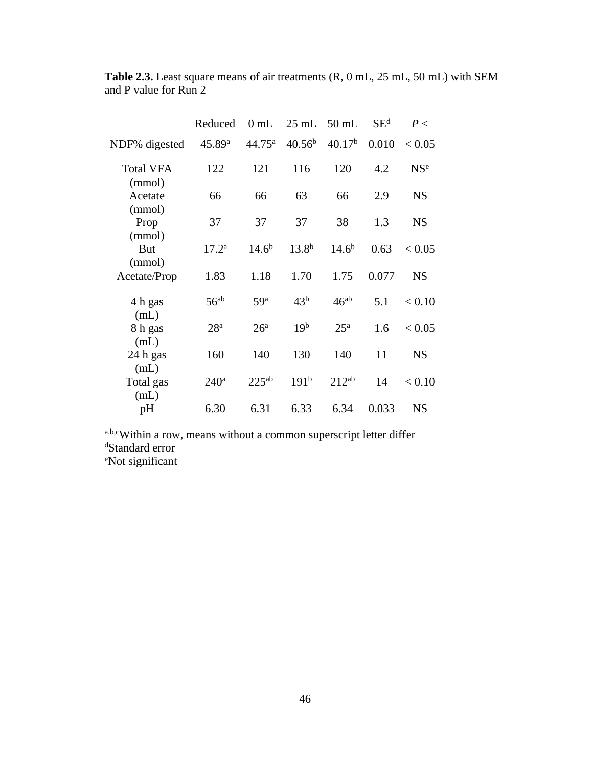|                            | Reduced            | $0 \text{ mL}$  | $25$ mL $50$ mL    |                    | SE <sup>d</sup> | P<              |
|----------------------------|--------------------|-----------------|--------------------|--------------------|-----------------|-----------------|
| NDF% digested              | 45.89 <sup>a</sup> | $44.75^{\rm a}$ | 40.56 <sup>b</sup> | 40.17 <sup>b</sup> | 0.010           | < 0.05          |
| <b>Total VFA</b><br>(mmol) | 122                | 121             | 116                | 120                | 4.2             | NS <sup>e</sup> |
| Acetate<br>(mmol)          | 66                 | 66              | 63                 | 66                 | 2.9             | <b>NS</b>       |
| Prop<br>(mmol)             | 37                 | 37              | 37                 | 38                 | 1.3             | <b>NS</b>       |
| But<br>(mmol)              | $17.2^{\rm a}$     | $14.6^{b}$      | $13.8^{b}$         | $14.6^{b}$         | 0.63            | < 0.05          |
| Acetate/Prop               | 1.83               | 1.18            | 1.70               | 1.75               | 0.077           | <b>NS</b>       |
| 4 h gas<br>(mL)            | $56^{ab}$          | 59 <sup>a</sup> | 43 <sup>b</sup>    | $46^{ab}$          | 5.1             | < 0.10          |
| 8 h gas<br>(mL)            | 28 <sup>a</sup>    | 26 <sup>a</sup> | 19 <sup>b</sup>    | 25 <sup>a</sup>    | 1.6             | < 0.05          |
| 24 h gas<br>(mL)           | 160                | 140             | 130                | 140                | 11              | <b>NS</b>       |
| Total gas<br>(mL)          | 240 <sup>a</sup>   | $225^{ab}$      | 191 <sup>b</sup>   | $212^{ab}$         | 14              | < 0.10          |
| pH                         | 6.30               | 6.31            | 6.33               | 6.34               | 0.033           | <b>NS</b>       |

**Table 2.3.** Least square means of air treatments (R, 0 mL, 25 mL, 50 mL) with SEM and P value for Run 2

a,b,cWithin a row, means without a common superscript letter differ <sup>d</sup>Standard error eNot significant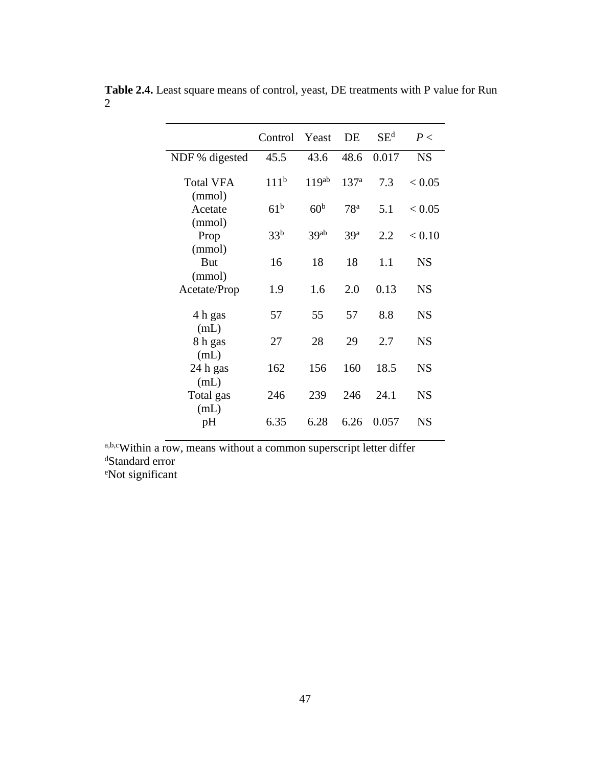|                            | Control          | Yeast             | DE               | $SE^d$ | P<        |
|----------------------------|------------------|-------------------|------------------|--------|-----------|
| NDF % digested             | 45.5             | 43.6              | 48.6             | 0.017  | <b>NS</b> |
| <b>Total VFA</b><br>(mmol) | 111 <sup>b</sup> | 119 <sup>ab</sup> | 137 <sup>a</sup> | 7.3    | < 0.05    |
| Acetate                    | 61 <sup>b</sup>  | 60 <sup>b</sup>   | 78 <sup>a</sup>  | 5.1    | < 0.05    |
| (mmol)<br>Prop<br>(mmol)   | 33 <sup>b</sup>  | 39ab              | 39 <sup>a</sup>  | 2.2    | < 0.10    |
| <b>But</b>                 | 16               | 18                | 18               | 1.1    | <b>NS</b> |
| (mmol)<br>Acetate/Prop     | 1.9              | 1.6               | 2.0              | 0.13   | <b>NS</b> |
| 4 h gas                    | 57               | 55                | 57               | 8.8    | <b>NS</b> |
| (mL)<br>8 h gas<br>(mL)    | 27               | 28                | 29               | 2.7    | <b>NS</b> |
| 24 h gas                   | 162              | 156               | 160              | 18.5   | <b>NS</b> |
| (mL)<br>Total gas<br>(mL)  | 246              | 239               | 246              | 24.1   | <b>NS</b> |
| pH                         | 6.35             | 6.28              | 6.26             | 0.057  | <b>NS</b> |

**Table 2.4.** Least square means of control, yeast, DE treatments with P value for Run 2

a,b,cWithin a row, means without a common superscript letter differ <sup>d</sup>Standard error eNot significant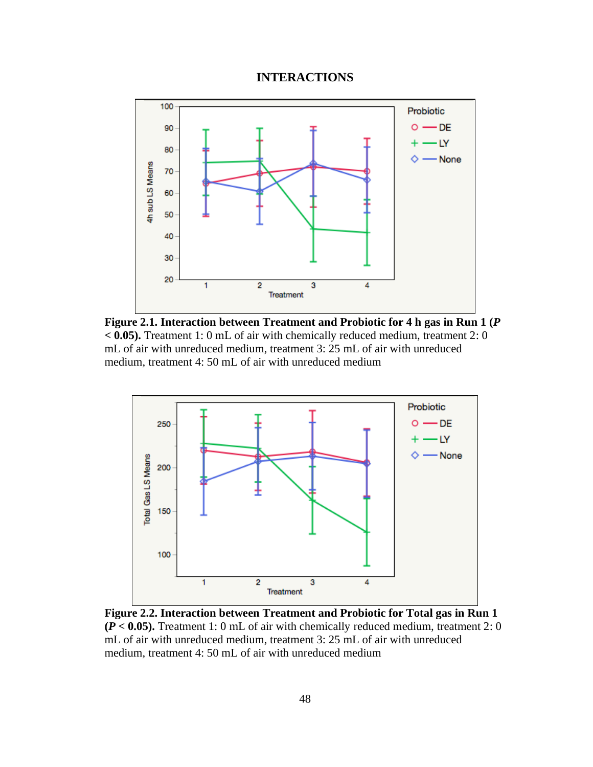# **INTERACTIONS**



**Figure 2.1. Interaction between Treatment and Probiotic for 4 h gas in Run 1 (***P* **< 0.05).** Treatment 1: 0 mL of air with chemically reduced medium, treatment 2: 0 mL of air with unreduced medium, treatment 3: 25 mL of air with unreduced medium, treatment 4: 50 mL of air with unreduced medium



**Figure 2.2. Interaction between Treatment and Probiotic for Total gas in Run 1 (***P* **< 0.05).** Treatment 1: 0 mL of air with chemically reduced medium, treatment 2: 0 mL of air with unreduced medium, treatment 3: 25 mL of air with unreduced medium, treatment 4: 50 mL of air with unreduced medium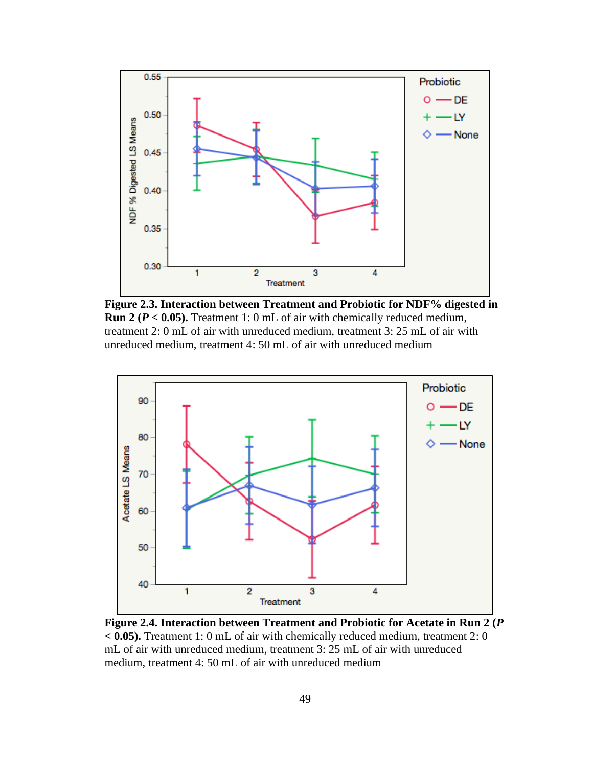

**Figure 2.3. Interaction between Treatment and Probiotic for NDF% digested in Run 2 (***P* **< 0.05).** Treatment 1: 0 mL of air with chemically reduced medium, treatment 2: 0 mL of air with unreduced medium, treatment 3: 25 mL of air with unreduced medium, treatment 4: 50 mL of air with unreduced medium



**Figure 2.4. Interaction between Treatment and Probiotic for Acetate in Run 2 (***P* **< 0.05).** Treatment 1: 0 mL of air with chemically reduced medium, treatment 2: 0 mL of air with unreduced medium, treatment 3: 25 mL of air with unreduced medium, treatment 4: 50 mL of air with unreduced medium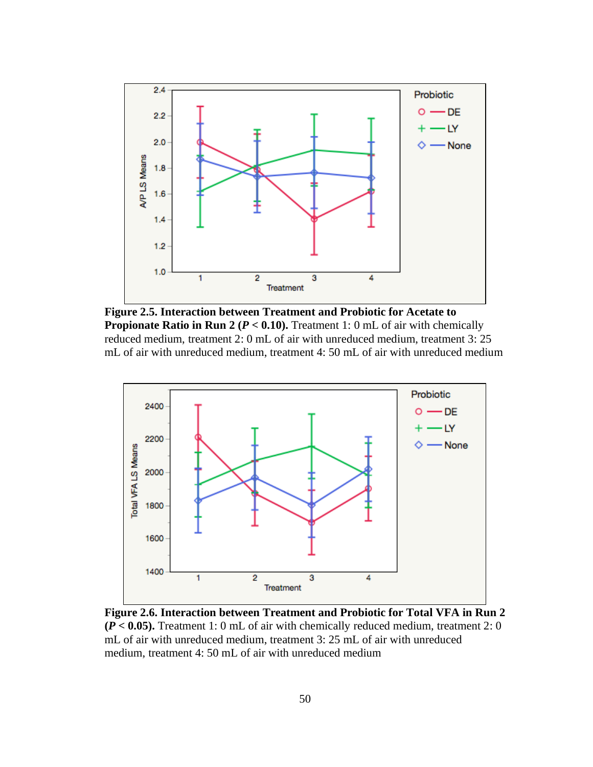

**Figure 2.5. Interaction between Treatment and Probiotic for Acetate to Propionate Ratio in Run 2 (** $P < 0.10$ **).** Treatment 1: 0 mL of air with chemically reduced medium, treatment 2: 0 mL of air with unreduced medium, treatment 3: 25 mL of air with unreduced medium, treatment 4: 50 mL of air with unreduced medium



**Figure 2.6. Interaction between Treatment and Probiotic for Total VFA in Run 2 (***P* **< 0.05).** Treatment 1: 0 mL of air with chemically reduced medium, treatment 2: 0 mL of air with unreduced medium, treatment 3: 25 mL of air with unreduced medium, treatment 4: 50 mL of air with unreduced medium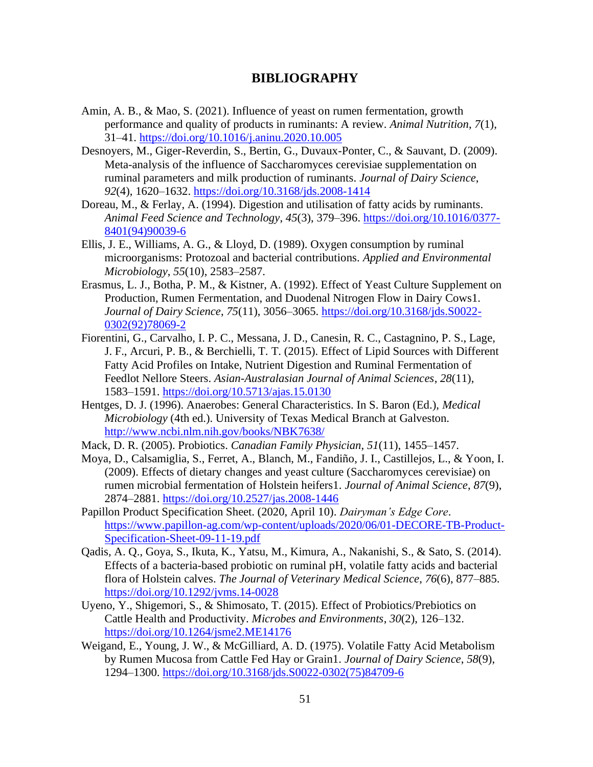# **BIBLIOGRAPHY**

- Amin, A. B., & Mao, S. (2021). Influence of yeast on rumen fermentation, growth performance and quality of products in ruminants: A review. *Animal Nutrition*, *7*(1), 31–41.<https://doi.org/10.1016/j.aninu.2020.10.005>
- Desnoyers, M., Giger-Reverdin, S., Bertin, G., Duvaux-Ponter, C., & Sauvant, D. (2009). Meta-analysis of the influence of Saccharomyces cerevisiae supplementation on ruminal parameters and milk production of ruminants. *Journal of Dairy Science*, *92*(4), 1620–1632.<https://doi.org/10.3168/jds.2008-1414>
- Doreau, M., & Ferlay, A. (1994). Digestion and utilisation of fatty acids by ruminants. *Animal Feed Science and Technology*, *45*(3), 379–396. [https://doi.org/10.1016/0377-](https://doi.org/10.1016/0377-8401(94)90039-6) [8401\(94\)90039-6](https://doi.org/10.1016/0377-8401(94)90039-6)
- Ellis, J. E., Williams, A. G., & Lloyd, D. (1989). Oxygen consumption by ruminal microorganisms: Protozoal and bacterial contributions. *Applied and Environmental Microbiology*, *55*(10), 2583–2587.
- Erasmus, L. J., Botha, P. M., & Kistner, A. (1992). Effect of Yeast Culture Supplement on Production, Rumen Fermentation, and Duodenal Nitrogen Flow in Dairy Cows1. *Journal of Dairy Science*, *75*(11), 3056–3065. [https://doi.org/10.3168/jds.S0022-](https://doi.org/10.3168/jds.S0022-0302(92)78069-2) [0302\(92\)78069-2](https://doi.org/10.3168/jds.S0022-0302(92)78069-2)
- Fiorentini, G., Carvalho, I. P. C., Messana, J. D., Canesin, R. C., Castagnino, P. S., Lage, J. F., Arcuri, P. B., & Berchielli, T. T. (2015). Effect of Lipid Sources with Different Fatty Acid Profiles on Intake, Nutrient Digestion and Ruminal Fermentation of Feedlot Nellore Steers. *Asian-Australasian Journal of Animal Sciences*, *28*(11), 1583–1591.<https://doi.org/10.5713/ajas.15.0130>
- Hentges, D. J. (1996). Anaerobes: General Characteristics. In S. Baron (Ed.), *Medical Microbiology* (4th ed.). University of Texas Medical Branch at Galveston. <http://www.ncbi.nlm.nih.gov/books/NBK7638/>
- Mack, D. R. (2005). Probiotics. *Canadian Family Physician*, *51*(11), 1455–1457.
- Moya, D., Calsamiglia, S., Ferret, A., Blanch, M., Fandiño, J. I., Castillejos, L., & Yoon, I. (2009). Effects of dietary changes and yeast culture (Saccharomyces cerevisiae) on rumen microbial fermentation of Holstein heifers1. *Journal of Animal Science*, *87*(9), 2874–2881.<https://doi.org/10.2527/jas.2008-1446>
- Papillon Product Specification Sheet. (2020, April 10). *Dairyman's Edge Core*. [https://www.papillon-ag.com/wp-content/uploads/2020/06/01-DECORE-TB-Product-](https://www.papillon-ag.com/wp-content/uploads/2020/06/01-DECORE-TB-Product-Specification-Sheet-09-11-19.pdf)[Specification-Sheet-09-11-19.pdf](https://www.papillon-ag.com/wp-content/uploads/2020/06/01-DECORE-TB-Product-Specification-Sheet-09-11-19.pdf)
- Qadis, A. Q., Goya, S., Ikuta, K., Yatsu, M., Kimura, A., Nakanishi, S., & Sato, S. (2014). Effects of a bacteria-based probiotic on ruminal pH, volatile fatty acids and bacterial flora of Holstein calves. *The Journal of Veterinary Medical Science*, *76*(6), 877–885. <https://doi.org/10.1292/jvms.14-0028>
- Uyeno, Y., Shigemori, S., & Shimosato, T. (2015). Effect of Probiotics/Prebiotics on Cattle Health and Productivity. *Microbes and Environments*, *30*(2), 126–132. <https://doi.org/10.1264/jsme2.ME14176>
- Weigand, E., Young, J. W., & McGilliard, A. D. (1975). Volatile Fatty Acid Metabolism by Rumen Mucosa from Cattle Fed Hay or Grain1. *Journal of Dairy Science*, *58*(9), 1294–1300. [https://doi.org/10.3168/jds.S0022-0302\(75\)84709-6](https://doi.org/10.3168/jds.S0022-0302(75)84709-6)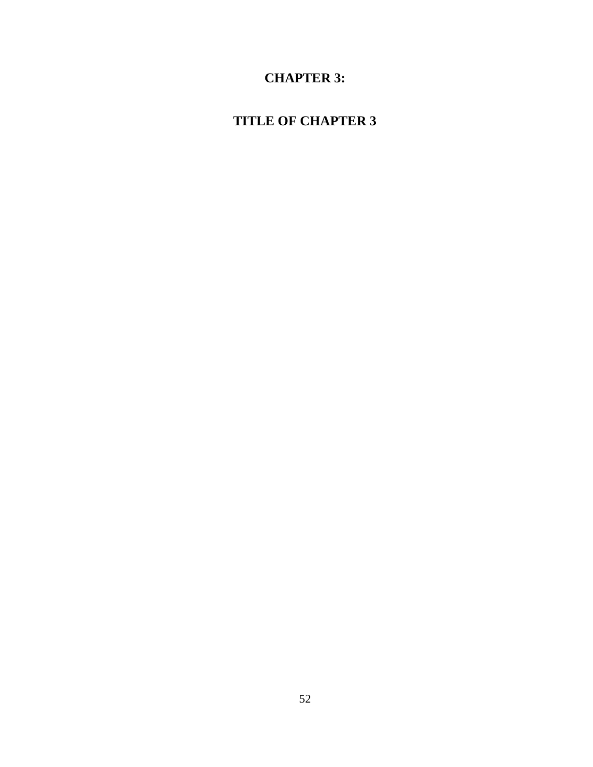# **CHAPTER 3:**

# **TITLE OF CHAPTER 3**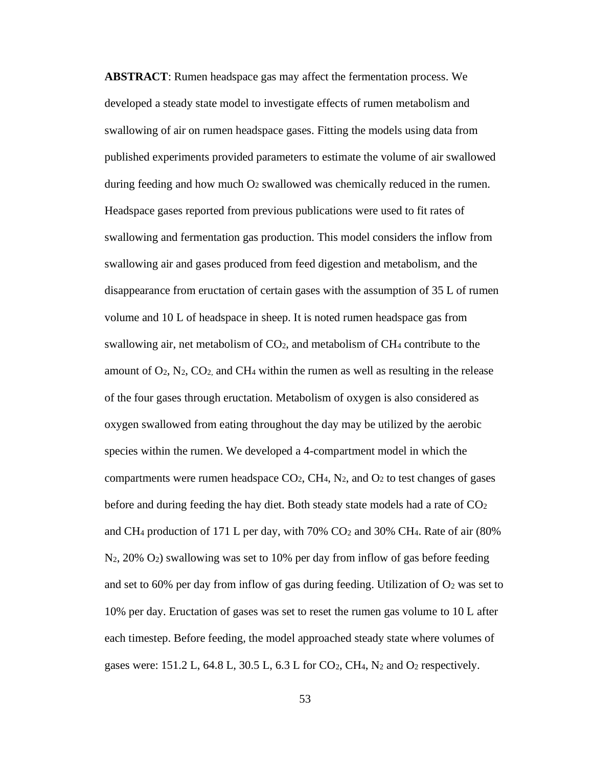**ABSTRACT**: Rumen headspace gas may affect the fermentation process. We developed a steady state model to investigate effects of rumen metabolism and swallowing of air on rumen headspace gases. Fitting the models using data from published experiments provided parameters to estimate the volume of air swallowed during feeding and how much O<sup>2</sup> swallowed was chemically reduced in the rumen. Headspace gases reported from previous publications were used to fit rates of swallowing and fermentation gas production. This model considers the inflow from swallowing air and gases produced from feed digestion and metabolism, and the disappearance from eructation of certain gases with the assumption of 35 L of rumen volume and 10 L of headspace in sheep. It is noted rumen headspace gas from swallowing air, net metabolism of  $CO<sub>2</sub>$ , and metabolism of  $CH<sub>4</sub>$  contribute to the amount of  $O_2$ ,  $N_2$ ,  $CO_2$ , and  $CH_4$  within the rumen as well as resulting in the release of the four gases through eructation. Metabolism of oxygen is also considered as oxygen swallowed from eating throughout the day may be utilized by the aerobic species within the rumen. We developed a 4-compartment model in which the compartments were rumen headspace  $CO<sub>2</sub>$ , CH<sub>4</sub>, N<sub>2</sub>, and  $O<sub>2</sub>$  to test changes of gases before and during feeding the hay diet. Both steady state models had a rate of  $CO<sub>2</sub>$ and CH<sub>4</sub> production of 171 L per day, with  $70\%$  CO<sub>2</sub> and 30% CH<sub>4</sub>. Rate of air (80%) N2, 20% O2) swallowing was set to 10% per day from inflow of gas before feeding and set to 60% per day from inflow of gas during feeding. Utilization of  $O<sub>2</sub>$  was set to 10% per day. Eructation of gases was set to reset the rumen gas volume to 10 L after each timestep. Before feeding, the model approached steady state where volumes of gases were:  $151.2$  L,  $64.8$  L,  $30.5$  L,  $6.3$  L for CO<sub>2</sub>, CH<sub>4</sub>, N<sub>2</sub> and O<sub>2</sub> respectively.

53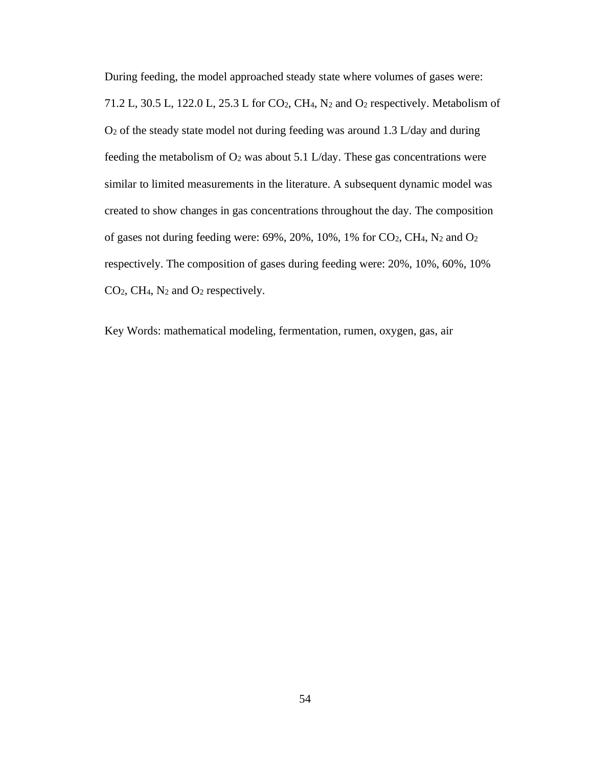During feeding, the model approached steady state where volumes of gases were: 71.2 L, 30.5 L, 122.0 L, 25.3 L for CO2, CH4, N<sup>2</sup> and O<sup>2</sup> respectively. Metabolism of O<sup>2</sup> of the steady state model not during feeding was around 1.3 L/day and during feeding the metabolism of  $O_2$  was about 5.1 L/day. These gas concentrations were similar to limited measurements in the literature. A subsequent dynamic model was created to show changes in gas concentrations throughout the day. The composition of gases not during feeding were:  $69\%, 20\%, 10\%, 1\%$  for CO<sub>2</sub>, CH<sub>4</sub>, N<sub>2</sub> and O<sub>2</sub> respectively. The composition of gases during feeding were: 20%, 10%, 60%, 10% CO2, CH4, N<sup>2</sup> and O<sup>2</sup> respectively.

Key Words: mathematical modeling, fermentation, rumen, oxygen, gas, air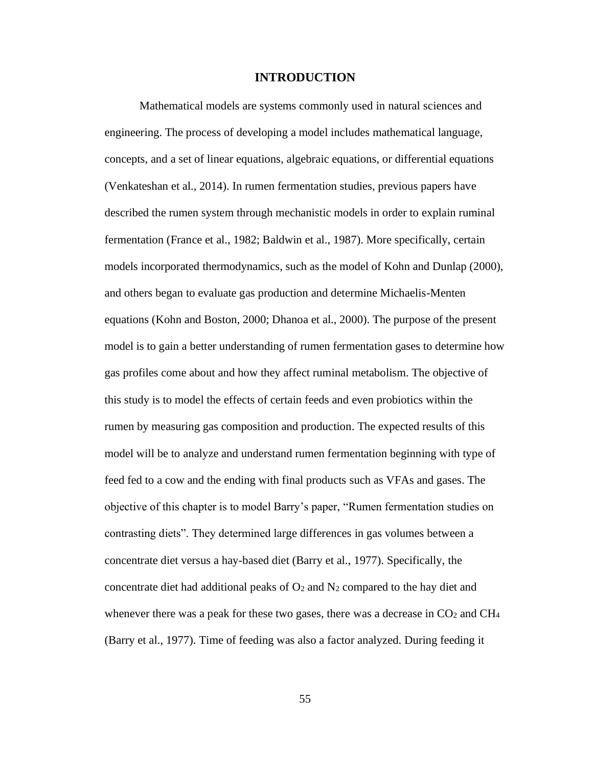## **INTRODUCTION**

Mathematical models are systems commonly used in natural sciences and engineering. The process of developing a model includes mathematical language, concepts, and a set of linear equations, algebraic equations, or differential equations (Venkateshan et al., 2014). In rumen fermentation studies, previous papers have described the rumen system through mechanistic models in order to explain ruminal fermentation (France et al., 1982; Baldwin et al., 1987). More specifically, certain models incorporated thermodynamics, such as the model of Kohn and Dunlap (2000), and others began to evaluate gas production and determine Michaelis-Menten equations (Kohn and Boston, 2000; Dhanoa et al., 2000). The purpose of the present model is to gain a better understanding of rumen fermentation gases to determine how gas profiles come about and how they affect ruminal metabolism. The objective of this study is to model the effects of certain feeds and even probiotics within the rumen by measuring gas composition and production. The expected results of this model will be to analyze and understand rumen fermentation beginning with type of feed fed to a cow and the ending with final products such as VFAs and gases. The objective of this chapter is to model Barry's paper, "Rumen fermentation studies on contrasting diets". They determined large differences in gas volumes between a concentrate diet versus a hay-based diet (Barry et al., 1977). Specifically, the concentrate diet had additional peaks of  $O_2$  and  $N_2$  compared to the hay diet and whenever there was a peak for these two gases, there was a decrease in  $CO<sub>2</sub>$  and  $CH<sub>4</sub>$ (Barry et al., 1977). Time of feeding was also a factor analyzed. During feeding it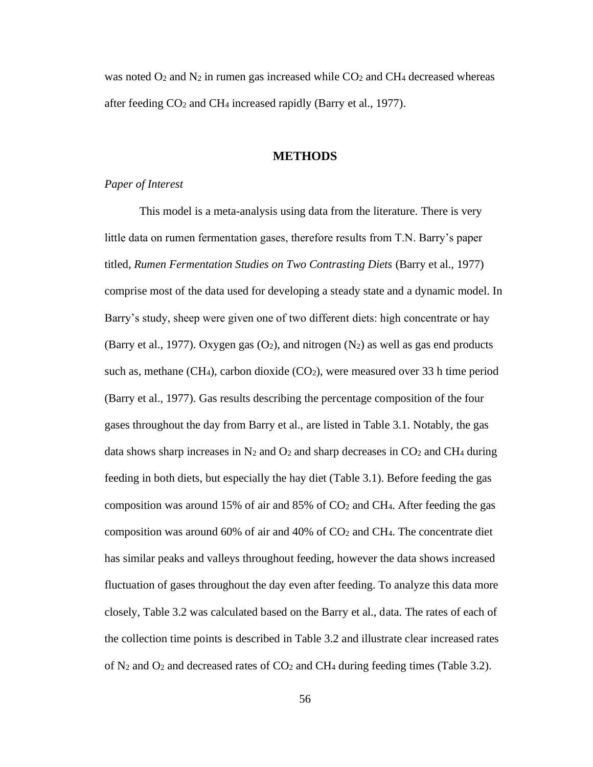was noted  $O_2$  and  $N_2$  in rumen gas increased while  $CO_2$  and  $CH_4$  decreased whereas after feeding  $CO<sub>2</sub>$  and CH<sub>4</sub> increased rapidly (Barry et al., 1977).

## **METHODS**

## *Paper of Interest*

This model is a meta-analysis using data from the literature. There is very little data on rumen fermentation gases, therefore results from T.N. Barry's paper titled, *Rumen Fermentation Studies on Two Contrasting Diets* (Barry et al., 1977) comprise most of the data used for developing a steady state and a dynamic model. In Barry's study, sheep were given one of two different diets: high concentrate or hay (Barry et al., 1977). Oxygen gas  $(O_2)$ , and nitrogen  $(N_2)$  as well as gas end products such as, methane (CH<sub>4</sub>), carbon dioxide (CO<sub>2</sub>), were measured over 33 h time period (Barry et al., 1977). Gas results describing the percentage composition of the four gases throughout the day from Barry et al., are listed in Table 3.1. Notably, the gas data shows sharp increases in  $N_2$  and  $O_2$  and sharp decreases in  $CO_2$  and  $CH_4$  during feeding in both diets, but especially the hay diet (Table 3.1). Before feeding the gas composition was around 15% of air and 85% of CO<sup>2</sup> and CH4. After feeding the gas composition was around 60% of air and 40% of CO<sup>2</sup> and CH4. The concentrate diet has similar peaks and valleys throughout feeding, however the data shows increased fluctuation of gases throughout the day even after feeding. To analyze this data more closely, Table 3.2 was calculated based on the Barry et al., data. The rates of each of the collection time points is described in Table 3.2 and illustrate clear increased rates of  $N_2$  and  $O_2$  and decreased rates of  $CO_2$  and  $CH_4$  during feeding times (Table 3.2).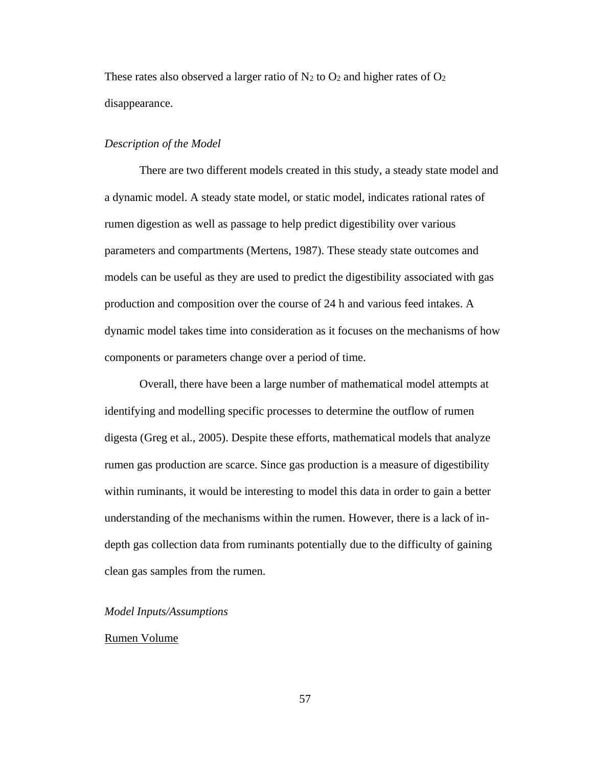These rates also observed a larger ratio of  $N_2$  to  $O_2$  and higher rates of  $O_2$ disappearance.

## *Description of the Model*

There are two different models created in this study, a steady state model and a dynamic model. A steady state model, or static model, indicates rational rates of rumen digestion as well as passage to help predict digestibility over various parameters and compartments (Mertens, 1987). These steady state outcomes and models can be useful as they are used to predict the digestibility associated with gas production and composition over the course of 24 h and various feed intakes. A dynamic model takes time into consideration as it focuses on the mechanisms of how components or parameters change over a period of time.

Overall, there have been a large number of mathematical model attempts at identifying and modelling specific processes to determine the outflow of rumen digesta (Greg et al., 2005). Despite these efforts, mathematical models that analyze rumen gas production are scarce. Since gas production is a measure of digestibility within ruminants, it would be interesting to model this data in order to gain a better understanding of the mechanisms within the rumen. However, there is a lack of indepth gas collection data from ruminants potentially due to the difficulty of gaining clean gas samples from the rumen.

#### *Model Inputs/Assumptions*

## Rumen Volume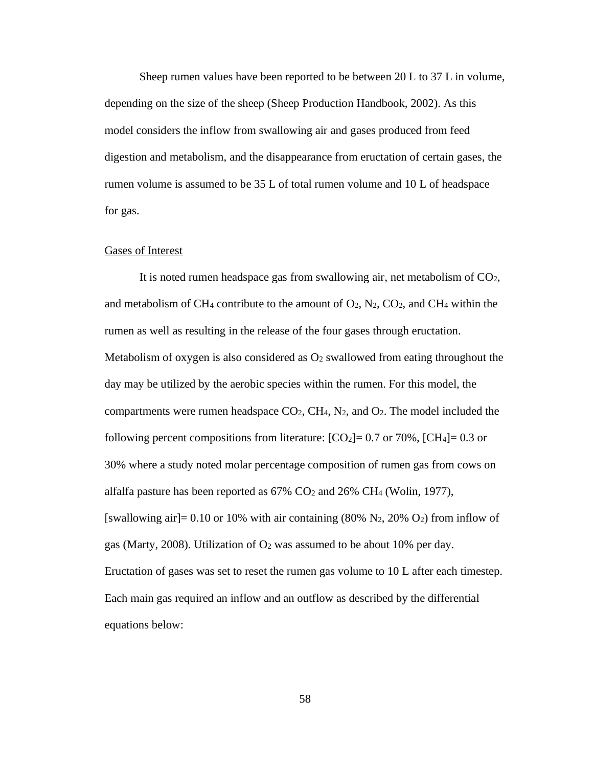Sheep rumen values have been reported to be between 20 L to 37 L in volume, depending on the size of the sheep (Sheep Production Handbook, 2002). As this model considers the inflow from swallowing air and gases produced from feed digestion and metabolism, and the disappearance from eructation of certain gases, the rumen volume is assumed to be 35 L of total rumen volume and 10 L of headspace for gas.

## Gases of Interest

It is noted rumen headspace gas from swallowing air, net metabolism of  $CO<sub>2</sub>$ , and metabolism of CH<sub>4</sub> contribute to the amount of  $O_2$ ,  $N_2$ ,  $CO_2$ , and CH<sub>4</sub> within the rumen as well as resulting in the release of the four gases through eructation. Metabolism of oxygen is also considered as  $O<sub>2</sub>$  swallowed from eating throughout the day may be utilized by the aerobic species within the rumen. For this model, the compartments were rumen headspace  $CO<sub>2</sub>$ , CH<sub>4</sub>, N<sub>2</sub>, and  $O<sub>2</sub>$ . The model included the following percent compositions from literature:  $[CO_2] = 0.7$  or 70%,  $[CH_4] = 0.3$  or 30% where a study noted molar percentage composition of rumen gas from cows on alfalfa pasture has been reported as  $67\%$  CO<sub>2</sub> and  $26\%$  CH<sub>4</sub> (Wolin, 1977), [swallowing air] = 0.10 or 10% with air containing  $(80\% \text{ N}_2, 20\% \text{ O}_2)$  from inflow of gas (Marty, 2008). Utilization of  $O_2$  was assumed to be about 10% per day. Eructation of gases was set to reset the rumen gas volume to 10 L after each timestep. Each main gas required an inflow and an outflow as described by the differential equations below: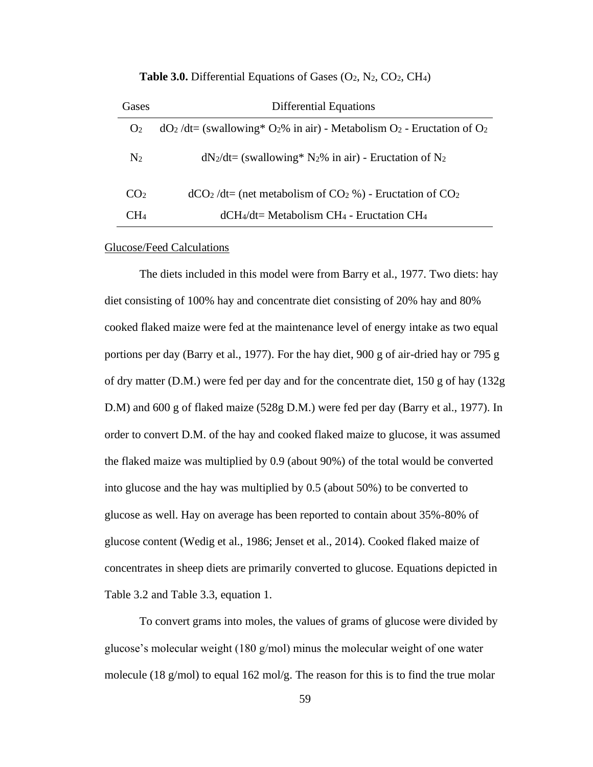| Gases           | Differential Equations                                                          |
|-----------------|---------------------------------------------------------------------------------|
| O <sub>2</sub>  | $dO_2/dt = (swallowing* O_2\% in air) - Metabolism O_2$ - Eructation of $O_2$   |
| $\rm N_2$       | $dN_2/dt = (swallowing^* N_2\% in air)$ - Eructation of N <sub>2</sub>          |
| CO <sub>2</sub> | $dCO2/dt$ (net metabolism of CO <sub>2</sub> %) - Eructation of CO <sub>2</sub> |
| $\rm CH_{4}$    | $dCH_4/dt$ = Metabolism CH <sub>4</sub> - Eructation CH <sub>4</sub>            |

**Table 3.0.** Differential Equations of Gases (O<sub>2</sub>, N<sub>2</sub>, CO<sub>2</sub>, CH<sub>4</sub>)

## Glucose/Feed Calculations

The diets included in this model were from Barry et al., 1977. Two diets: hay diet consisting of 100% hay and concentrate diet consisting of 20% hay and 80% cooked flaked maize were fed at the maintenance level of energy intake as two equal portions per day (Barry et al., 1977). For the hay diet, 900 g of air-dried hay or 795 g of dry matter (D.M.) were fed per day and for the concentrate diet,  $150 \text{ g}$  of hay  $(132 \text{ g})$ D.M) and 600 g of flaked maize (528g D.M.) were fed per day (Barry et al., 1977). In order to convert D.M. of the hay and cooked flaked maize to glucose, it was assumed the flaked maize was multiplied by 0.9 (about 90%) of the total would be converted into glucose and the hay was multiplied by 0.5 (about 50%) to be converted to glucose as well. Hay on average has been reported to contain about 35%-80% of glucose content (Wedig et al., 1986; Jenset et al., 2014). Cooked flaked maize of concentrates in sheep diets are primarily converted to glucose. Equations depicted in Table 3.2 and Table 3.3, equation 1.

To convert grams into moles, the values of grams of glucose were divided by glucose's molecular weight (180 g/mol) minus the molecular weight of one water molecule (18 g/mol) to equal 162 mol/g. The reason for this is to find the true molar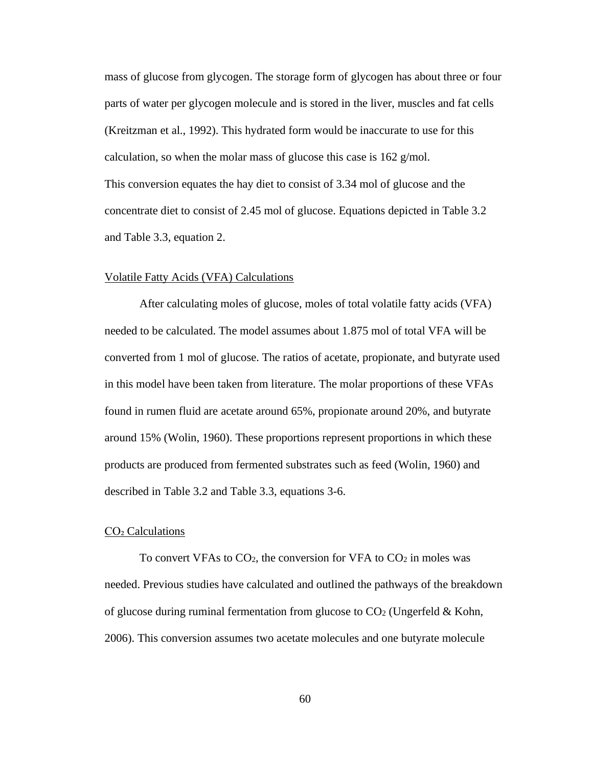mass of glucose from glycogen. The storage form of glycogen has about three or four parts of water per glycogen molecule and is stored in the liver, muscles and fat cells (Kreitzman et al., 1992). This hydrated form would be inaccurate to use for this calculation, so when the molar mass of glucose this case is 162 g/mol. This conversion equates the hay diet to consist of 3.34 mol of glucose and the concentrate diet to consist of 2.45 mol of glucose. Equations depicted in Table 3.2 and Table 3.3, equation 2.

## Volatile Fatty Acids (VFA) Calculations

After calculating moles of glucose, moles of total volatile fatty acids (VFA) needed to be calculated. The model assumes about 1.875 mol of total VFA will be converted from 1 mol of glucose. The ratios of acetate, propionate, and butyrate used in this model have been taken from literature. The molar proportions of these VFAs found in rumen fluid are acetate around 65%, propionate around 20%, and butyrate around 15% (Wolin, 1960). These proportions represent proportions in which these products are produced from fermented substrates such as feed (Wolin, 1960) and described in Table 3.2 and Table 3.3, equations 3-6.

## $CO<sub>2</sub>$  Calculations

To convert VFAs to  $CO<sub>2</sub>$ , the conversion for VFA to  $CO<sub>2</sub>$  in moles was needed. Previous studies have calculated and outlined the pathways of the breakdown of glucose during ruminal fermentation from glucose to  $CO<sub>2</sub>$  (Ungerfeld & Kohn, 2006). This conversion assumes two acetate molecules and one butyrate molecule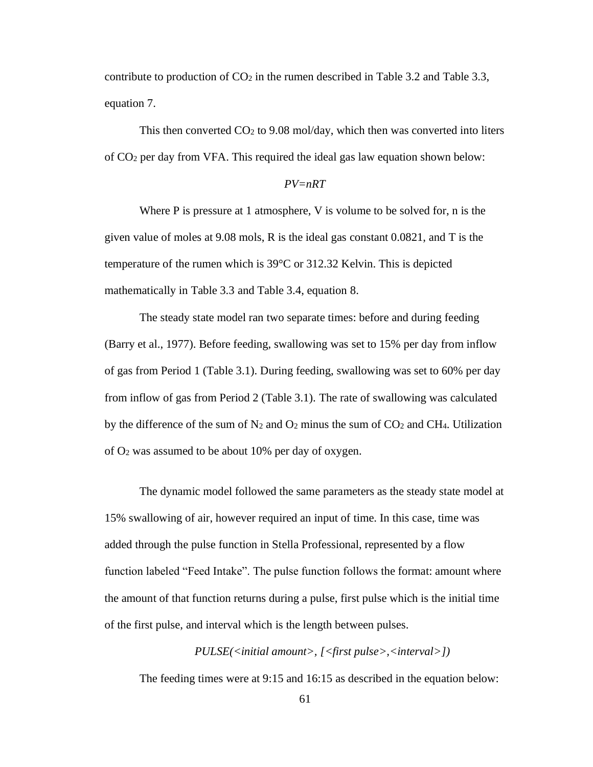contribute to production of  $CO<sub>2</sub>$  in the rumen described in Table 3.2 and Table 3.3, equation 7.

This then converted  $CO<sub>2</sub>$  to 9.08 mol/day, which then was converted into liters of CO<sup>2</sup> per day from VFA. This required the ideal gas law equation shown below:

# *PV=nRT*

Where P is pressure at 1 atmosphere, V is volume to be solved for, n is the given value of moles at 9.08 mols, R is the ideal gas constant 0.0821, and T is the temperature of the rumen which is 39°C or 312.32 Kelvin. This is depicted mathematically in Table 3.3 and Table 3.4, equation 8.

The steady state model ran two separate times: before and during feeding (Barry et al., 1977). Before feeding, swallowing was set to 15% per day from inflow of gas from Period 1 (Table 3.1). During feeding, swallowing was set to 60% per day from inflow of gas from Period 2 (Table 3.1). The rate of swallowing was calculated by the difference of the sum of  $N_2$  and  $O_2$  minus the sum of  $CO_2$  and CH4. Utilization of O<sup>2</sup> was assumed to be about 10% per day of oxygen.

The dynamic model followed the same parameters as the steady state model at 15% swallowing of air, however required an input of time. In this case, time was added through the pulse function in Stella Professional, represented by a flow function labeled "Feed Intake". The pulse function follows the format: amount where the amount of that function returns during a pulse, first pulse which is the initial time of the first pulse, and interval which is the length between pulses.

*PULSE(<initial amount>, [<first pulse>,<interval>])* The feeding times were at 9:15 and 16:15 as described in the equation below: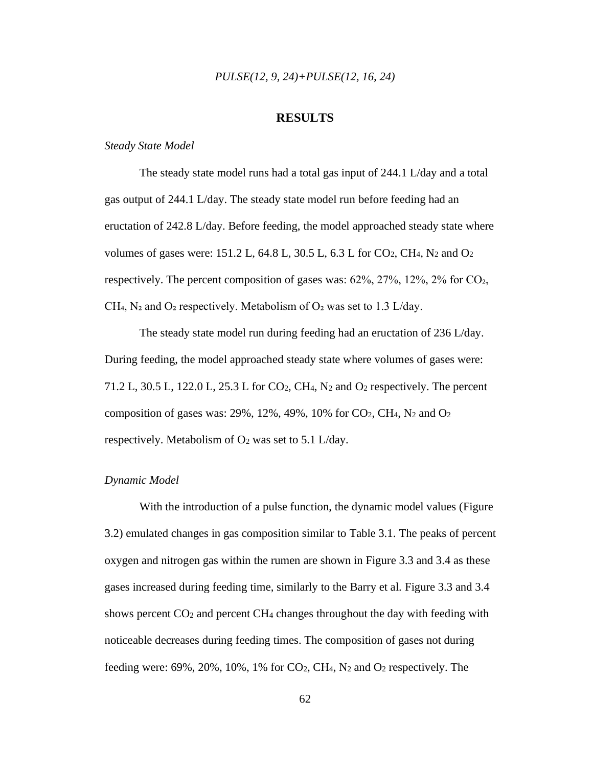## *PULSE(12, 9, 24)+PULSE(12, 16, 24)*

# **RESULTS**

## *Steady State Model*

The steady state model runs had a total gas input of 244.1 L/day and a total gas output of 244.1 L/day. The steady state model run before feeding had an eructation of 242.8 L/day. Before feeding, the model approached steady state where volumes of gases were: 151.2 L, 64.8 L, 30.5 L, 6.3 L for CO2, CH4, N<sup>2</sup> and O<sup>2</sup> respectively. The percent composition of gases was:  $62\%, 27\%, 12\%, 2\%$  for CO<sub>2</sub>, CH<sub>4</sub>, N<sub>2</sub> and O<sub>2</sub> respectively. Metabolism of O<sub>2</sub> was set to 1.3 L/day.

The steady state model run during feeding had an eructation of 236 L/day. During feeding, the model approached steady state where volumes of gases were: 71.2 L, 30.5 L, 122.0 L, 25.3 L for CO2, CH4, N<sup>2</sup> and O<sup>2</sup> respectively. The percent composition of gases was:  $29\%$ ,  $12\%$ ,  $49\%$ ,  $10\%$  for  $CO_2$ ,  $CH_4$ ,  $N_2$  and  $O_2$ respectively. Metabolism of  $O_2$  was set to 5.1 L/day.

## *Dynamic Model*

With the introduction of a pulse function, the dynamic model values (Figure 3.2) emulated changes in gas composition similar to Table 3.1. The peaks of percent oxygen and nitrogen gas within the rumen are shown in Figure 3.3 and 3.4 as these gases increased during feeding time, similarly to the Barry et al. Figure 3.3 and 3.4 shows percent CO<sup>2</sup> and percent CH<sup>4</sup> changes throughout the day with feeding with noticeable decreases during feeding times. The composition of gases not during feeding were:  $69\%, 20\%, 10\%, 1\%$  for CO<sub>2</sub>, CH<sub>4</sub>, N<sub>2</sub> and O<sub>2</sub> respectively. The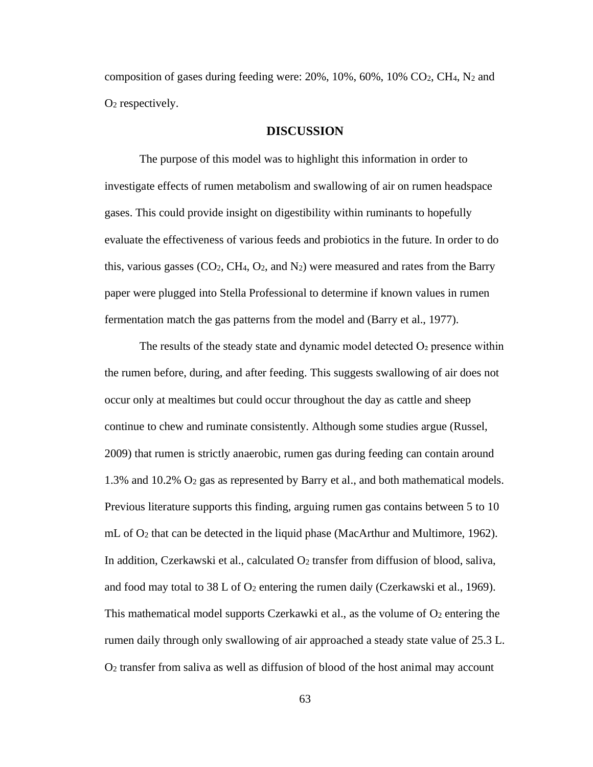composition of gases during feeding were:  $20\%$ ,  $10\%$ ,  $60\%$ ,  $10\%$  CO<sub>2</sub>, CH<sub>4</sub>, N<sub>2</sub> and O<sup>2</sup> respectively.

## **DISCUSSION**

The purpose of this model was to highlight this information in order to investigate effects of rumen metabolism and swallowing of air on rumen headspace gases. This could provide insight on digestibility within ruminants to hopefully evaluate the effectiveness of various feeds and probiotics in the future. In order to do this, various gasses  $(CO_2, CH_4, O_2, and N_2)$  were measured and rates from the Barry paper were plugged into Stella Professional to determine if known values in rumen fermentation match the gas patterns from the model and (Barry et al., 1977).

The results of the steady state and dynamic model detected  $O<sub>2</sub>$  presence within the rumen before, during, and after feeding. This suggests swallowing of air does not occur only at mealtimes but could occur throughout the day as cattle and sheep continue to chew and ruminate consistently. Although some studies argue (Russel, 2009) that rumen is strictly anaerobic, rumen gas during feeding can contain around 1.3% and 10.2% O<sup>2</sup> gas as represented by Barry et al., and both mathematical models. Previous literature supports this finding, arguing rumen gas contains between 5 to 10 mL of  $O_2$  that can be detected in the liquid phase (MacArthur and Multimore, 1962). In addition, Czerkawski et al., calculated  $O_2$  transfer from diffusion of blood, saliva, and food may total to 38 L of  $O_2$  entering the rumen daily (Czerkawski et al., 1969). This mathematical model supports Czerkawki et al., as the volume of  $O<sub>2</sub>$  entering the rumen daily through only swallowing of air approached a steady state value of 25.3 L. O<sup>2</sup> transfer from saliva as well as diffusion of blood of the host animal may account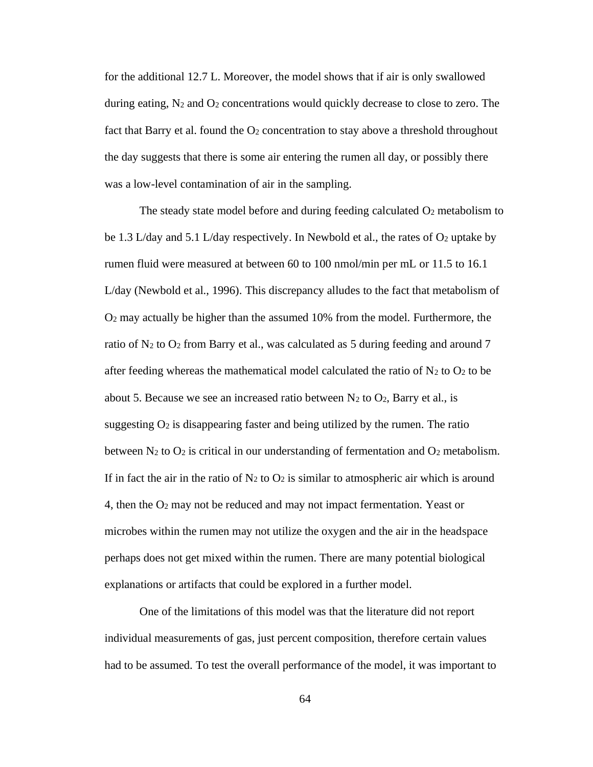for the additional 12.7 L. Moreover, the model shows that if air is only swallowed during eating,  $N_2$  and  $O_2$  concentrations would quickly decrease to close to zero. The fact that Barry et al. found the  $O_2$  concentration to stay above a threshold throughout the day suggests that there is some air entering the rumen all day, or possibly there was a low-level contamination of air in the sampling.

The steady state model before and during feeding calculated  $O_2$  metabolism to be 1.3 L/day and 5.1 L/day respectively. In Newbold et al., the rates of  $O_2$  uptake by rumen fluid were measured at between 60 to 100 nmol/min per mL or 11.5 to 16.1 L/day (Newbold et al., 1996). This discrepancy alludes to the fact that metabolism of O<sup>2</sup> may actually be higher than the assumed 10% from the model. Furthermore, the ratio of  $N_2$  to  $O_2$  from Barry et al., was calculated as 5 during feeding and around 7 after feeding whereas the mathematical model calculated the ratio of  $N_2$  to  $O_2$  to be about 5. Because we see an increased ratio between  $N_2$  to  $O_2$ , Barry et al., is suggesting  $O_2$  is disappearing faster and being utilized by the rumen. The ratio between  $N_2$  to  $O_2$  is critical in our understanding of fermentation and  $O_2$  metabolism. If in fact the air in the ratio of  $N_2$  to  $O_2$  is similar to atmospheric air which is around 4, then the O<sup>2</sup> may not be reduced and may not impact fermentation. Yeast or microbes within the rumen may not utilize the oxygen and the air in the headspace perhaps does not get mixed within the rumen. There are many potential biological explanations or artifacts that could be explored in a further model.

One of the limitations of this model was that the literature did not report individual measurements of gas, just percent composition, therefore certain values had to be assumed. To test the overall performance of the model, it was important to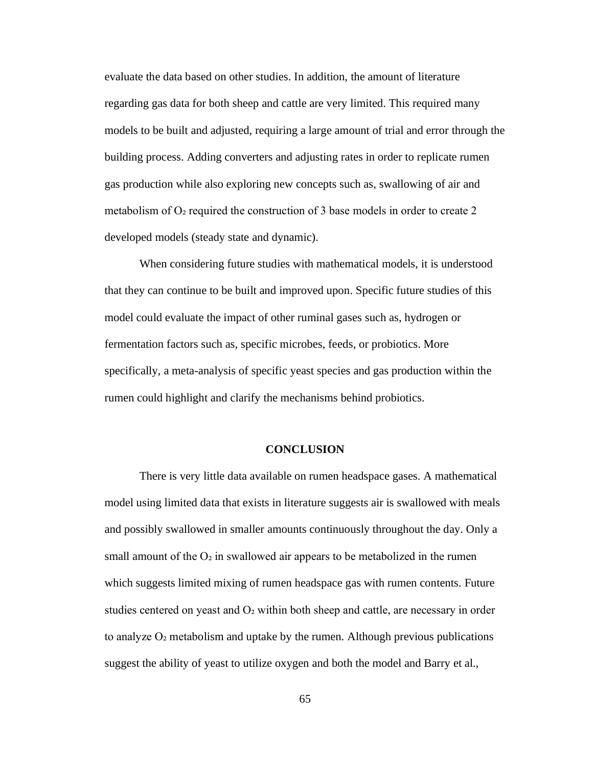evaluate the data based on other studies. In addition, the amount of literature regarding gas data for both sheep and cattle are very limited. This required many models to be built and adjusted, requiring a large amount of trial and error through the building process. Adding converters and adjusting rates in order to replicate rumen gas production while also exploring new concepts such as, swallowing of air and metabolism of  $O<sub>2</sub>$  required the construction of 3 base models in order to create 2 developed models (steady state and dynamic).

When considering future studies with mathematical models, it is understood that they can continue to be built and improved upon. Specific future studies of this model could evaluate the impact of other ruminal gases such as, hydrogen or fermentation factors such as, specific microbes, feeds, or probiotics. More specifically, a meta-analysis of specific yeast species and gas production within the rumen could highlight and clarify the mechanisms behind probiotics.

## **CONCLUSION**

There is very little data available on rumen headspace gases. A mathematical model using limited data that exists in literature suggests air is swallowed with meals and possibly swallowed in smaller amounts continuously throughout the day. Only a small amount of the  $O<sub>2</sub>$  in swallowed air appears to be metabolized in the rumen which suggests limited mixing of rumen headspace gas with rumen contents. Future studies centered on yeast and  $O<sub>2</sub>$  within both sheep and cattle, are necessary in order to analyze  $O<sub>2</sub>$  metabolism and uptake by the rumen. Although previous publications suggest the ability of yeast to utilize oxygen and both the model and Barry et al.,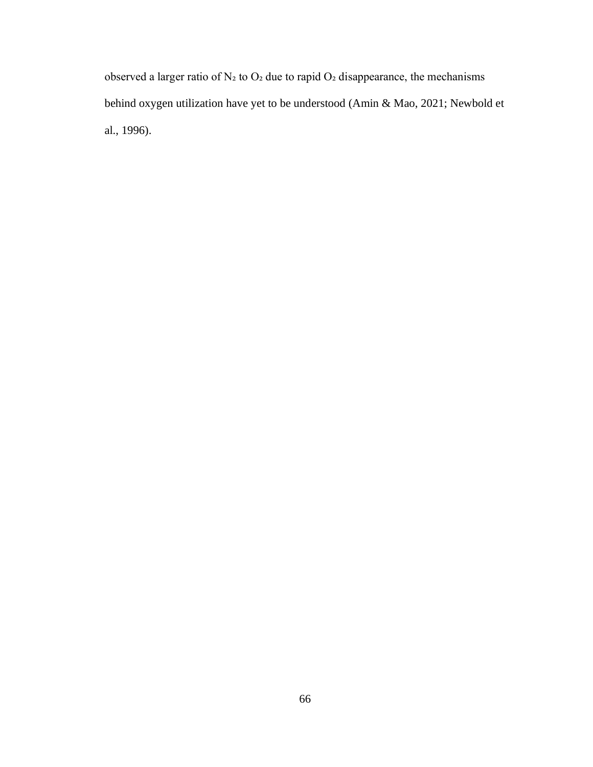observed a larger ratio of  $N_2$  to  $O_2$  due to rapid  $O_2$  disappearance, the mechanisms behind oxygen utilization have yet to be understood (Amin & Mao, 2021; Newbold et al., 1996).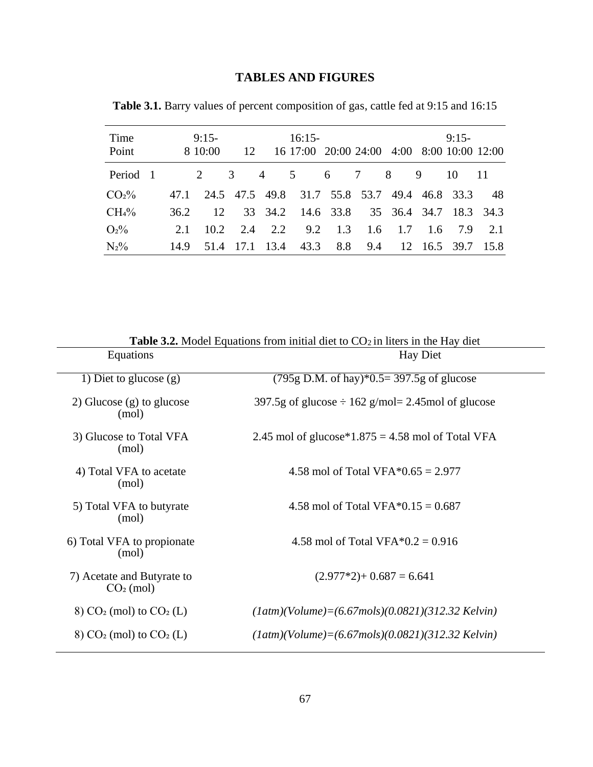## **TABLES AND FIGURES**

| Time<br>Point                  |     | $9:15-$<br>8 10:00                                   |  | $16:15-$<br>12 16 17:00 20:00 24:00 4:00 8:00 10:00 12:00 |  |  | $9:15-$ |  |
|--------------------------------|-----|------------------------------------------------------|--|-----------------------------------------------------------|--|--|---------|--|
| Period 1 2 3 4 5 6 7 8 9 10 11 |     |                                                      |  |                                                           |  |  |         |  |
| CO <sub>2</sub> %              |     | 47.1 24.5 47.5 49.8 31.7 55.8 53.7 49.4 46.8 33.3 48 |  |                                                           |  |  |         |  |
| CH <sub>4</sub> %              |     | 36.2 12 33 34.2 14.6 33.8 35 36.4 34.7 18.3 34.3     |  |                                                           |  |  |         |  |
| O <sub>2</sub> %               | 2.1 |                                                      |  | 10.2 2.4 2.2 9.2 1.3 1.6 1.7 1.6 7.9 2.1                  |  |  |         |  |
| $N_2\%$                        |     | 14.9 51.4 17.1 13.4 43.3 8.8 9.4 12 16.5 39.7 15.8   |  |                                                           |  |  |         |  |

**Table 3.1.** Barry values of percent composition of gas, cattle fed at 9:15 and 16:15

| Equations                                          | <b>Hay Diet</b>                                            |  |  |  |  |  |
|----------------------------------------------------|------------------------------------------------------------|--|--|--|--|--|
| 1) Diet to glucose $(g)$                           | $(795g \text{ D.M. of hay})*0.5=397.5g \text{ of glucose}$ |  |  |  |  |  |
| 2) Glucose $(g)$ to glucose<br>(mol)               | 397.5g of glucose $\div$ 162 g/mol= 2.45mol of glucose     |  |  |  |  |  |
| 3) Glucose to Total VFA<br>(mol)                   | 2.45 mol of glucose*1.875 = 4.58 mol of Total VFA          |  |  |  |  |  |
| 4) Total VFA to acetate<br>(mol)                   | 4.58 mol of Total VFA $*0.65 = 2.977$                      |  |  |  |  |  |
| 5) Total VFA to butyrate<br>(mol)                  | 4.58 mol of Total VFA $*0.15 = 0.687$                      |  |  |  |  |  |
| 6) Total VFA to propionate<br>(mol)                | 4.58 mol of Total VFA $*0.2 = 0.916$                       |  |  |  |  |  |
| 7) Acetate and Butyrate to<br>$CO2$ (mol)          | $(2.977*2) + 0.687 = 6.641$                                |  |  |  |  |  |
| $(8)$ CO <sub>2</sub> (mol) to CO <sub>2</sub> (L) | $(1atm)(Volume) = (6.67 mols)(0.0821)(312.32~Kelvin)$      |  |  |  |  |  |
| $(8)$ CO <sub>2</sub> (mol) to CO <sub>2</sub> (L) | $(1atm)(Volume) = (6.67 mols)(0.0821)(312.32~Kelvin)$      |  |  |  |  |  |
|                                                    |                                                            |  |  |  |  |  |

**Table 3.2.** Model Equations from initial diet to CO<sub>2</sub> in liters in the Hay diet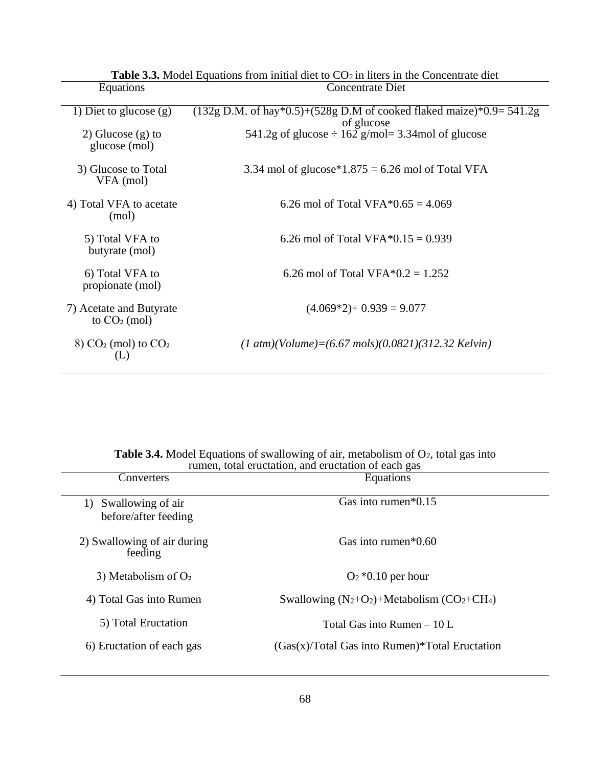| Equations                                                        | Concentrate Diet                                                                     |  |  |  |  |  |
|------------------------------------------------------------------|--------------------------------------------------------------------------------------|--|--|--|--|--|
| 1) Diet to glucose $(g)$                                         | $(132g D.M.$ of hay*0.5)+(528g D.M of cooked flaked maize)*0.9= 541.2g<br>of glucose |  |  |  |  |  |
| 2) Glucose $(g)$ to<br>glucose (mol)                             | 541.2g of glucose $\div$ 162 g/mol= 3.34mol of glucose                               |  |  |  |  |  |
| 3) Glucose to Total<br>VFA (mol)                                 | 3.34 mol of glucose*1.875 = 6.26 mol of Total VFA                                    |  |  |  |  |  |
| 4) Total VFA to acetate<br>(mol)                                 | 6.26 mol of Total VFA $*0.65 = 4.069$                                                |  |  |  |  |  |
| 5) Total VFA to<br>butyrate (mol)                                | 6.26 mol of Total VFA $*0.15 = 0.939$                                                |  |  |  |  |  |
| 6) Total VFA to<br>propionate (mol)                              | 6.26 mol of Total VFA $*0.2 = 1.252$                                                 |  |  |  |  |  |
| 7) Acetate and Butyrate<br>to $CO2$ (mol)                        | $(4.069*2) + 0.939 = 9.077$                                                          |  |  |  |  |  |
| $(8)$ CO <sub>2</sub> (mol) to CO <sub>2</sub><br>$(\mathsf{L})$ | $(1 \text{ atm})(Volume) = (6.67 \text{ mol})(0.0821)(312.32 \text{ Kelvin})$        |  |  |  |  |  |

**Table 3.3.** Model Equations from initial diet to  $CO<sub>2</sub>$  in liters in the Concentrate diet

| <b>Table 3.4.</b> Model Equations of swallowing of air, metabolism of $O_2$ , total gas into |
|----------------------------------------------------------------------------------------------|

| rumen, total eructation, and eructation of each gas |                                                  |  |  |  |  |  |
|-----------------------------------------------------|--------------------------------------------------|--|--|--|--|--|
| Converters                                          | Equations                                        |  |  |  |  |  |
| Swallowing of air<br>1)<br>before/after feeding     | Gas into rumen $*0.15$                           |  |  |  |  |  |
| 2) Swallowing of air during<br>feeding              | Gas into rumen $*0.60$                           |  |  |  |  |  |
| 3) Metabolism of $O2$                               | $O_2$ *0.10 per hour                             |  |  |  |  |  |
| 4) Total Gas into Rumen                             | Swallowing $(N_2+O_2)$ +Metabolism $(CO_2+CH_4)$ |  |  |  |  |  |
| 5) Total Eructation                                 | Total Gas into Rumen $-10$ L                     |  |  |  |  |  |
| 6) Eructation of each gas                           | $(Gas(x)/Total Gas$ into Rumen)*Total Eructation |  |  |  |  |  |
|                                                     |                                                  |  |  |  |  |  |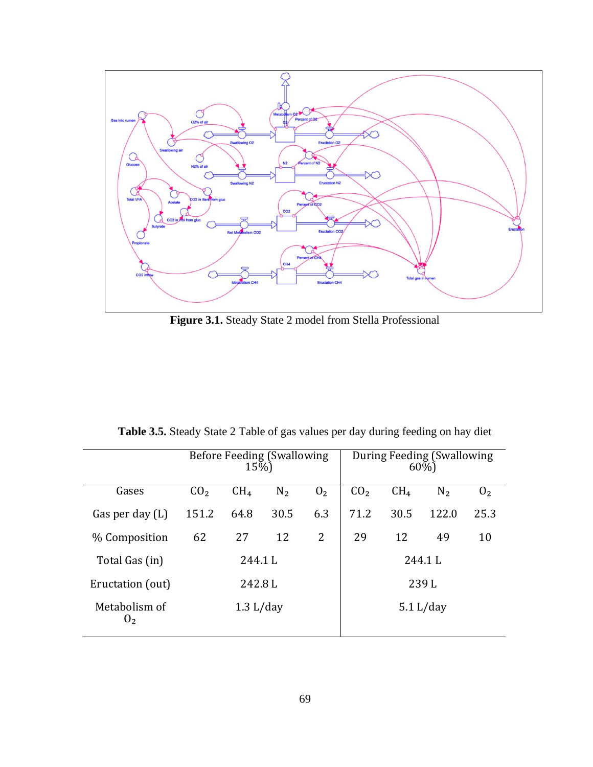

**Figure 3.1.** Steady State 2 model from Stella Professional

| <b>Table 3.5.</b> Steady State 2 Table of gas values per day during feeding on hay diet |                             |
|-----------------------------------------------------------------------------------------|-----------------------------|
| Dofora                                                                                  | During Fooding (Cuplouring) |

|                                 |                 | 15%)            | <b>Before Feeding (Swallowing</b> |                | During Feeding (Swallowing<br>60%) |                 |                |                |  |
|---------------------------------|-----------------|-----------------|-----------------------------------|----------------|------------------------------------|-----------------|----------------|----------------|--|
| Gases                           | CO <sub>2</sub> | CH <sub>4</sub> | N <sub>2</sub>                    | 0 <sub>2</sub> | CO <sub>2</sub>                    | CH <sub>4</sub> | N <sub>2</sub> | 0 <sub>2</sub> |  |
| Gas per day $(L)$               | 151.2           | 64.8            | 30.5                              | 6.3            | 71.2                               | 30.5            | 122.0          | 25.3           |  |
| % Composition                   | 62              | 27              | 12                                | $\overline{2}$ | 29                                 | 12              | 49             | 10             |  |
| Total Gas (in)                  |                 | 244.1L          |                                   |                | 244.1L                             |                 |                |                |  |
| Eructation (out)                | 242.8L          |                 |                                   |                | 239L                               |                 |                |                |  |
| Metabolism of<br>0 <sub>2</sub> | 1.3 L/day       |                 |                                   |                | 5.1 L/day                          |                 |                |                |  |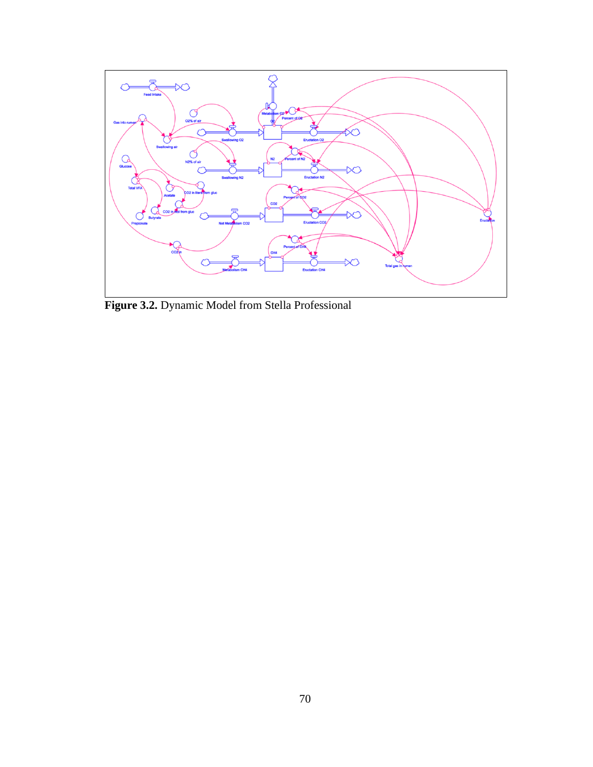

**Figure 3.2.** Dynamic Model from Stella Professional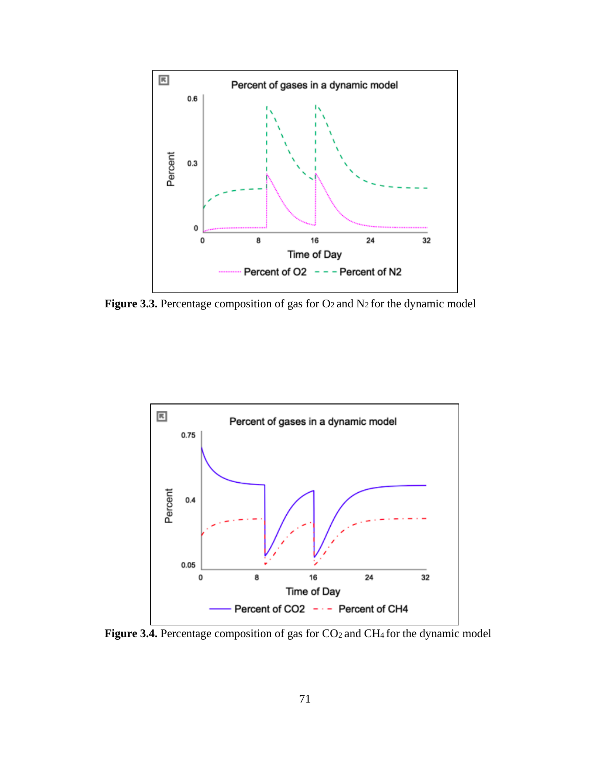

**Figure 3.3.** Percentage composition of gas for  $O_2$  and  $N_2$  for the dynamic model



Figure 3.4. Percentage composition of gas for CO<sub>2</sub> and CH<sub>4</sub> for the dynamic model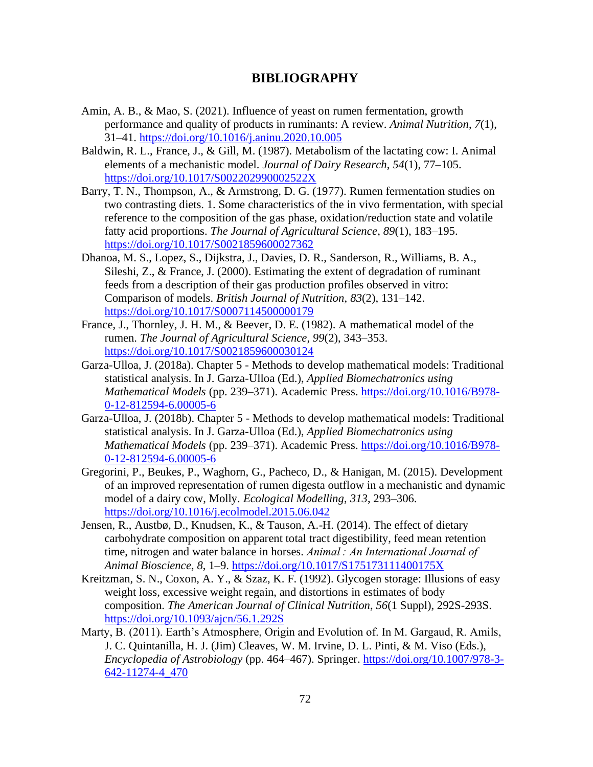## **BIBLIOGRAPHY**

- Amin, A. B., & Mao, S. (2021). Influence of yeast on rumen fermentation, growth performance and quality of products in ruminants: A review. *Animal Nutrition*, *7*(1), 31–41.<https://doi.org/10.1016/j.aninu.2020.10.005>
- Baldwin, R. L., France, J., & Gill, M. (1987). Metabolism of the lactating cow: I. Animal elements of a mechanistic model. *Journal of Dairy Research*, *54*(1), 77–105. <https://doi.org/10.1017/S002202990002522X>
- Barry, T. N., Thompson, A., & Armstrong, D. G. (1977). Rumen fermentation studies on two contrasting diets. 1. Some characteristics of the in vivo fermentation, with special reference to the composition of the gas phase, oxidation/reduction state and volatile fatty acid proportions. *The Journal of Agricultural Science*, *89*(1), 183–195. <https://doi.org/10.1017/S0021859600027362>
- Dhanoa, M. S., Lopez, S., Dijkstra, J., Davies, D. R., Sanderson, R., Williams, B. A., Sileshi, Z., & France, J. (2000). Estimating the extent of degradation of ruminant feeds from a description of their gas production profiles observed in vitro: Comparison of models. *British Journal of Nutrition*, *83*(2), 131–142. <https://doi.org/10.1017/S0007114500000179>
- France, J., Thornley, J. H. M., & Beever, D. E. (1982). A mathematical model of the rumen. *The Journal of Agricultural Science*, *99*(2), 343–353. <https://doi.org/10.1017/S0021859600030124>
- Garza-Ulloa, J. (2018a). Chapter 5 Methods to develop mathematical models: Traditional statistical analysis. In J. Garza-Ulloa (Ed.), *Applied Biomechatronics using Mathematical Models* (pp. 239–371). Academic Press. [https://doi.org/10.1016/B978-](https://doi.org/10.1016/B978-0-12-812594-6.00005-6) [0-12-812594-6.00005-6](https://doi.org/10.1016/B978-0-12-812594-6.00005-6)
- Garza-Ulloa, J. (2018b). Chapter 5 Methods to develop mathematical models: Traditional statistical analysis. In J. Garza-Ulloa (Ed.), *Applied Biomechatronics using Mathematical Models* (pp. 239–371). Academic Press. [https://doi.org/10.1016/B978-](https://doi.org/10.1016/B978-0-12-812594-6.00005-6) [0-12-812594-6.00005-6](https://doi.org/10.1016/B978-0-12-812594-6.00005-6)
- Gregorini, P., Beukes, P., Waghorn, G., Pacheco, D., & Hanigan, M. (2015). Development of an improved representation of rumen digesta outflow in a mechanistic and dynamic model of a dairy cow, Molly. *Ecological Modelling*, *313*, 293–306. <https://doi.org/10.1016/j.ecolmodel.2015.06.042>
- Jensen, R., Austbø, D., Knudsen, K., & Tauson, A.-H. (2014). The effect of dietary carbohydrate composition on apparent total tract digestibility, feed mean retention time, nitrogen and water balance in horses. *Animal : An International Journal of Animal Bioscience*, *8*, 1–9.<https://doi.org/10.1017/S175173111400175X>
- Kreitzman, S. N., Coxon, A. Y., & Szaz, K. F. (1992). Glycogen storage: Illusions of easy weight loss, excessive weight regain, and distortions in estimates of body composition. *The American Journal of Clinical Nutrition*, *56*(1 Suppl), 292S-293S. <https://doi.org/10.1093/ajcn/56.1.292S>
- Marty, B. (2011). Earth's Atmosphere, Origin and Evolution of. In M. Gargaud, R. Amils, J. C. Quintanilla, H. J. (Jim) Cleaves, W. M. Irvine, D. L. Pinti, & M. Viso (Eds.), *Encyclopedia of Astrobiology* (pp. 464–467). Springer. [https://doi.org/10.1007/978-3-](https://doi.org/10.1007/978-3-642-11274-4_470) [642-11274-4\\_470](https://doi.org/10.1007/978-3-642-11274-4_470)